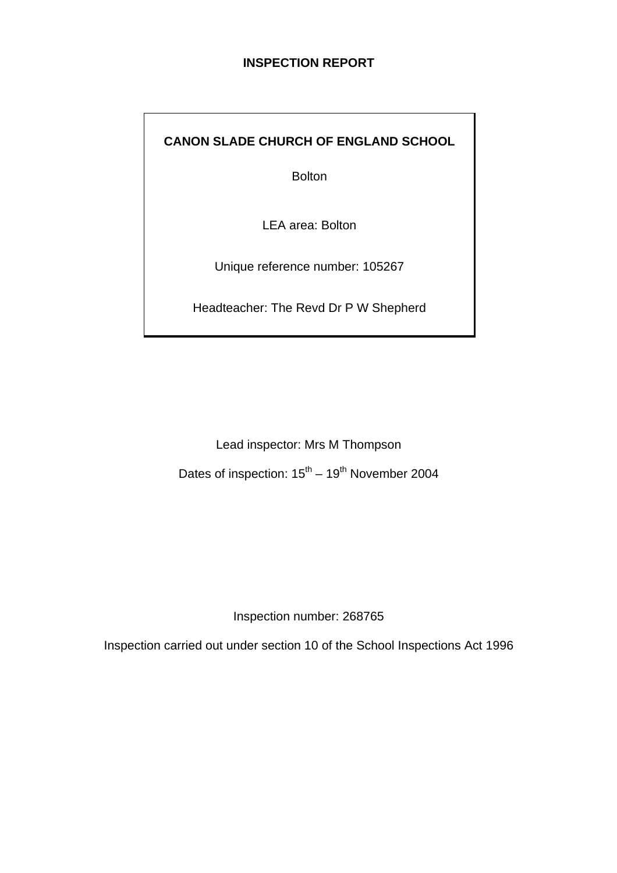# **INSPECTION REPORT**

# **CANON SLADE CHURCH OF ENGLAND SCHOOL**

**Bolton** 

LEA area: Bolton

Unique reference number: 105267

Headteacher: The Revd Dr P W Shepherd

Lead inspector: Mrs M Thompson

Dates of inspection:  $15^{th} - 19^{th}$  November 2004

Inspection number: 268765

Inspection carried out under section 10 of the School Inspections Act 1996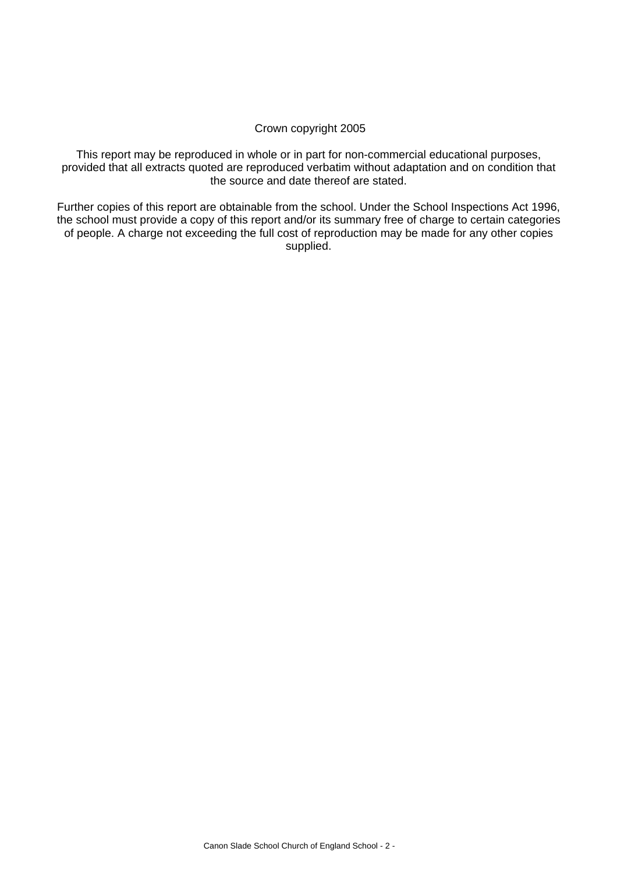#### Crown copyright 2005

This report may be reproduced in whole or in part for non-commercial educational purposes, provided that all extracts quoted are reproduced verbatim without adaptation and on condition that the source and date thereof are stated.

Further copies of this report are obtainable from the school. Under the School Inspections Act 1996, the school must provide a copy of this report and/or its summary free of charge to certain categories of people. A charge not exceeding the full cost of reproduction may be made for any other copies supplied.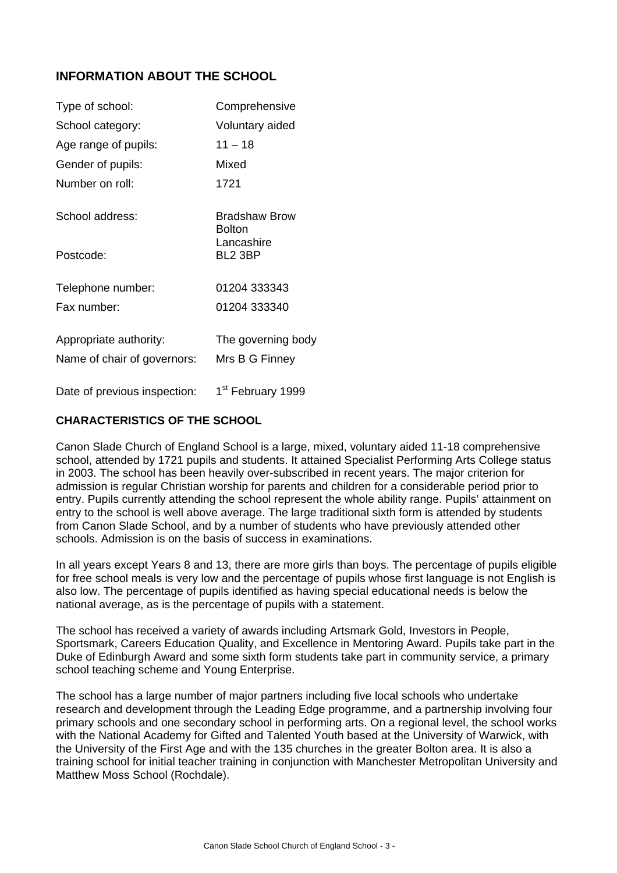# **INFORMATION ABOUT THE SCHOOL**

| Type of school:             | Comprehensive                  |
|-----------------------------|--------------------------------|
| School category:            | Voluntary aided                |
| Age range of pupils:        | $11 - 18$                      |
| Gender of pupils:           | Mixed                          |
| Number on roll:             | 1721                           |
| School address:             | Bradshaw Brow<br><b>Bolton</b> |
| Postcode:                   | Lancashire<br>BL2 3BP          |
| Telephone number:           | 01204 333343                   |
| Fax number:                 | 01204 333340                   |
| Appropriate authority:      | The governing body             |
| Name of chair of governors: | Mrs B G Finney                 |
|                             |                                |

Date of previous inspection: 1<sup>st</sup> February 1999

# **CHARACTERISTICS OF THE SCHOOL**

Canon Slade Church of England School is a large, mixed, voluntary aided 11-18 comprehensive school, attended by 1721 pupils and students. It attained Specialist Performing Arts College status in 2003. The school has been heavily over-subscribed in recent years. The major criterion for admission is regular Christian worship for parents and children for a considerable period prior to entry. Pupils currently attending the school represent the whole ability range. Pupils' attainment on entry to the school is well above average. The large traditional sixth form is attended by students from Canon Slade School, and by a number of students who have previously attended other schools. Admission is on the basis of success in examinations.

In all years except Years 8 and 13, there are more girls than boys. The percentage of pupils eligible for free school meals is very low and the percentage of pupils whose first language is not English is also low. The percentage of pupils identified as having special educational needs is below the national average, as is the percentage of pupils with a statement.

The school has received a variety of awards including Artsmark Gold, Investors in People, Sportsmark, Careers Education Quality, and Excellence in Mentoring Award. Pupils take part in the Duke of Edinburgh Award and some sixth form students take part in community service, a primary school teaching scheme and Young Enterprise.

The school has a large number of major partners including five local schools who undertake research and development through the Leading Edge programme, and a partnership involving four primary schools and one secondary school in performing arts. On a regional level, the school works with the National Academy for Gifted and Talented Youth based at the University of Warwick, with the University of the First Age and with the 135 churches in the greater Bolton area. It is also a training school for initial teacher training in conjunction with Manchester Metropolitan University and Matthew Moss School (Rochdale).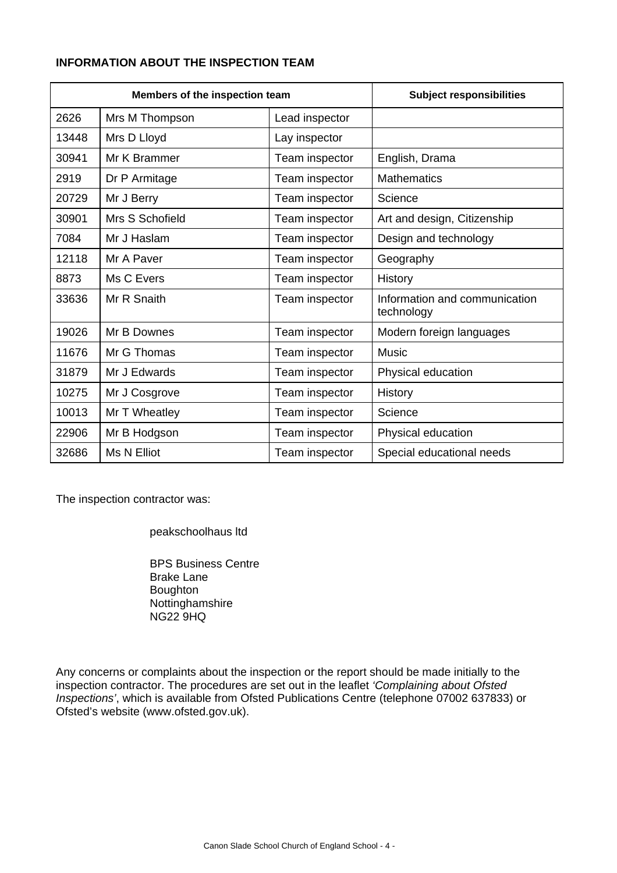# **INFORMATION ABOUT THE INSPECTION TEAM**

| Members of the inspection team |                 | <b>Subject responsibilities</b> |                                             |
|--------------------------------|-----------------|---------------------------------|---------------------------------------------|
| 2626                           | Mrs M Thompson  | Lead inspector                  |                                             |
| 13448                          | Mrs D Lloyd     | Lay inspector                   |                                             |
| 30941                          | Mr K Brammer    | Team inspector                  | English, Drama                              |
| 2919                           | Dr P Armitage   | Team inspector                  | <b>Mathematics</b>                          |
| 20729                          | Mr J Berry      | Team inspector                  | Science                                     |
| 30901                          | Mrs S Schofield | Team inspector                  | Art and design, Citizenship                 |
| 7084                           | Mr J Haslam     | Team inspector                  | Design and technology                       |
| 12118                          | Mr A Paver      | Team inspector                  | Geography                                   |
| 8873                           | Ms C Evers      | Team inspector                  | <b>History</b>                              |
| 33636                          | Mr R Snaith     | Team inspector                  | Information and communication<br>technology |
| 19026                          | Mr B Downes     | Team inspector                  | Modern foreign languages                    |
| 11676                          | Mr G Thomas     | Team inspector                  | Music                                       |
| 31879                          | Mr J Edwards    | Team inspector                  | Physical education                          |
| 10275                          | Mr J Cosgrove   | Team inspector                  | History                                     |
| 10013                          | Mr T Wheatley   | Team inspector                  | Science                                     |
| 22906                          | Mr B Hodgson    | Team inspector                  | Physical education                          |
| 32686                          | Ms N Elliot     | Team inspector                  | Special educational needs                   |

The inspection contractor was:

peakschoolhaus ltd

 BPS Business Centre Brake Lane Boughton Nottinghamshire NG22 9HQ

Any concerns or complaints about the inspection or the report should be made initially to the inspection contractor. The procedures are set out in the leaflet *'Complaining about Ofsted Inspections'*, which is available from Ofsted Publications Centre (telephone 07002 637833) or Ofsted's website (www.ofsted.gov.uk).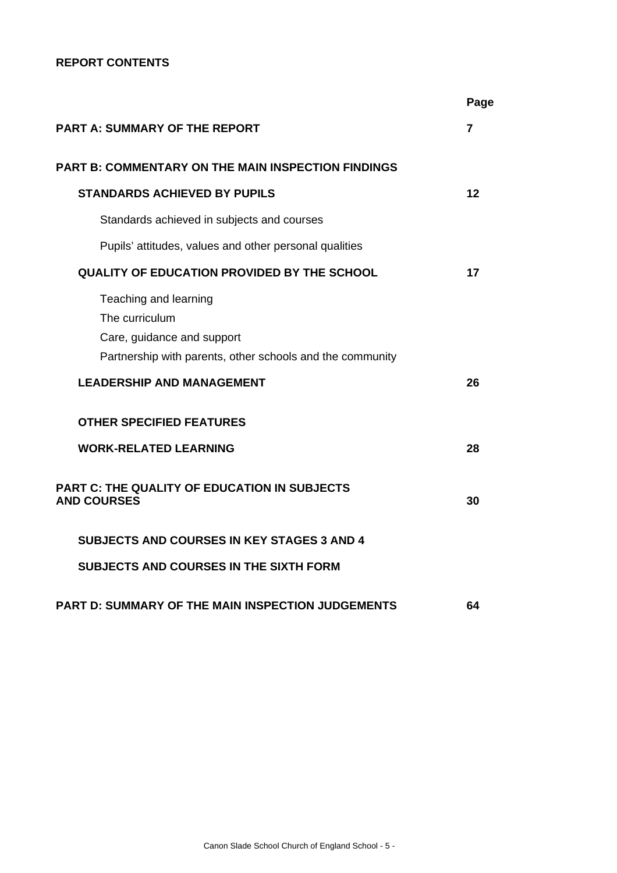# **REPORT CONTENTS**

|                                                                                                                                    | Page           |
|------------------------------------------------------------------------------------------------------------------------------------|----------------|
| <b>PART A: SUMMARY OF THE REPORT</b>                                                                                               | $\overline{7}$ |
| <b>PART B: COMMENTARY ON THE MAIN INSPECTION FINDINGS</b>                                                                          |                |
| <b>STANDARDS ACHIEVED BY PUPILS</b>                                                                                                | 12             |
| Standards achieved in subjects and courses                                                                                         |                |
| Pupils' attitudes, values and other personal qualities                                                                             |                |
| <b>QUALITY OF EDUCATION PROVIDED BY THE SCHOOL</b>                                                                                 | 17             |
| Teaching and learning<br>The curriculum<br>Care, guidance and support<br>Partnership with parents, other schools and the community |                |
| <b>LEADERSHIP AND MANAGEMENT</b>                                                                                                   | 26             |
| <b>OTHER SPECIFIED FEATURES</b>                                                                                                    |                |
| <b>WORK-RELATED LEARNING</b>                                                                                                       | 28             |
| <b>PART C: THE QUALITY OF EDUCATION IN SUBJECTS</b><br><b>AND COURSES</b>                                                          | 30             |
| <b>SUBJECTS AND COURSES IN KEY STAGES 3 AND 4</b>                                                                                  |                |
| <b>SUBJECTS AND COURSES IN THE SIXTH FORM</b>                                                                                      |                |
| <b>PART D: SUMMARY OF THE MAIN INSPECTION JUDGEMENTS</b>                                                                           | 64             |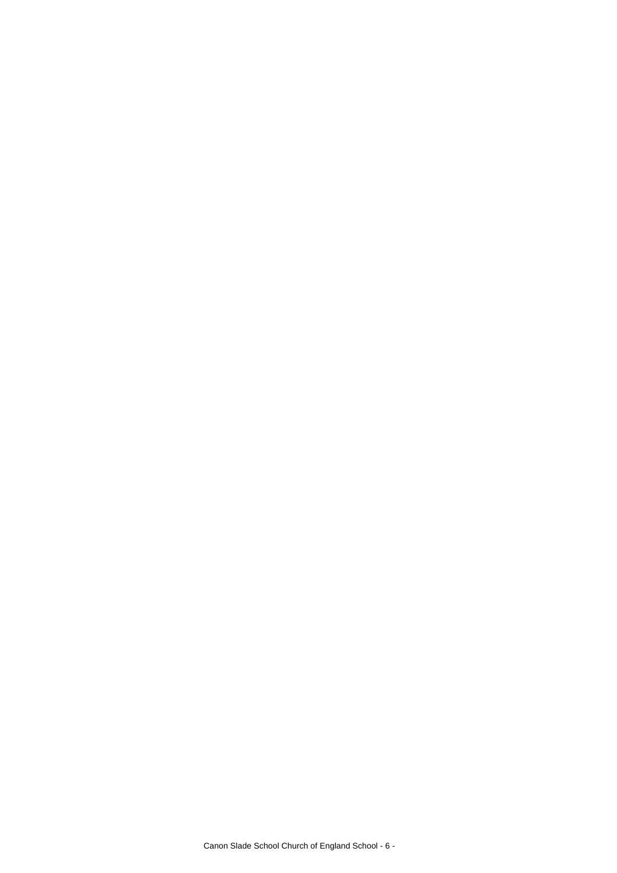Canon Slade School Church of England School - 6 -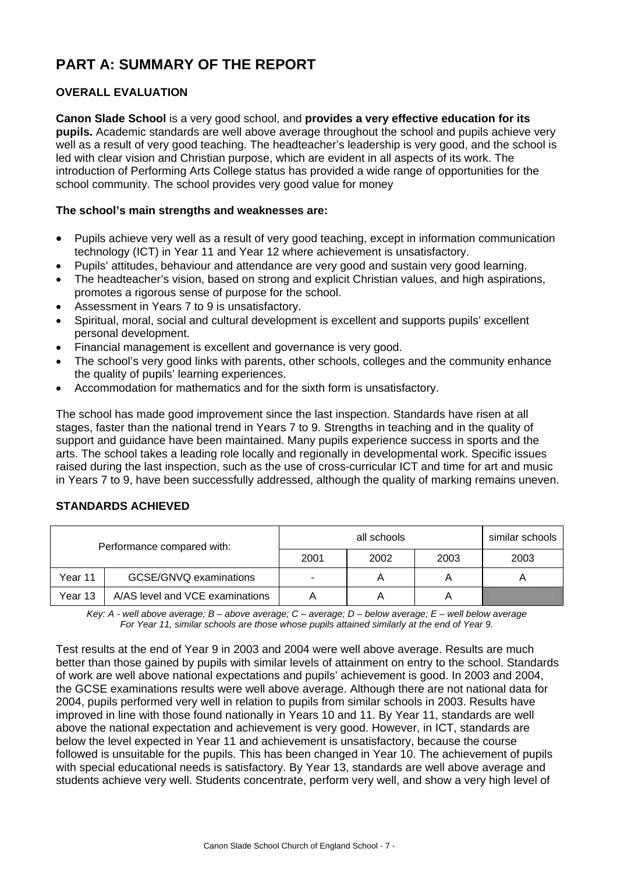# **PART A: SUMMARY OF THE REPORT**

# **OVERALL EVALUATION**

**Canon Slade School** is a very good school, and **provides a very effective education for its pupils.** Academic standards are well above average throughout the school and pupils achieve very well as a result of very good teaching. The headteacher's leadership is very good, and the school is led with clear vision and Christian purpose, which are evident in all aspects of its work. The introduction of Performing Arts College status has provided a wide range of opportunities for the school community. The school provides very good value for money

# **The school's main strengths and weaknesses are:**

- Pupils achieve very well as a result of very good teaching, except in information communication technology (ICT) in Year 11 and Year 12 where achievement is unsatisfactory.
- Pupils' attitudes, behaviour and attendance are very good and sustain very good learning.
- The headteacher's vision, based on strong and explicit Christian values, and high aspirations, promotes a rigorous sense of purpose for the school.
- Assessment in Years 7 to 9 is unsatisfactory.
- Spiritual, moral, social and cultural development is excellent and supports pupils' excellent personal development.
- Financial management is excellent and governance is very good.
- The school's very good links with parents, other schools, colleges and the community enhance the quality of pupils' learning experiences.
- Accommodation for mathematics and for the sixth form is unsatisfactory.

The school has made good improvement since the last inspection. Standards have risen at all stages, faster than the national trend in Years 7 to 9. Strengths in teaching and in the quality of support and guidance have been maintained. Many pupils experience success in sports and the arts. The school takes a leading role locally and regionally in developmental work. Specific issues raised during the last inspection, such as the use of cross-curricular ICT and time for art and music in Years 7 to 9, have been successfully addressed, although the quality of marking remains uneven.

# **STANDARDS ACHIEVED**

| Performance compared with: |                                 |      | similar schools |      |      |
|----------------------------|---------------------------------|------|-----------------|------|------|
|                            |                                 | 2001 | 2002            | 2003 | 2003 |
| Year 11                    | GCSE/GNVQ examinations          |      |                 |      |      |
| Year 13                    | A/AS level and VCE examinations |      |                 |      |      |

*Key: A - well above average; B – above average; C – average; D – below average; E – well below average For Year 11, similar schools are those whose pupils attained similarly at the end of Year 9.* 

Test results at the end of Year 9 in 2003 and 2004 were well above average. Results are much better than those gained by pupils with similar levels of attainment on entry to the school. Standards of work are well above national expectations and pupils' achievement is good. In 2003 and 2004, the GCSE examinations results were well above average. Although there are not national data for 2004, pupils performed very well in relation to pupils from similar schools in 2003. Results have improved in line with those found nationally in Years 10 and 11. By Year 11, standards are well above the national expectation and achievement is very good. However, in ICT, standards are below the level expected in Year 11 and achievement is unsatisfactory, because the course followed is unsuitable for the pupils. This has been changed in Year 10. The achievement of pupils with special educational needs is satisfactory. By Year 13, standards are well above average and students achieve very well. Students concentrate, perform very well, and show a very high level of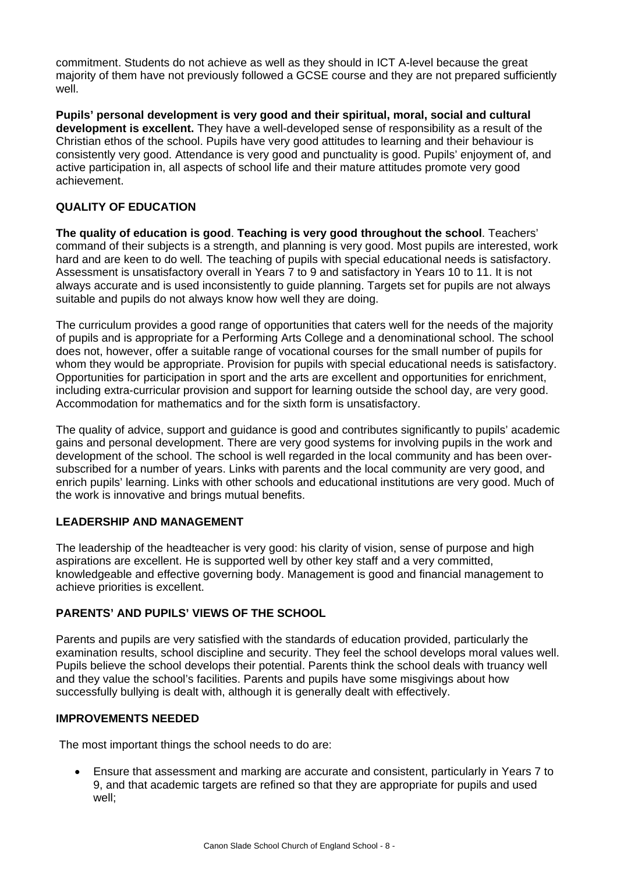commitment. Students do not achieve as well as they should in ICT A-level because the great majority of them have not previously followed a GCSE course and they are not prepared sufficiently well.

**Pupils' personal development is very good and their spiritual, moral, social and cultural development is excellent.** They have a well-developed sense of responsibility as a result of the Christian ethos of the school. Pupils have very good attitudes to learning and their behaviour is consistently very good. Attendance is very good and punctuality is good. Pupils' enjoyment of, and active participation in, all aspects of school life and their mature attitudes promote very good achievement.

# **QUALITY OF EDUCATION**

**The quality of education is good**. **Teaching is very good throughout the school**. Teachers' command of their subjects is a strength, and planning is very good. Most pupils are interested, work hard and are keen to do well*.* The teaching of pupils with special educational needs is satisfactory. Assessment is unsatisfactory overall in Years 7 to 9 and satisfactory in Years 10 to 11. It is not always accurate and is used inconsistently to guide planning. Targets set for pupils are not always suitable and pupils do not always know how well they are doing.

The curriculum provides a good range of opportunities that caters well for the needs of the majority of pupils and is appropriate for a Performing Arts College and a denominational school. The school does not, however, offer a suitable range of vocational courses for the small number of pupils for whom they would be appropriate. Provision for pupils with special educational needs is satisfactory. Opportunities for participation in sport and the arts are excellent and opportunities for enrichment, including extra-curricular provision and support for learning outside the school day, are very good. Accommodation for mathematics and for the sixth form is unsatisfactory.

The quality of advice, support and guidance is good and contributes significantly to pupils' academic gains and personal development. There are very good systems for involving pupils in the work and development of the school. The school is well regarded in the local community and has been oversubscribed for a number of years. Links with parents and the local community are very good, and enrich pupils' learning. Links with other schools and educational institutions are very good. Much of the work is innovative and brings mutual benefits.

# **LEADERSHIP AND MANAGEMENT**

The leadership of the headteacher is very good: his clarity of vision, sense of purpose and high aspirations are excellent. He is supported well by other key staff and a very committed, knowledgeable and effective governing body. Management is good and financial management to achieve priorities is excellent.

# **PARENTS' AND PUPILS' VIEWS OF THE SCHOOL**

Parents and pupils are very satisfied with the standards of education provided, particularly the examination results, school discipline and security. They feel the school develops moral values well. Pupils believe the school develops their potential. Parents think the school deals with truancy well and they value the school's facilities. Parents and pupils have some misgivings about how successfully bullying is dealt with, although it is generally dealt with effectively.

#### **IMPROVEMENTS NEEDED**

The most important things the school needs to do are:

• Ensure that assessment and marking are accurate and consistent, particularly in Years 7 to 9, and that academic targets are refined so that they are appropriate for pupils and used well;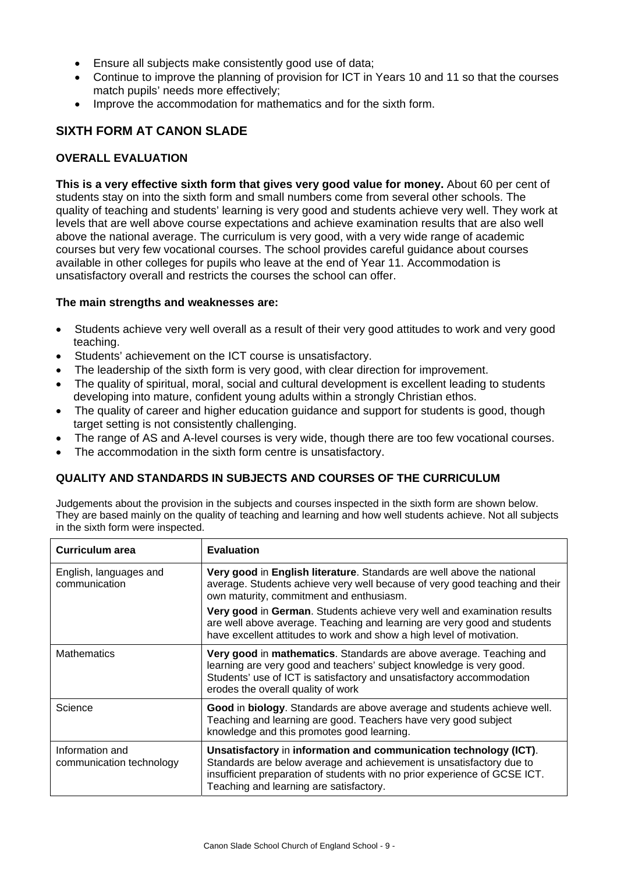- Ensure all subjects make consistently good use of data;
- Continue to improve the planning of provision for ICT in Years 10 and 11 so that the courses match pupils' needs more effectively;
- Improve the accommodation for mathematics and for the sixth form.

# **SIXTH FORM AT CANON SLADE**

# **OVERALL EVALUATION**

**This is a very effective sixth form that gives very good value for money.** About 60 per cent of students stay on into the sixth form and small numbers come from several other schools. The quality of teaching and students' learning is very good and students achieve very well. They work at levels that are well above course expectations and achieve examination results that are also well above the national average. The curriculum is very good, with a very wide range of academic courses but very few vocational courses. The school provides careful guidance about courses available in other colleges for pupils who leave at the end of Year 11. Accommodation is unsatisfactory overall and restricts the courses the school can offer.

#### **The main strengths and weaknesses are:**

- Students achieve very well overall as a result of their very good attitudes to work and very good teaching.
- Students' achievement on the ICT course is unsatisfactory.
- The leadership of the sixth form is very good, with clear direction for improvement.
- The quality of spiritual, moral, social and cultural development is excellent leading to students developing into mature, confident young adults within a strongly Christian ethos.
- The quality of career and higher education guidance and support for students is good, though target setting is not consistently challenging.
- The range of AS and A-level courses is very wide, though there are too few vocational courses.
- The accommodation in the sixth form centre is unsatisfactory.

# **QUALITY AND STANDARDS IN SUBJECTS AND COURSES OF THE CURRICULUM**

Judgements about the provision in the subjects and courses inspected in the sixth form are shown below. They are based mainly on the quality of teaching and learning and how well students achieve. Not all subjects in the sixth form were inspected.

| Curriculum area                             | <b>Evaluation</b>                                                                                                                                                                                                                                                  |  |  |
|---------------------------------------------|--------------------------------------------------------------------------------------------------------------------------------------------------------------------------------------------------------------------------------------------------------------------|--|--|
| English, languages and<br>communication     | Very good in English literature. Standards are well above the national<br>average. Students achieve very well because of very good teaching and their<br>own maturity, commitment and enthusiasm.                                                                  |  |  |
|                                             | Very good in German. Students achieve very well and examination results<br>are well above average. Teaching and learning are very good and students<br>have excellent attitudes to work and show a high level of motivation.                                       |  |  |
| <b>Mathematics</b>                          | Very good in mathematics. Standards are above average. Teaching and<br>learning are very good and teachers' subject knowledge is very good.<br>Students' use of ICT is satisfactory and unsatisfactory accommodation<br>erodes the overall quality of work         |  |  |
| Science                                     | Good in biology. Standards are above average and students achieve well.<br>Teaching and learning are good. Teachers have very good subject<br>knowledge and this promotes good learning.                                                                           |  |  |
| Information and<br>communication technology | Unsatisfactory in information and communication technology (ICT).<br>Standards are below average and achievement is unsatisfactory due to<br>insufficient preparation of students with no prior experience of GCSE ICT.<br>Teaching and learning are satisfactory. |  |  |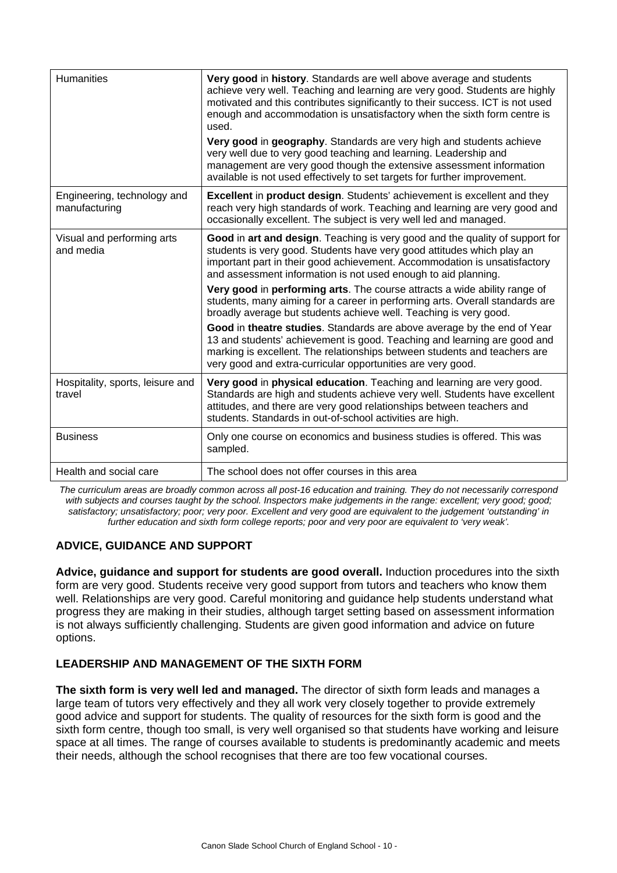| <b>Humanities</b>                            | Very good in history. Standards are well above average and students<br>achieve very well. Teaching and learning are very good. Students are highly<br>motivated and this contributes significantly to their success. ICT is not used<br>enough and accommodation is unsatisfactory when the sixth form centre is<br>used.                                                                                                                                                                                                               |
|----------------------------------------------|-----------------------------------------------------------------------------------------------------------------------------------------------------------------------------------------------------------------------------------------------------------------------------------------------------------------------------------------------------------------------------------------------------------------------------------------------------------------------------------------------------------------------------------------|
|                                              | Very good in geography. Standards are very high and students achieve<br>very well due to very good teaching and learning. Leadership and<br>management are very good though the extensive assessment information<br>available is not used effectively to set targets for further improvement.                                                                                                                                                                                                                                           |
| Engineering, technology and<br>manufacturing | Excellent in product design. Students' achievement is excellent and they<br>reach very high standards of work. Teaching and learning are very good and<br>occasionally excellent. The subject is very well led and managed.                                                                                                                                                                                                                                                                                                             |
| Visual and performing arts<br>and media      | Good in art and design. Teaching is very good and the quality of support for<br>students is very good. Students have very good attitudes which play an<br>important part in their good achievement. Accommodation is unsatisfactory<br>and assessment information is not used enough to aid planning.<br>Very good in performing arts. The course attracts a wide ability range of<br>students, many aiming for a career in performing arts. Overall standards are<br>broadly average but students achieve well. Teaching is very good. |
|                                              | Good in theatre studies. Standards are above average by the end of Year<br>13 and students' achievement is good. Teaching and learning are good and<br>marking is excellent. The relationships between students and teachers are<br>very good and extra-curricular opportunities are very good.                                                                                                                                                                                                                                         |
| Hospitality, sports, leisure and<br>travel   | Very good in physical education. Teaching and learning are very good.<br>Standards are high and students achieve very well. Students have excellent<br>attitudes, and there are very good relationships between teachers and<br>students. Standards in out-of-school activities are high.                                                                                                                                                                                                                                               |
| <b>Business</b>                              | Only one course on economics and business studies is offered. This was<br>sampled.                                                                                                                                                                                                                                                                                                                                                                                                                                                      |
| Health and social care                       | The school does not offer courses in this area                                                                                                                                                                                                                                                                                                                                                                                                                                                                                          |

*The curriculum areas are broadly common across all post-16 education and training. They do not necessarily correspond*  with subjects and courses taught by the school. Inspectors make judgements in the range: excellent; very good; good; *satisfactory; unsatisfactory; poor; very poor. Excellent and very good are equivalent to the judgement 'outstanding' in further education and sixth form college reports; poor and very poor are equivalent to 'very weak'.*

# **ADVICE, GUIDANCE AND SUPPORT**

**Advice, guidance and support for students are good overall.** Induction procedures into the sixth form are very good. Students receive very good support from tutors and teachers who know them well. Relationships are very good. Careful monitoring and guidance help students understand what progress they are making in their studies, although target setting based on assessment information is not always sufficiently challenging. Students are given good information and advice on future options.

# **LEADERSHIP AND MANAGEMENT OF THE SIXTH FORM**

**The sixth form is very well led and managed.** The director of sixth form leads and manages a large team of tutors very effectively and they all work very closely together to provide extremely good advice and support for students. The quality of resources for the sixth form is good and the sixth form centre, though too small, is very well organised so that students have working and leisure space at all times. The range of courses available to students is predominantly academic and meets their needs, although the school recognises that there are too few vocational courses.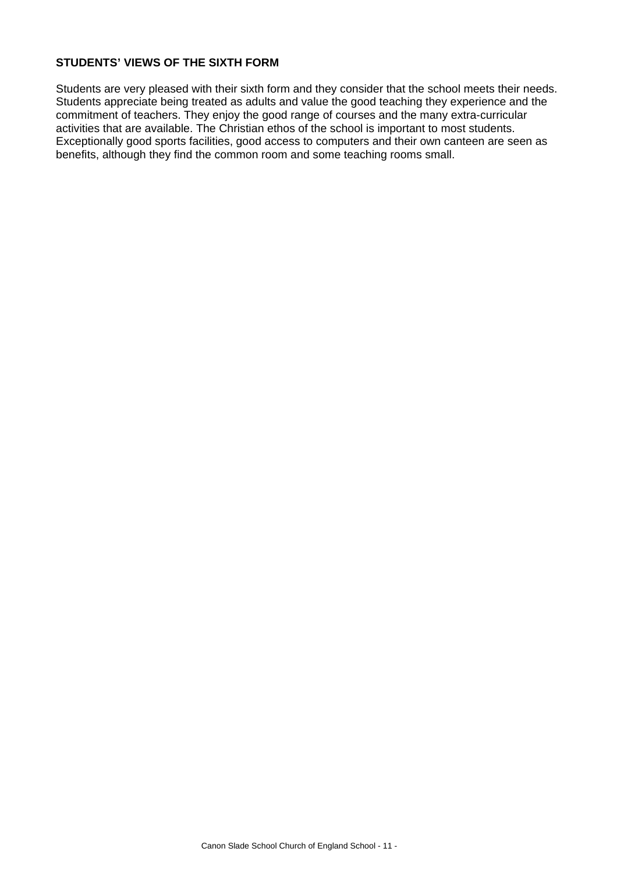# **STUDENTS' VIEWS OF THE SIXTH FORM**

Students are very pleased with their sixth form and they consider that the school meets their needs. Students appreciate being treated as adults and value the good teaching they experience and the commitment of teachers. They enjoy the good range of courses and the many extra-curricular activities that are available. The Christian ethos of the school is important to most students. Exceptionally good sports facilities, good access to computers and their own canteen are seen as benefits, although they find the common room and some teaching rooms small.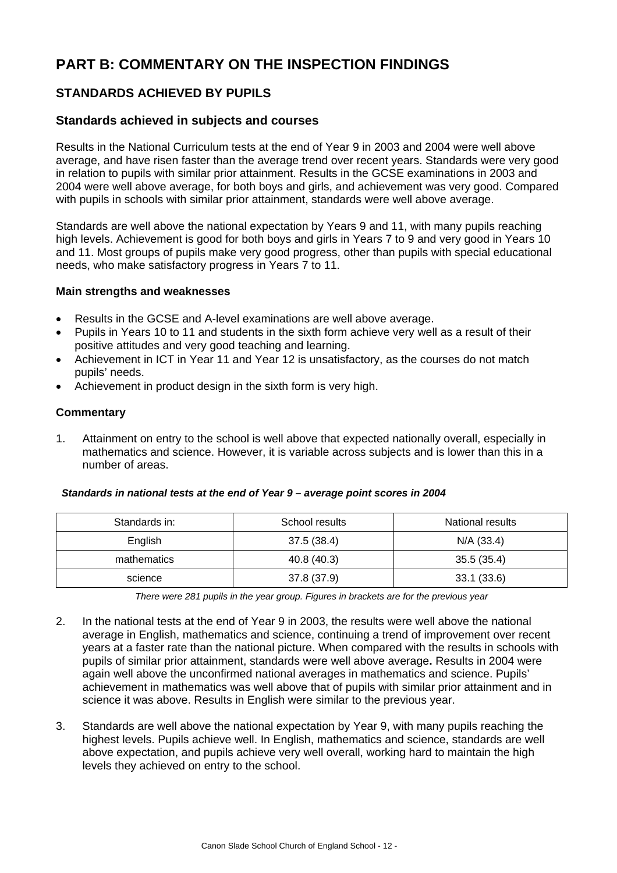# **PART B: COMMENTARY ON THE INSPECTION FINDINGS**

# **STANDARDS ACHIEVED BY PUPILS**

# **Standards achieved in subjects and courses**

Results in the National Curriculum tests at the end of Year 9 in 2003 and 2004 were well above average, and have risen faster than the average trend over recent years. Standards were very good in relation to pupils with similar prior attainment. Results in the GCSE examinations in 2003 and 2004 were well above average, for both boys and girls, and achievement was very good. Compared with pupils in schools with similar prior attainment, standards were well above average.

Standards are well above the national expectation by Years 9 and 11, with many pupils reaching high levels. Achievement is good for both boys and girls in Years 7 to 9 and very good in Years 10 and 11. Most groups of pupils make very good progress, other than pupils with special educational needs, who make satisfactory progress in Years 7 to 11.

#### **Main strengths and weaknesses**

- Results in the GCSE and A-level examinations are well above average.
- Pupils in Years 10 to 11 and students in the sixth form achieve very well as a result of their positive attitudes and very good teaching and learning.
- Achievement in ICT in Year 11 and Year 12 is unsatisfactory, as the courses do not match pupils' needs.
- Achievement in product design in the sixth form is very high.

# **Commentary**

1. Attainment on entry to the school is well above that expected nationally overall, especially in mathematics and science. However, it is variable across subjects and is lower than this in a number of areas.

| Standards in: | School results | National results |
|---------------|----------------|------------------|
| English       | 37.5(38.4)     | $N/A$ (33.4)     |
| mathematics   | 40.8 (40.3)    | 35.5 (35.4)      |
| science       | 37.8 (37.9)    | 33.1(33.6)       |

#### *Standards in national tests at the end of Year 9 – average point scores in 2004*

*There were 281 pupils in the year group. Figures in brackets are for the previous year* 

- 2. In the national tests at the end of Year 9 in 2003, the results were well above the national average in English, mathematics and science, continuing a trend of improvement over recent years at a faster rate than the national picture. When compared with the results in schools with pupils of similar prior attainment, standards were well above average**.** Results in 2004 were again well above the unconfirmed national averages in mathematics and science. Pupils' achievement in mathematics was well above that of pupils with similar prior attainment and in science it was above. Results in English were similar to the previous year.
- 3. Standards are well above the national expectation by Year 9, with many pupils reaching the highest levels. Pupils achieve well. In English, mathematics and science, standards are well above expectation, and pupils achieve very well overall, working hard to maintain the high levels they achieved on entry to the school.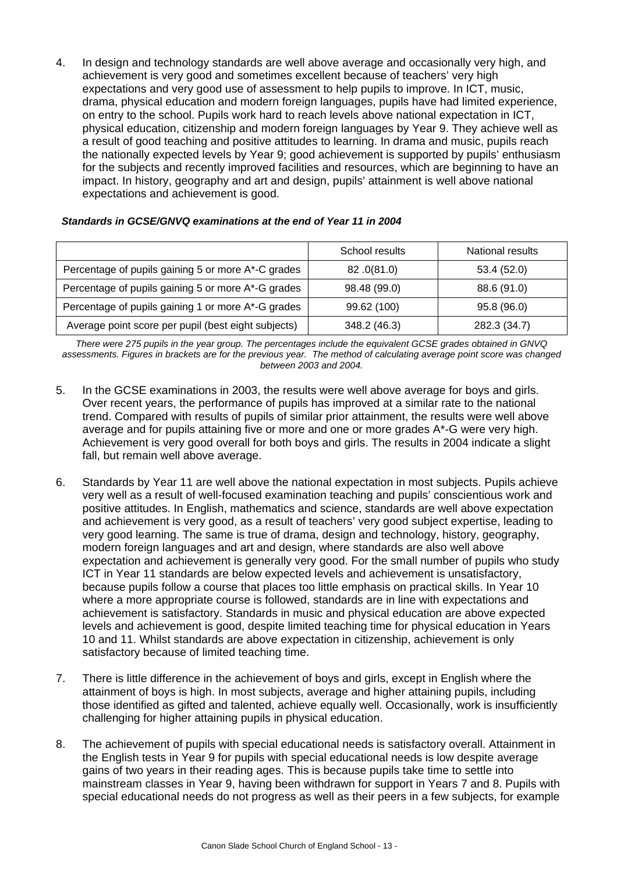4. In design and technology standards are well above average and occasionally very high, and achievement is very good and sometimes excellent because of teachers' very high expectations and very good use of assessment to help pupils to improve. In ICT, music, drama, physical education and modern foreign languages, pupils have had limited experience, on entry to the school. Pupils work hard to reach levels above national expectation in ICT, physical education, citizenship and modern foreign languages by Year 9. They achieve well as a result of good teaching and positive attitudes to learning. In drama and music, pupils reach the nationally expected levels by Year 9; good achievement is supported by pupils' enthusiasm for the subjects and recently improved facilities and resources, which are beginning to have an impact. In history, geography and art and design, pupils' attainment is well above national expectations and achievement is good.

|                                                     | School results | National results |
|-----------------------------------------------------|----------------|------------------|
| Percentage of pupils gaining 5 or more A*-C grades  | 82.0(81.0)     | 53.4 (52.0)      |
| Percentage of pupils gaining 5 or more A*-G grades  | 98.48 (99.0)   | 88.6 (91.0)      |
| Percentage of pupils gaining 1 or more A*-G grades  | 99.62 (100)    | 95.8 (96.0)      |
| Average point score per pupil (best eight subjects) | 348.2 (46.3)   | 282.3 (34.7)     |

#### *Standards in GCSE/GNVQ examinations at the end of Year 11 in 2004*

*There were 275 pupils in the year group. The percentages include the equivalent GCSE grades obtained in GNVQ assessments. Figures in brackets are for the previous year. The method of calculating average point score was changed between 2003 and 2004.* 

- 5. In the GCSE examinations in 2003, the results were well above average for boys and girls. Over recent years, the performance of pupils has improved at a similar rate to the national trend. Compared with results of pupils of similar prior attainment, the results were well above average and for pupils attaining five or more and one or more grades A\*-G were very high. Achievement is very good overall for both boys and girls. The results in 2004 indicate a slight fall, but remain well above average.
- 6. Standards by Year 11 are well above the national expectation in most subjects. Pupils achieve very well as a result of well-focused examination teaching and pupils' conscientious work and positive attitudes. In English, mathematics and science, standards are well above expectation and achievement is very good, as a result of teachers' very good subject expertise, leading to very good learning. The same is true of drama, design and technology, history, geography, modern foreign languages and art and design, where standards are also well above expectation and achievement is generally very good. For the small number of pupils who study ICT in Year 11 standards are below expected levels and achievement is unsatisfactory, because pupils follow a course that places too little emphasis on practical skills. In Year 10 where a more appropriate course is followed, standards are in line with expectations and achievement is satisfactory. Standards in music and physical education are above expected levels and achievement is good, despite limited teaching time for physical education in Years 10 and 11. Whilst standards are above expectation in citizenship, achievement is only satisfactory because of limited teaching time.
- 7. There is little difference in the achievement of boys and girls, except in English where the attainment of boys is high. In most subjects, average and higher attaining pupils, including those identified as gifted and talented, achieve equally well. Occasionally, work is insufficiently challenging for higher attaining pupils in physical education.
- 8. The achievement of pupils with special educational needs is satisfactory overall. Attainment in the English tests in Year 9 for pupils with special educational needs is low despite average gains of two years in their reading ages. This is because pupils take time to settle into mainstream classes in Year 9, having been withdrawn for support in Years 7 and 8. Pupils with special educational needs do not progress as well as their peers in a few subjects, for example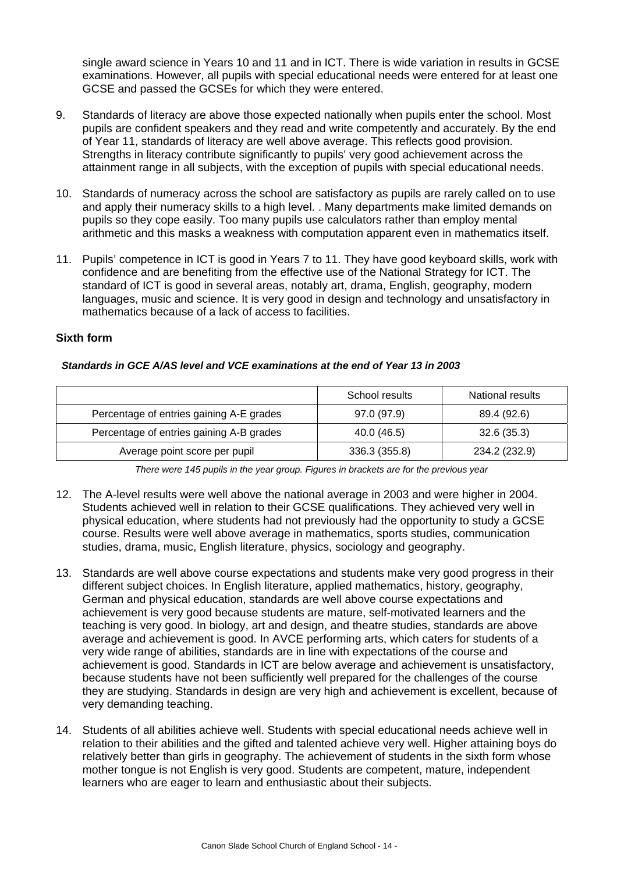single award science in Years 10 and 11 and in ICT. There is wide variation in results in GCSE examinations. However, all pupils with special educational needs were entered for at least one GCSE and passed the GCSEs for which they were entered.

- 9. Standards of literacy are above those expected nationally when pupils enter the school. Most pupils are confident speakers and they read and write competently and accurately. By the end of Year 11, standards of literacy are well above average. This reflects good provision. Strengths in literacy contribute significantly to pupils' very good achievement across the attainment range in all subjects, with the exception of pupils with special educational needs.
- 10. Standards of numeracy across the school are satisfactory as pupils are rarely called on to use and apply their numeracy skills to a high level. . Many departments make limited demands on pupils so they cope easily. Too many pupils use calculators rather than employ mental arithmetic and this masks a weakness with computation apparent even in mathematics itself.
- 11. Pupils' competence in ICT is good in Years 7 to 11. They have good keyboard skills, work with confidence and are benefiting from the effective use of the National Strategy for ICT. The standard of ICT is good in several areas, notably art, drama, English, geography, modern languages, music and science. It is very good in design and technology and unsatisfactory in mathematics because of a lack of access to facilities.

#### **Sixth form**

# *Standards in GCE A/AS level and VCE examinations at the end of Year 13 in 2003*

|                                          | School results | National results |
|------------------------------------------|----------------|------------------|
| Percentage of entries gaining A-E grades | 97.0 (97.9)    | 89.4 (92.6)      |
| Percentage of entries gaining A-B grades | 40.0 (46.5)    | 32.6(35.3)       |
| Average point score per pupil            | 336.3 (355.8)  | 234.2 (232.9)    |

*There were 145 pupils in the year group. Figures in brackets are for the previous year* 

- 12. The A-level results were well above the national average in 2003 and were higher in 2004. Students achieved well in relation to their GCSE qualifications. They achieved very well in physical education, where students had not previously had the opportunity to study a GCSE course. Results were well above average in mathematics, sports studies, communication studies, drama, music, English literature, physics, sociology and geography.
- 13. Standards are well above course expectations and students make very good progress in their different subject choices. In English literature, applied mathematics, history, geography, German and physical education, standards are well above course expectations and achievement is very good because students are mature, self-motivated learners and the teaching is very good. In biology, art and design, and theatre studies, standards are above average and achievement is good. In AVCE performing arts, which caters for students of a very wide range of abilities, standards are in line with expectations of the course and achievement is good. Standards in ICT are below average and achievement is unsatisfactory, because students have not been sufficiently well prepared for the challenges of the course they are studying. Standards in design are very high and achievement is excellent, because of very demanding teaching.
- 14. Students of all abilities achieve well. Students with special educational needs achieve well in relation to their abilities and the gifted and talented achieve very well. Higher attaining boys do relatively better than girls in geography. The achievement of students in the sixth form whose mother tongue is not English is very good. Students are competent, mature, independent learners who are eager to learn and enthusiastic about their subjects.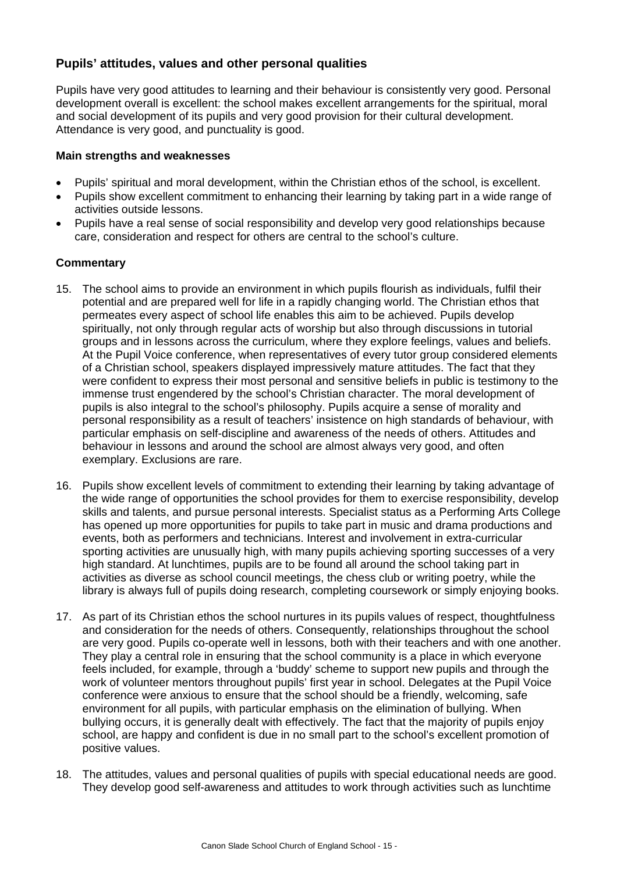# **Pupils' attitudes, values and other personal qualities**

Pupils have very good attitudes to learning and their behaviour is consistently very good. Personal development overall is excellent: the school makes excellent arrangements for the spiritual, moral and social development of its pupils and very good provision for their cultural development. Attendance is very good, and punctuality is good.

#### **Main strengths and weaknesses**

- Pupils' spiritual and moral development, within the Christian ethos of the school, is excellent.
- Pupils show excellent commitment to enhancing their learning by taking part in a wide range of activities outside lessons.
- Pupils have a real sense of social responsibility and develop very good relationships because care, consideration and respect for others are central to the school's culture.

- 15. The school aims to provide an environment in which pupils flourish as individuals, fulfil their potential and are prepared well for life in a rapidly changing world. The Christian ethos that permeates every aspect of school life enables this aim to be achieved. Pupils develop spiritually, not only through regular acts of worship but also through discussions in tutorial groups and in lessons across the curriculum, where they explore feelings, values and beliefs. At the Pupil Voice conference, when representatives of every tutor group considered elements of a Christian school, speakers displayed impressively mature attitudes. The fact that they were confident to express their most personal and sensitive beliefs in public is testimony to the immense trust engendered by the school's Christian character. The moral development of pupils is also integral to the school's philosophy. Pupils acquire a sense of morality and personal responsibility as a result of teachers' insistence on high standards of behaviour, with particular emphasis on self-discipline and awareness of the needs of others. Attitudes and behaviour in lessons and around the school are almost always very good, and often exemplary. Exclusions are rare.
- 16. Pupils show excellent levels of commitment to extending their learning by taking advantage of the wide range of opportunities the school provides for them to exercise responsibility, develop skills and talents, and pursue personal interests. Specialist status as a Performing Arts College has opened up more opportunities for pupils to take part in music and drama productions and events, both as performers and technicians. Interest and involvement in extra-curricular sporting activities are unusually high, with many pupils achieving sporting successes of a very high standard. At lunchtimes, pupils are to be found all around the school taking part in activities as diverse as school council meetings, the chess club or writing poetry, while the library is always full of pupils doing research, completing coursework or simply enjoying books.
- 17. As part of its Christian ethos the school nurtures in its pupils values of respect, thoughtfulness and consideration for the needs of others. Consequently, relationships throughout the school are very good. Pupils co-operate well in lessons, both with their teachers and with one another. They play a central role in ensuring that the school community is a place in which everyone feels included, for example, through a 'buddy' scheme to support new pupils and through the work of volunteer mentors throughout pupils' first year in school. Delegates at the Pupil Voice conference were anxious to ensure that the school should be a friendly, welcoming, safe environment for all pupils, with particular emphasis on the elimination of bullying. When bullying occurs, it is generally dealt with effectively. The fact that the majority of pupils enjoy school, are happy and confident is due in no small part to the school's excellent promotion of positive values.
- 18. The attitudes, values and personal qualities of pupils with special educational needs are good. They develop good self-awareness and attitudes to work through activities such as lunchtime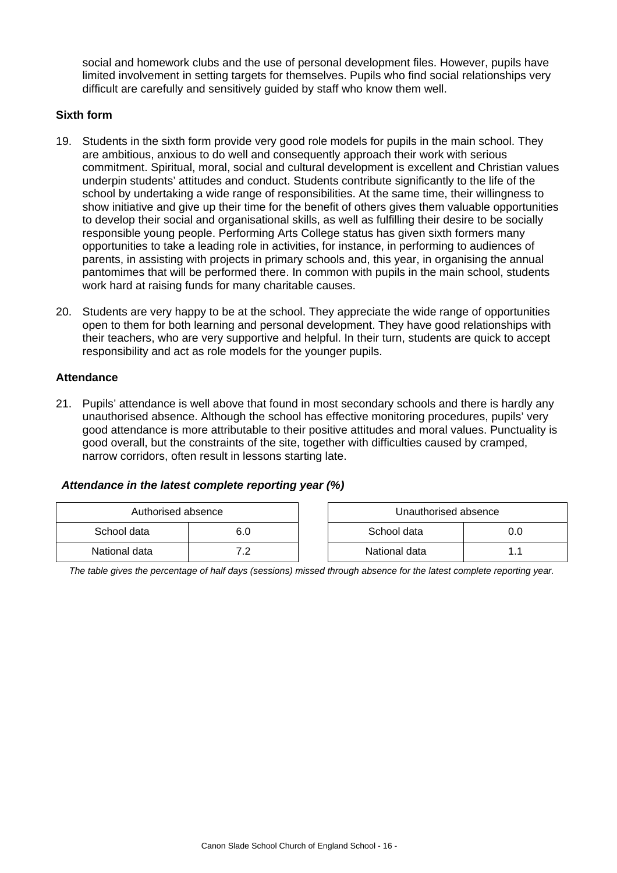social and homework clubs and the use of personal development files. However, pupils have limited involvement in setting targets for themselves. Pupils who find social relationships very difficult are carefully and sensitively guided by staff who know them well.

# **Sixth form**

- 19. Students in the sixth form provide very good role models for pupils in the main school. They are ambitious, anxious to do well and consequently approach their work with serious commitment. Spiritual, moral, social and cultural development is excellent and Christian values underpin students' attitudes and conduct. Students contribute significantly to the life of the school by undertaking a wide range of responsibilities. At the same time, their willingness to show initiative and give up their time for the benefit of others gives them valuable opportunities to develop their social and organisational skills, as well as fulfilling their desire to be socially responsible young people. Performing Arts College status has given sixth formers many opportunities to take a leading role in activities, for instance, in performing to audiences of parents, in assisting with projects in primary schools and, this year, in organising the annual pantomimes that will be performed there. In common with pupils in the main school, students work hard at raising funds for many charitable causes.
- 20. Students are very happy to be at the school. They appreciate the wide range of opportunities open to them for both learning and personal development. They have good relationships with their teachers, who are very supportive and helpful. In their turn, students are quick to accept responsibility and act as role models for the younger pupils.

#### **Attendance**

21. Pupils' attendance is well above that found in most secondary schools and there is hardly any unauthorised absence. Although the school has effective monitoring procedures, pupils' very good attendance is more attributable to their positive attitudes and moral values. Punctuality is good overall, but the constraints of the site, together with difficulties caused by cramped, narrow corridors, often result in lessons starting late.

# *Attendance in the latest complete reporting year (%)*

| Authorised absence |     | Unauthorised absence |  |
|--------------------|-----|----------------------|--|
| School data        | 6.0 | School data          |  |
| National data      |     | National data        |  |

*The table gives the percentage of half days (sessions) missed through absence for the latest complete reporting year.*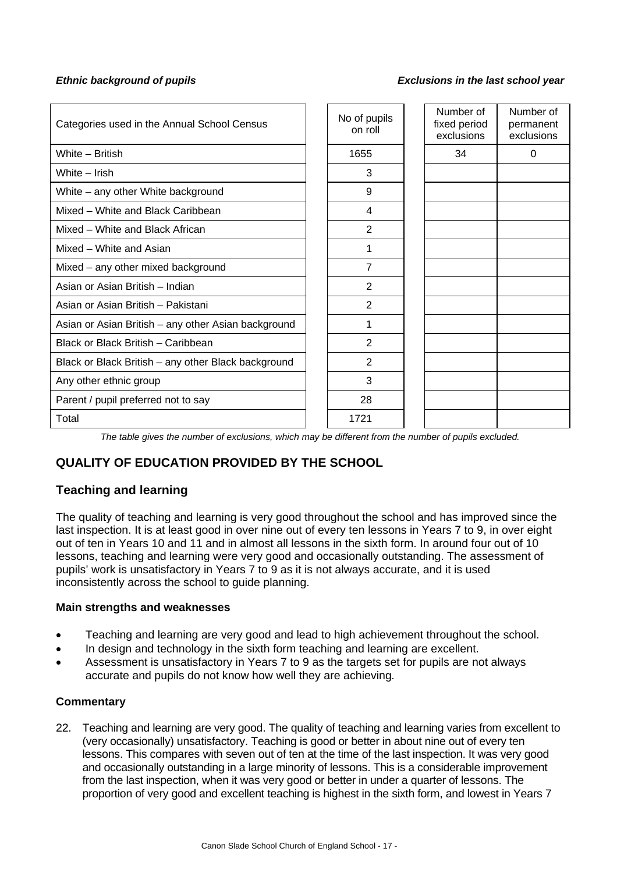#### *Ethnic background of pupils Exclusions in the last school year*

| Categories used in the Annual School Census         | No of pupils<br>on roll | Number of<br>fixed period<br>exclusions | Number of<br>permanent<br>exclusions |
|-----------------------------------------------------|-------------------------|-----------------------------------------|--------------------------------------|
| White - British                                     | 1655                    | 34                                      | $\Omega$                             |
| White - Irish                                       | 3                       |                                         |                                      |
| White – any other White background                  | 9                       |                                         |                                      |
| Mixed - White and Black Caribbean                   | 4                       |                                         |                                      |
| Mixed - White and Black African                     | $\overline{2}$          |                                         |                                      |
| Mixed - White and Asian                             |                         |                                         |                                      |
| Mixed – any other mixed background                  | 7                       |                                         |                                      |
| Asian or Asian British - Indian                     | $\overline{2}$          |                                         |                                      |
| Asian or Asian British - Pakistani                  | 2                       |                                         |                                      |
| Asian or Asian British - any other Asian background | 1                       |                                         |                                      |
| Black or Black British - Caribbean                  | 2                       |                                         |                                      |
| Black or Black British - any other Black background | $\overline{2}$          |                                         |                                      |
| Any other ethnic group                              | 3                       |                                         |                                      |
| Parent / pupil preferred not to say                 | 28                      |                                         |                                      |
| Total                                               | 1721                    |                                         |                                      |

*The table gives the number of exclusions, which may be different from the number of pupils excluded.*

# **QUALITY OF EDUCATION PROVIDED BY THE SCHOOL**

# **Teaching and learning**

The quality of teaching and learning is very good throughout the school and has improved since the last inspection. It is at least good in over nine out of every ten lessons in Years 7 to 9, in over eight out of ten in Years 10 and 11 and in almost all lessons in the sixth form. In around four out of 10 lessons, teaching and learning were very good and occasionally outstanding. The assessment of pupils' work is unsatisfactory in Years 7 to 9 as it is not always accurate, and it is used inconsistently across the school to guide planning.

#### **Main strengths and weaknesses**

- Teaching and learning are very good and lead to high achievement throughout the school.
- In design and technology in the sixth form teaching and learning are excellent.
- Assessment is unsatisfactory in Years 7 to 9 as the targets set for pupils are not always accurate and pupils do not know how well they are achieving*.*

# **Commentary**

22. Teaching and learning are very good. The quality of teaching and learning varies from excellent to (very occasionally) unsatisfactory. Teaching is good or better in about nine out of every ten lessons. This compares with seven out of ten at the time of the last inspection. It was very good and occasionally outstanding in a large minority of lessons. This is a considerable improvement from the last inspection, when it was very good or better in under a quarter of lessons. The proportion of very good and excellent teaching is highest in the sixth form, and lowest in Years 7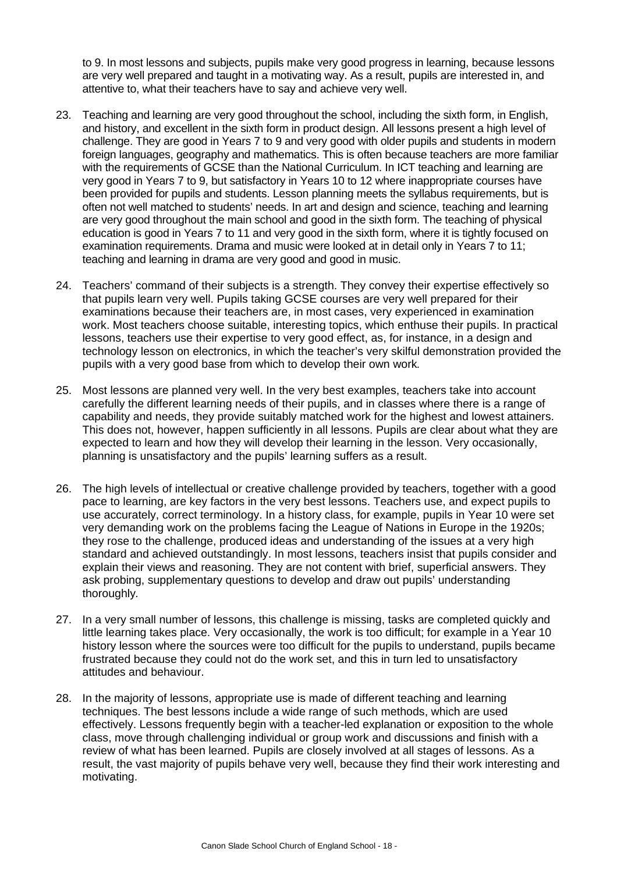to 9. In most lessons and subjects, pupils make very good progress in learning, because lessons are very well prepared and taught in a motivating way. As a result, pupils are interested in, and attentive to, what their teachers have to say and achieve very well.

- 23. Teaching and learning are very good throughout the school, including the sixth form, in English, and history, and excellent in the sixth form in product design. All lessons present a high level of challenge. They are good in Years 7 to 9 and very good with older pupils and students in modern foreign languages, geography and mathematics. This is often because teachers are more familiar with the requirements of GCSE than the National Curriculum. In ICT teaching and learning are very good in Years 7 to 9, but satisfactory in Years 10 to 12 where inappropriate courses have been provided for pupils and students. Lesson planning meets the syllabus requirements, but is often not well matched to students' needs. In art and design and science, teaching and learning are very good throughout the main school and good in the sixth form. The teaching of physical education is good in Years 7 to 11 and very good in the sixth form, where it is tightly focused on examination requirements. Drama and music were looked at in detail only in Years 7 to 11; teaching and learning in drama are very good and good in music.
- 24. Teachers' command of their subjects is a strength. They convey their expertise effectively so that pupils learn very well. Pupils taking GCSE courses are very well prepared for their examinations because their teachers are, in most cases, very experienced in examination work. Most teachers choose suitable, interesting topics, which enthuse their pupils. In practical lessons, teachers use their expertise to very good effect, as, for instance, in a design and technology lesson on electronics, in which the teacher's very skilful demonstration provided the pupils with a very good base from which to develop their own work*.*
- 25. Most lessons are planned very well. In the very best examples, teachers take into account carefully the different learning needs of their pupils, and in classes where there is a range of capability and needs, they provide suitably matched work for the highest and lowest attainers. This does not, however, happen sufficiently in all lessons. Pupils are clear about what they are expected to learn and how they will develop their learning in the lesson. Very occasionally, planning is unsatisfactory and the pupils' learning suffers as a result.
- 26. The high levels of intellectual or creative challenge provided by teachers, together with a good pace to learning, are key factors in the very best lessons. Teachers use, and expect pupils to use accurately, correct terminology. In a history class, for example, pupils in Year 10 were set very demanding work on the problems facing the League of Nations in Europe in the 1920s; they rose to the challenge, produced ideas and understanding of the issues at a very high standard and achieved outstandingly. In most lessons, teachers insist that pupils consider and explain their views and reasoning. They are not content with brief, superficial answers. They ask probing, supplementary questions to develop and draw out pupils' understanding thoroughly*.*
- 27. In a very small number of lessons, this challenge is missing, tasks are completed quickly and little learning takes place. Very occasionally, the work is too difficult; for example in a Year 10 history lesson where the sources were too difficult for the pupils to understand, pupils became frustrated because they could not do the work set, and this in turn led to unsatisfactory attitudes and behaviour.
- 28. In the majority of lessons, appropriate use is made of different teaching and learning techniques. The best lessons include a wide range of such methods, which are used effectively. Lessons frequently begin with a teacher-led explanation or exposition to the whole class, move through challenging individual or group work and discussions and finish with a review of what has been learned. Pupils are closely involved at all stages of lessons. As a result, the vast majority of pupils behave very well, because they find their work interesting and motivating.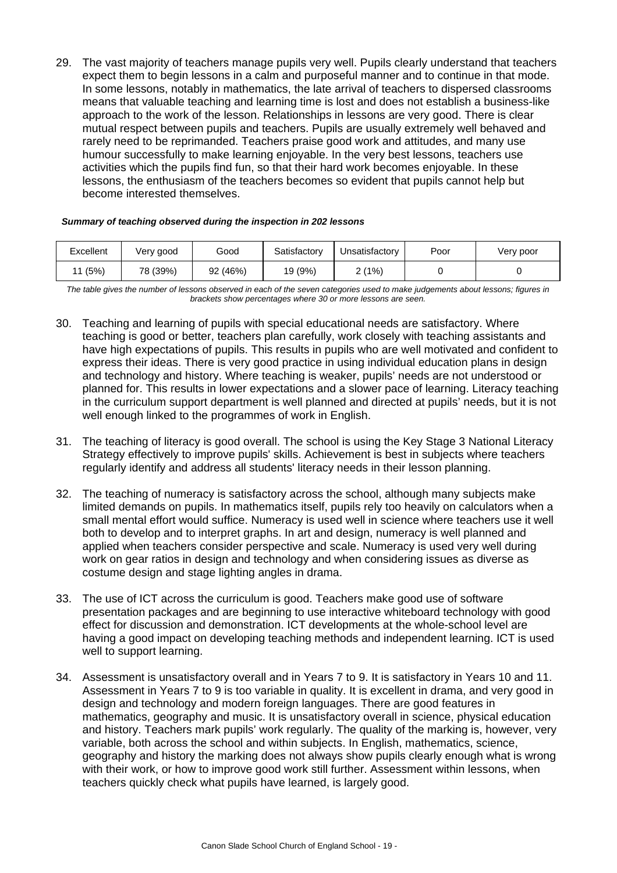29. The vast majority of teachers manage pupils very well. Pupils clearly understand that teachers expect them to begin lessons in a calm and purposeful manner and to continue in that mode. In some lessons, notably in mathematics, the late arrival of teachers to dispersed classrooms means that valuable teaching and learning time is lost and does not establish a business-like approach to the work of the lesson. Relationships in lessons are very good. There is clear mutual respect between pupils and teachers. Pupils are usually extremely well behaved and rarely need to be reprimanded. Teachers praise good work and attitudes, and many use humour successfully to make learning enjoyable. In the very best lessons, teachers use activities which the pupils find fun, so that their hard work becomes enjoyable. In these lessons, the enthusiasm of the teachers becomes so evident that pupils cannot help but become interested themselves.

| Summary of teaching observed during the inspection in 202 lessons |  |  |  |
|-------------------------------------------------------------------|--|--|--|
|-------------------------------------------------------------------|--|--|--|

| Excellent | Very good | Good     | Satisfactory | Unsatisfactory | Poor | Very poor |
|-----------|-----------|----------|--------------|----------------|------|-----------|
| (5%)      | 78 (39%)  | 92 (46%) | 19 (9%)      | (1%)           |      |           |

*The table gives the number of lessons observed in each of the seven categories used to make judgements about lessons; figures in brackets show percentages where 30 or more lessons are seen.* 

- 30. Teaching and learning of pupils with special educational needs are satisfactory. Where teaching is good or better, teachers plan carefully, work closely with teaching assistants and have high expectations of pupils. This results in pupils who are well motivated and confident to express their ideas. There is very good practice in using individual education plans in design and technology and history. Where teaching is weaker, pupils' needs are not understood or planned for. This results in lower expectations and a slower pace of learning. Literacy teaching in the curriculum support department is well planned and directed at pupils' needs, but it is not well enough linked to the programmes of work in English.
- 31. The teaching of literacy is good overall. The school is using the Key Stage 3 National Literacy Strategy effectively to improve pupils' skills. Achievement is best in subjects where teachers regularly identify and address all students' literacy needs in their lesson planning.
- 32. The teaching of numeracy is satisfactory across the school, although many subjects make limited demands on pupils. In mathematics itself, pupils rely too heavily on calculators when a small mental effort would suffice. Numeracy is used well in science where teachers use it well both to develop and to interpret graphs. In art and design, numeracy is well planned and applied when teachers consider perspective and scale. Numeracy is used very well during work on gear ratios in design and technology and when considering issues as diverse as costume design and stage lighting angles in drama.
- 33. The use of ICT across the curriculum is good. Teachers make good use of software presentation packages and are beginning to use interactive whiteboard technology with good effect for discussion and demonstration. ICT developments at the whole-school level are having a good impact on developing teaching methods and independent learning. ICT is used well to support learning.
- 34. Assessment is unsatisfactory overall and in Years 7 to 9. It is satisfactory in Years 10 and 11. Assessment in Years 7 to 9 is too variable in quality. It is excellent in drama, and very good in design and technology and modern foreign languages. There are good features in mathematics, geography and music. It is unsatisfactory overall in science, physical education and history. Teachers mark pupils' work regularly. The quality of the marking is, however, very variable, both across the school and within subjects. In English, mathematics, science, geography and history the marking does not always show pupils clearly enough what is wrong with their work, or how to improve good work still further. Assessment within lessons, when teachers quickly check what pupils have learned, is largely good.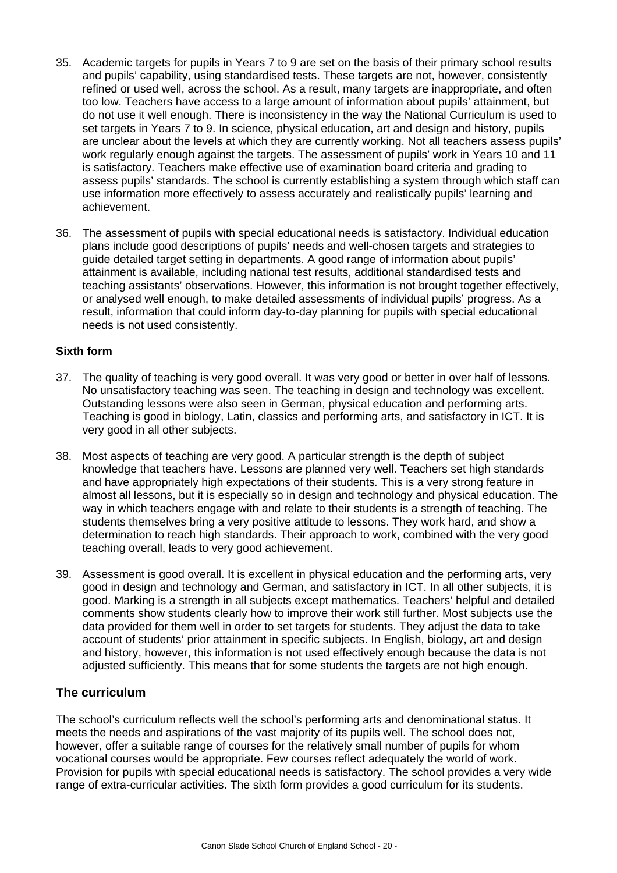- 35. Academic targets for pupils in Years 7 to 9 are set on the basis of their primary school results and pupils' capability, using standardised tests. These targets are not, however, consistently refined or used well, across the school. As a result, many targets are inappropriate, and often too low. Teachers have access to a large amount of information about pupils' attainment, but do not use it well enough. There is inconsistency in the way the National Curriculum is used to set targets in Years 7 to 9. In science, physical education, art and design and history, pupils are unclear about the levels at which they are currently working. Not all teachers assess pupils' work regularly enough against the targets. The assessment of pupils' work in Years 10 and 11 is satisfactory. Teachers make effective use of examination board criteria and grading to assess pupils' standards. The school is currently establishing a system through which staff can use information more effectively to assess accurately and realistically pupils' learning and achievement.
- 36. The assessment of pupils with special educational needs is satisfactory. Individual education plans include good descriptions of pupils' needs and well-chosen targets and strategies to guide detailed target setting in departments. A good range of information about pupils' attainment is available, including national test results, additional standardised tests and teaching assistants' observations. However, this information is not brought together effectively, or analysed well enough, to make detailed assessments of individual pupils' progress. As a result, information that could inform day-to-day planning for pupils with special educational needs is not used consistently.

#### **Sixth form**

- 37. The quality of teaching is very good overall. It was very good or better in over half of lessons. No unsatisfactory teaching was seen. The teaching in design and technology was excellent. Outstanding lessons were also seen in German, physical education and performing arts. Teaching is good in biology, Latin, classics and performing arts, and satisfactory in ICT. It is very good in all other subjects.
- 38. Most aspects of teaching are very good. A particular strength is the depth of subject knowledge that teachers have. Lessons are planned very well. Teachers set high standards and have appropriately high expectations of their students*.* This is a very strong feature in almost all lessons, but it is especially so in design and technology and physical education. The way in which teachers engage with and relate to their students is a strength of teaching. The students themselves bring a very positive attitude to lessons. They work hard, and show a determination to reach high standards. Their approach to work, combined with the very good teaching overall, leads to very good achievement.
- 39. Assessment is good overall. It is excellent in physical education and the performing arts, very good in design and technology and German, and satisfactory in ICT. In all other subjects, it is good. Marking is a strength in all subjects except mathematics. Teachers' helpful and detailed comments show students clearly how to improve their work still further. Most subjects use the data provided for them well in order to set targets for students. They adjust the data to take account of students' prior attainment in specific subjects. In English, biology, art and design and history, however, this information is not used effectively enough because the data is not adjusted sufficiently. This means that for some students the targets are not high enough.

# **The curriculum**

The school's curriculum reflects well the school's performing arts and denominational status. It meets the needs and aspirations of the vast majority of its pupils well. The school does not, however, offer a suitable range of courses for the relatively small number of pupils for whom vocational courses would be appropriate. Few courses reflect adequately the world of work. Provision for pupils with special educational needs is satisfactory. The school provides a very wide range of extra-curricular activities. The sixth form provides a good curriculum for its students.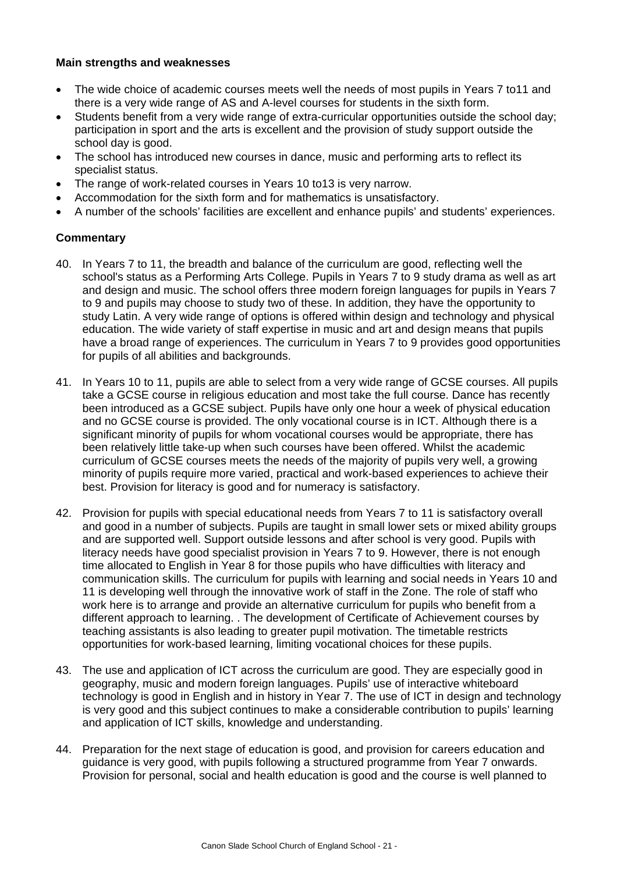#### **Main strengths and weaknesses**

- The wide choice of academic courses meets well the needs of most pupils in Years 7 to 11 and there is a very wide range of AS and A-level courses for students in the sixth form.
- Students benefit from a very wide range of extra-curricular opportunities outside the school day; participation in sport and the arts is excellent and the provision of study support outside the school day is good.
- The school has introduced new courses in dance, music and performing arts to reflect its specialist status.
- The range of work-related courses in Years 10 to13 is very narrow.
- Accommodation for the sixth form and for mathematics is unsatisfactory.
- A number of the schools' facilities are excellent and enhance pupils' and students' experiences.

- 40. In Years 7 to 11, the breadth and balance of the curriculum are good, reflecting well the school's status as a Performing Arts College. Pupils in Years 7 to 9 study drama as well as art and design and music. The school offers three modern foreign languages for pupils in Years 7 to 9 and pupils may choose to study two of these. In addition, they have the opportunity to study Latin. A very wide range of options is offered within design and technology and physical education. The wide variety of staff expertise in music and art and design means that pupils have a broad range of experiences. The curriculum in Years 7 to 9 provides good opportunities for pupils of all abilities and backgrounds.
- 41. In Years 10 to 11, pupils are able to select from a very wide range of GCSE courses. All pupils take a GCSE course in religious education and most take the full course. Dance has recently been introduced as a GCSE subject. Pupils have only one hour a week of physical education and no GCSE course is provided. The only vocational course is in ICT. Although there is a significant minority of pupils for whom vocational courses would be appropriate, there has been relatively little take-up when such courses have been offered. Whilst the academic curriculum of GCSE courses meets the needs of the majority of pupils very well, a growing minority of pupils require more varied, practical and work-based experiences to achieve their best. Provision for literacy is good and for numeracy is satisfactory.
- 42. Provision for pupils with special educational needs from Years 7 to 11 is satisfactory overall and good in a number of subjects. Pupils are taught in small lower sets or mixed ability groups and are supported well. Support outside lessons and after school is very good. Pupils with literacy needs have good specialist provision in Years 7 to 9. However, there is not enough time allocated to English in Year 8 for those pupils who have difficulties with literacy and communication skills. The curriculum for pupils with learning and social needs in Years 10 and 11 is developing well through the innovative work of staff in the Zone. The role of staff who work here is to arrange and provide an alternative curriculum for pupils who benefit from a different approach to learning. . The development of Certificate of Achievement courses by teaching assistants is also leading to greater pupil motivation. The timetable restricts opportunities for work-based learning, limiting vocational choices for these pupils.
- 43. The use and application of ICT across the curriculum are good. They are especially good in geography, music and modern foreign languages. Pupils' use of interactive whiteboard technology is good in English and in history in Year 7. The use of ICT in design and technology is very good and this subject continues to make a considerable contribution to pupils' learning and application of ICT skills, knowledge and understanding.
- 44. Preparation for the next stage of education is good, and provision for careers education and guidance is very good, with pupils following a structured programme from Year 7 onwards. Provision for personal, social and health education is good and the course is well planned to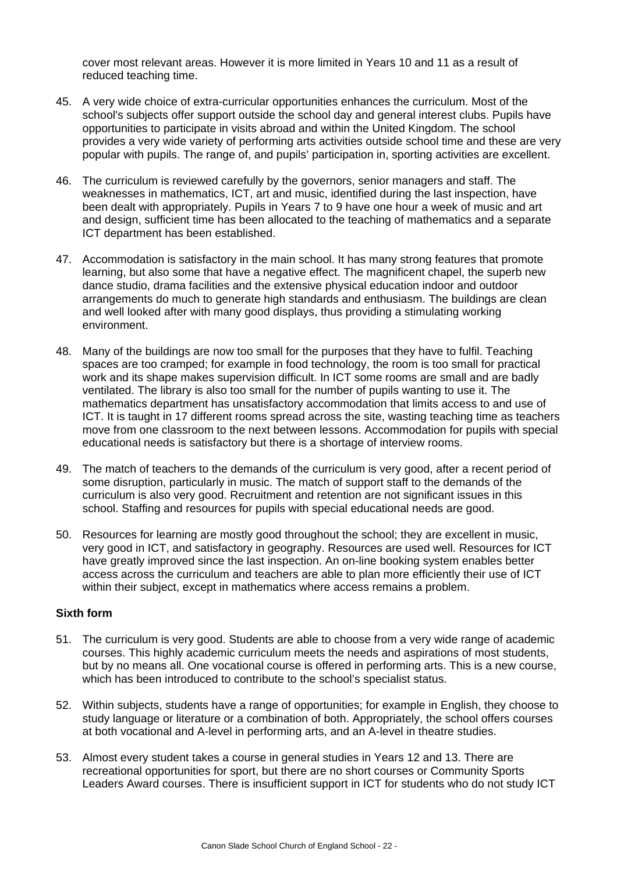cover most relevant areas. However it is more limited in Years 10 and 11 as a result of reduced teaching time.

- 45. A very wide choice of extra-curricular opportunities enhances the curriculum. Most of the school's subjects offer support outside the school day and general interest clubs. Pupils have opportunities to participate in visits abroad and within the United Kingdom. The school provides a very wide variety of performing arts activities outside school time and these are very popular with pupils. The range of, and pupils' participation in, sporting activities are excellent.
- 46. The curriculum is reviewed carefully by the governors, senior managers and staff. The weaknesses in mathematics, ICT, art and music, identified during the last inspection, have been dealt with appropriately. Pupils in Years 7 to 9 have one hour a week of music and art and design, sufficient time has been allocated to the teaching of mathematics and a separate ICT department has been established.
- 47. Accommodation is satisfactory in the main school. It has many strong features that promote learning, but also some that have a negative effect. The magnificent chapel, the superb new dance studio, drama facilities and the extensive physical education indoor and outdoor arrangements do much to generate high standards and enthusiasm. The buildings are clean and well looked after with many good displays, thus providing a stimulating working environment.
- 48. Many of the buildings are now too small for the purposes that they have to fulfil. Teaching spaces are too cramped; for example in food technology, the room is too small for practical work and its shape makes supervision difficult. In ICT some rooms are small and are badly ventilated. The library is also too small for the number of pupils wanting to use it. The mathematics department has unsatisfactory accommodation that limits access to and use of ICT. It is taught in 17 different rooms spread across the site, wasting teaching time as teachers move from one classroom to the next between lessons. Accommodation for pupils with special educational needs is satisfactory but there is a shortage of interview rooms.
- 49. The match of teachers to the demands of the curriculum is very good, after a recent period of some disruption, particularly in music. The match of support staff to the demands of the curriculum is also very good. Recruitment and retention are not significant issues in this school. Staffing and resources for pupils with special educational needs are good.
- 50. Resources for learning are mostly good throughout the school; they are excellent in music, very good in ICT, and satisfactory in geography. Resources are used well. Resources for ICT have greatly improved since the last inspection. An on-line booking system enables better access across the curriculum and teachers are able to plan more efficiently their use of ICT within their subject, except in mathematics where access remains a problem.

## **Sixth form**

- 51. The curriculum is very good. Students are able to choose from a very wide range of academic courses. This highly academic curriculum meets the needs and aspirations of most students, but by no means all. One vocational course is offered in performing arts. This is a new course, which has been introduced to contribute to the school's specialist status.
- 52. Within subjects, students have a range of opportunities; for example in English, they choose to study language or literature or a combination of both. Appropriately, the school offers courses at both vocational and A-level in performing arts, and an A-level in theatre studies.
- 53. Almost every student takes a course in general studies in Years 12 and 13. There are recreational opportunities for sport, but there are no short courses or Community Sports Leaders Award courses. There is insufficient support in ICT for students who do not study ICT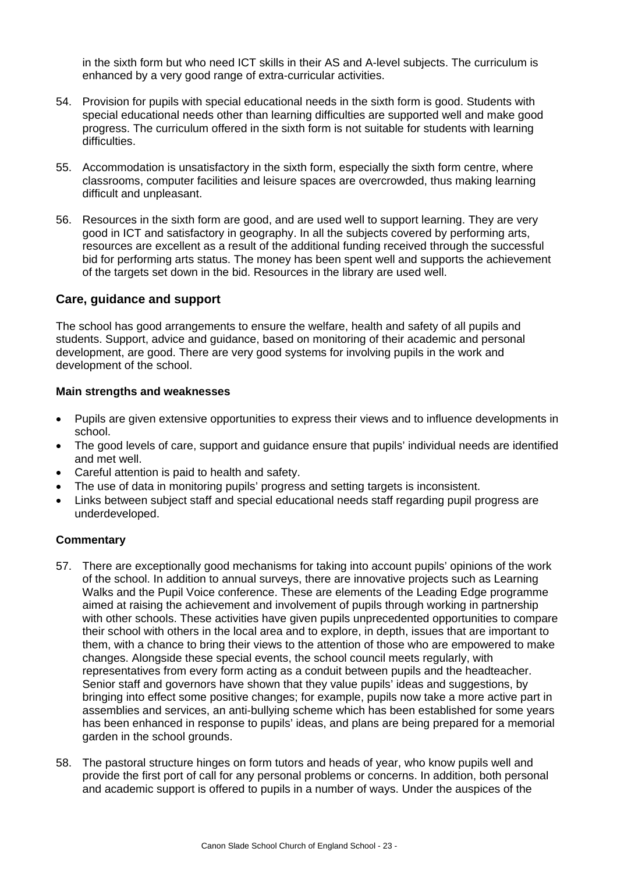in the sixth form but who need ICT skills in their AS and A-level subjects. The curriculum is enhanced by a very good range of extra-curricular activities.

- 54. Provision for pupils with special educational needs in the sixth form is good. Students with special educational needs other than learning difficulties are supported well and make good progress. The curriculum offered in the sixth form is not suitable for students with learning difficulties.
- 55. Accommodation is unsatisfactory in the sixth form, especially the sixth form centre, where classrooms, computer facilities and leisure spaces are overcrowded, thus making learning difficult and unpleasant.
- 56. Resources in the sixth form are good, and are used well to support learning. They are very good in ICT and satisfactory in geography. In all the subjects covered by performing arts, resources are excellent as a result of the additional funding received through the successful bid for performing arts status. The money has been spent well and supports the achievement of the targets set down in the bid. Resources in the library are used well.

# **Care, guidance and support**

The school has good arrangements to ensure the welfare, health and safety of all pupils and students. Support, advice and guidance, based on monitoring of their academic and personal development, are good. There are very good systems for involving pupils in the work and development of the school.

#### **Main strengths and weaknesses**

- Pupils are given extensive opportunities to express their views and to influence developments in school.
- The good levels of care, support and guidance ensure that pupils' individual needs are identified and met well.
- Careful attention is paid to health and safety.
- The use of data in monitoring pupils' progress and setting targets is inconsistent.
- Links between subject staff and special educational needs staff regarding pupil progress are underdeveloped.

- 57. There are exceptionally good mechanisms for taking into account pupils' opinions of the work of the school. In addition to annual surveys, there are innovative projects such as Learning Walks and the Pupil Voice conference. These are elements of the Leading Edge programme aimed at raising the achievement and involvement of pupils through working in partnership with other schools. These activities have given pupils unprecedented opportunities to compare their school with others in the local area and to explore, in depth, issues that are important to them, with a chance to bring their views to the attention of those who are empowered to make changes. Alongside these special events, the school council meets regularly, with representatives from every form acting as a conduit between pupils and the headteacher. Senior staff and governors have shown that they value pupils' ideas and suggestions, by bringing into effect some positive changes; for example, pupils now take a more active part in assemblies and services, an anti-bullying scheme which has been established for some years has been enhanced in response to pupils' ideas, and plans are being prepared for a memorial garden in the school grounds.
- 58. The pastoral structure hinges on form tutors and heads of year, who know pupils well and provide the first port of call for any personal problems or concerns. In addition, both personal and academic support is offered to pupils in a number of ways. Under the auspices of the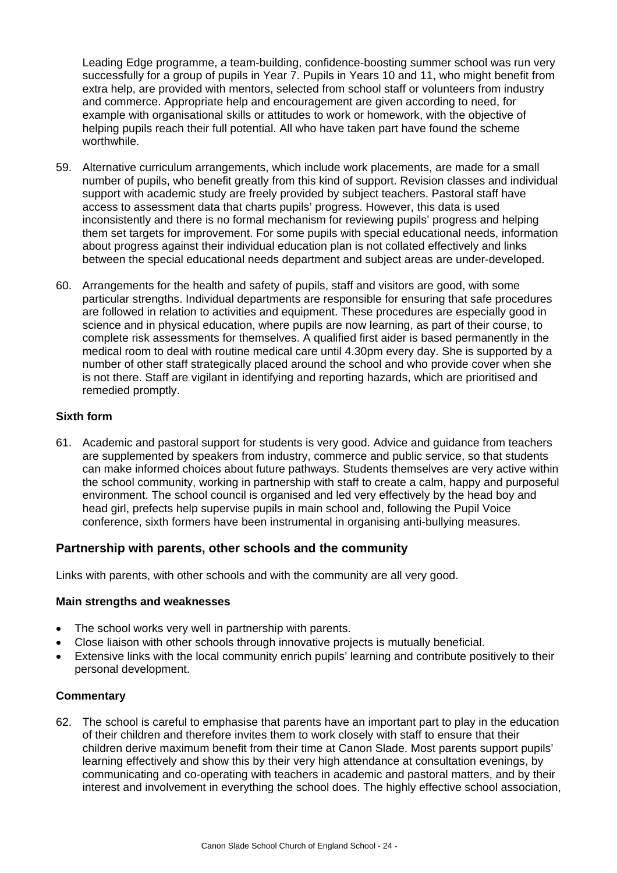Leading Edge programme, a team-building, confidence-boosting summer school was run very successfully for a group of pupils in Year 7. Pupils in Years 10 and 11, who might benefit from extra help, are provided with mentors, selected from school staff or volunteers from industry and commerce. Appropriate help and encouragement are given according to need, for example with organisational skills or attitudes to work or homework, with the objective of helping pupils reach their full potential. All who have taken part have found the scheme worthwhile.

- 59. Alternative curriculum arrangements, which include work placements, are made for a small number of pupils, who benefit greatly from this kind of support. Revision classes and individual support with academic study are freely provided by subject teachers. Pastoral staff have access to assessment data that charts pupils' progress. However, this data is used inconsistently and there is no formal mechanism for reviewing pupils' progress and helping them set targets for improvement. For some pupils with special educational needs, information about progress against their individual education plan is not collated effectively and links between the special educational needs department and subject areas are under-developed.
- 60. Arrangements for the health and safety of pupils, staff and visitors are good, with some particular strengths. Individual departments are responsible for ensuring that safe procedures are followed in relation to activities and equipment. These procedures are especially good in science and in physical education, where pupils are now learning, as part of their course, to complete risk assessments for themselves. A qualified first aider is based permanently in the medical room to deal with routine medical care until 4.30pm every day. She is supported by a number of other staff strategically placed around the school and who provide cover when she is not there. Staff are vigilant in identifying and reporting hazards, which are prioritised and remedied promptly.

# **Sixth form**

61. Academic and pastoral support for students is very good. Advice and guidance from teachers are supplemented by speakers from industry, commerce and public service, so that students can make informed choices about future pathways. Students themselves are very active within the school community, working in partnership with staff to create a calm, happy and purposeful environment. The school council is organised and led very effectively by the head boy and head girl, prefects help supervise pupils in main school and, following the Pupil Voice conference, sixth formers have been instrumental in organising anti-bullying measures.

# **Partnership with parents, other schools and the community**

Links with parents, with other schools and with the community are all very good.

# **Main strengths and weaknesses**

- The school works very well in partnership with parents.
- Close liaison with other schools through innovative projects is mutually beneficial.
- Extensive links with the local community enrich pupils' learning and contribute positively to their personal development.

#### **Commentary**

62. The school is careful to emphasise that parents have an important part to play in the education of their children and therefore invites them to work closely with staff to ensure that their children derive maximum benefit from their time at Canon Slade. Most parents support pupils' learning effectively and show this by their very high attendance at consultation evenings, by communicating and co-operating with teachers in academic and pastoral matters, and by their interest and involvement in everything the school does. The highly effective school association,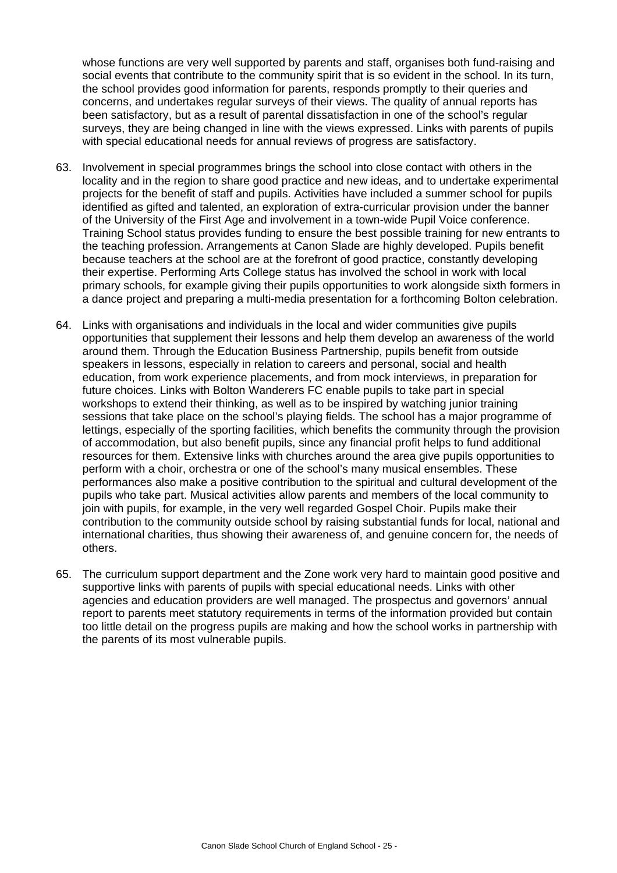whose functions are very well supported by parents and staff, organises both fund-raising and social events that contribute to the community spirit that is so evident in the school. In its turn, the school provides good information for parents, responds promptly to their queries and concerns, and undertakes regular surveys of their views. The quality of annual reports has been satisfactory, but as a result of parental dissatisfaction in one of the school's regular surveys, they are being changed in line with the views expressed. Links with parents of pupils with special educational needs for annual reviews of progress are satisfactory.

- 63. Involvement in special programmes brings the school into close contact with others in the locality and in the region to share good practice and new ideas, and to undertake experimental projects for the benefit of staff and pupils. Activities have included a summer school for pupils identified as gifted and talented, an exploration of extra-curricular provision under the banner of the University of the First Age and involvement in a town-wide Pupil Voice conference. Training School status provides funding to ensure the best possible training for new entrants to the teaching profession. Arrangements at Canon Slade are highly developed. Pupils benefit because teachers at the school are at the forefront of good practice, constantly developing their expertise. Performing Arts College status has involved the school in work with local primary schools, for example giving their pupils opportunities to work alongside sixth formers in a dance project and preparing a multi-media presentation for a forthcoming Bolton celebration.
- 64. Links with organisations and individuals in the local and wider communities give pupils opportunities that supplement their lessons and help them develop an awareness of the world around them. Through the Education Business Partnership, pupils benefit from outside speakers in lessons, especially in relation to careers and personal, social and health education, from work experience placements, and from mock interviews, in preparation for future choices. Links with Bolton Wanderers FC enable pupils to take part in special workshops to extend their thinking, as well as to be inspired by watching junior training sessions that take place on the school's playing fields. The school has a major programme of lettings, especially of the sporting facilities, which benefits the community through the provision of accommodation, but also benefit pupils, since any financial profit helps to fund additional resources for them. Extensive links with churches around the area give pupils opportunities to perform with a choir, orchestra or one of the school's many musical ensembles. These performances also make a positive contribution to the spiritual and cultural development of the pupils who take part. Musical activities allow parents and members of the local community to join with pupils, for example, in the very well regarded Gospel Choir. Pupils make their contribution to the community outside school by raising substantial funds for local, national and international charities, thus showing their awareness of, and genuine concern for, the needs of others.
- 65. The curriculum support department and the Zone work very hard to maintain good positive and supportive links with parents of pupils with special educational needs. Links with other agencies and education providers are well managed. The prospectus and governors' annual report to parents meet statutory requirements in terms of the information provided but contain too little detail on the progress pupils are making and how the school works in partnership with the parents of its most vulnerable pupils.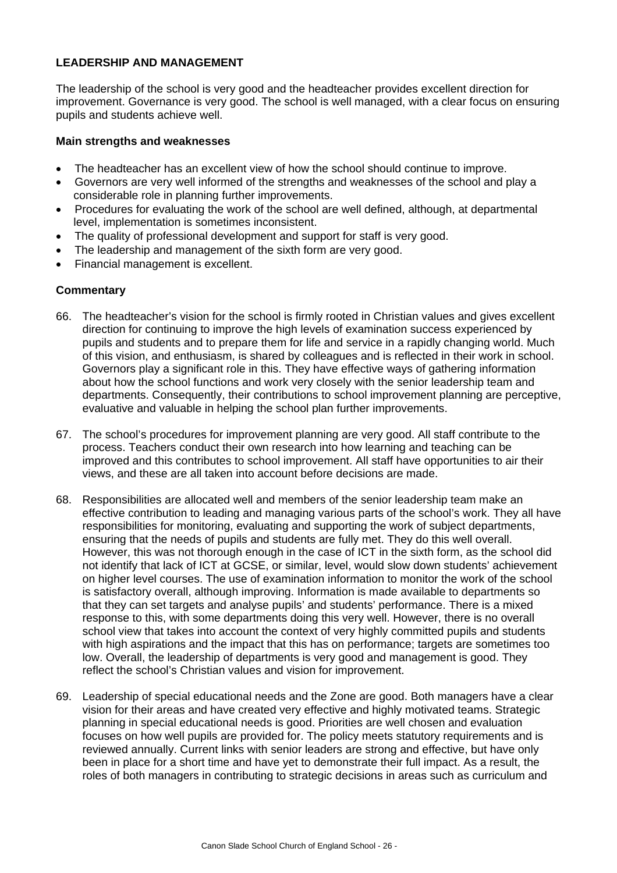# **LEADERSHIP AND MANAGEMENT**

The leadership of the school is very good and the headteacher provides excellent direction for improvement. Governance is very good. The school is well managed, with a clear focus on ensuring pupils and students achieve well.

#### **Main strengths and weaknesses**

- The headteacher has an excellent view of how the school should continue to improve.
- Governors are very well informed of the strengths and weaknesses of the school and play a considerable role in planning further improvements.
- Procedures for evaluating the work of the school are well defined, although, at departmental level, implementation is sometimes inconsistent.
- The quality of professional development and support for staff is very good.
- The leadership and management of the sixth form are very good.
- Financial management is excellent.

- 66. The headteacher's vision for the school is firmly rooted in Christian values and gives excellent direction for continuing to improve the high levels of examination success experienced by pupils and students and to prepare them for life and service in a rapidly changing world. Much of this vision, and enthusiasm, is shared by colleagues and is reflected in their work in school. Governors play a significant role in this. They have effective ways of gathering information about how the school functions and work very closely with the senior leadership team and departments. Consequently, their contributions to school improvement planning are perceptive, evaluative and valuable in helping the school plan further improvements.
- 67. The school's procedures for improvement planning are very good. All staff contribute to the process. Teachers conduct their own research into how learning and teaching can be improved and this contributes to school improvement. All staff have opportunities to air their views, and these are all taken into account before decisions are made.
- 68. Responsibilities are allocated well and members of the senior leadership team make an effective contribution to leading and managing various parts of the school's work. They all have responsibilities for monitoring, evaluating and supporting the work of subject departments, ensuring that the needs of pupils and students are fully met. They do this well overall. However, this was not thorough enough in the case of ICT in the sixth form, as the school did not identify that lack of ICT at GCSE, or similar, level, would slow down students' achievement on higher level courses. The use of examination information to monitor the work of the school is satisfactory overall, although improving. Information is made available to departments so that they can set targets and analyse pupils' and students' performance. There is a mixed response to this, with some departments doing this very well. However, there is no overall school view that takes into account the context of very highly committed pupils and students with high aspirations and the impact that this has on performance; targets are sometimes too low. Overall, the leadership of departments is very good and management is good. They reflect the school's Christian values and vision for improvement.
- 69. Leadership of special educational needs and the Zone are good. Both managers have a clear vision for their areas and have created very effective and highly motivated teams. Strategic planning in special educational needs is good. Priorities are well chosen and evaluation focuses on how well pupils are provided for. The policy meets statutory requirements and is reviewed annually. Current links with senior leaders are strong and effective, but have only been in place for a short time and have yet to demonstrate their full impact. As a result, the roles of both managers in contributing to strategic decisions in areas such as curriculum and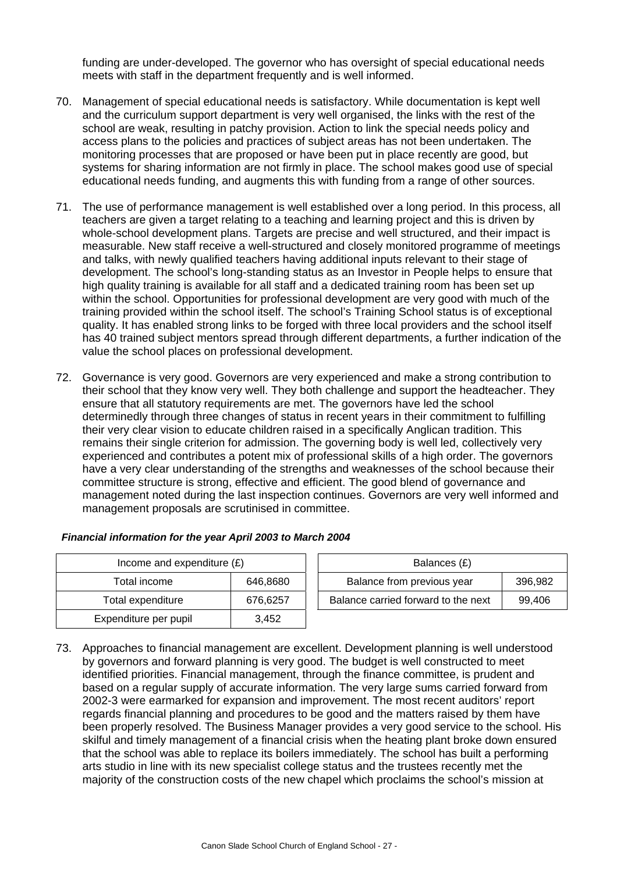funding are under-developed. The governor who has oversight of special educational needs meets with staff in the department frequently and is well informed.

- 70. Management of special educational needs is satisfactory. While documentation is kept well and the curriculum support department is very well organised, the links with the rest of the school are weak, resulting in patchy provision. Action to link the special needs policy and access plans to the policies and practices of subject areas has not been undertaken. The monitoring processes that are proposed or have been put in place recently are good, but systems for sharing information are not firmly in place. The school makes good use of special educational needs funding, and augments this with funding from a range of other sources.
- 71. The use of performance management is well established over a long period. In this process, all teachers are given a target relating to a teaching and learning project and this is driven by whole-school development plans. Targets are precise and well structured, and their impact is measurable. New staff receive a well-structured and closely monitored programme of meetings and talks, with newly qualified teachers having additional inputs relevant to their stage of development. The school's long-standing status as an Investor in People helps to ensure that high quality training is available for all staff and a dedicated training room has been set up within the school. Opportunities for professional development are very good with much of the training provided within the school itself. The school's Training School status is of exceptional quality. It has enabled strong links to be forged with three local providers and the school itself has 40 trained subject mentors spread through different departments, a further indication of the value the school places on professional development.
- 72. Governance is very good. Governors are very experienced and make a strong contribution to their school that they know very well. They both challenge and support the headteacher. They ensure that all statutory requirements are met. The governors have led the school determinedly through three changes of status in recent years in their commitment to fulfilling their very clear vision to educate children raised in a specifically Anglican tradition. This remains their single criterion for admission. The governing body is well led, collectively very experienced and contributes a potent mix of professional skills of a high order. The governors have a very clear understanding of the strengths and weaknesses of the school because their committee structure is strong, effective and efficient. The good blend of governance and management noted during the last inspection continues. Governors are very well informed and management proposals are scrutinised in committee.

| Income and expenditure $(E)$  |       |  | Balances (£)                        |         |  |  |
|-------------------------------|-------|--|-------------------------------------|---------|--|--|
| 646.8680<br>Total income      |       |  | Balance from previous year          | 396.982 |  |  |
| Total expenditure<br>676.6257 |       |  | Balance carried forward to the next | 99.406  |  |  |
| Expenditure per pupil         | 3,452 |  |                                     |         |  |  |

#### *Financial information for the year April 2003 to March 2004*

73. Approaches to financial management are excellent. Development planning is well understood by governors and forward planning is very good. The budget is well constructed to meet identified priorities. Financial management, through the finance committee, is prudent and based on a regular supply of accurate information. The very large sums carried forward from 2002-3 were earmarked for expansion and improvement. The most recent auditors' report regards financial planning and procedures to be good and the matters raised by them have been properly resolved. The Business Manager provides a very good service to the school. His skilful and timely management of a financial crisis when the heating plant broke down ensured that the school was able to replace its boilers immediately. The school has built a performing arts studio in line with its new specialist college status and the trustees recently met the majority of the construction costs of the new chapel which proclaims the school's mission at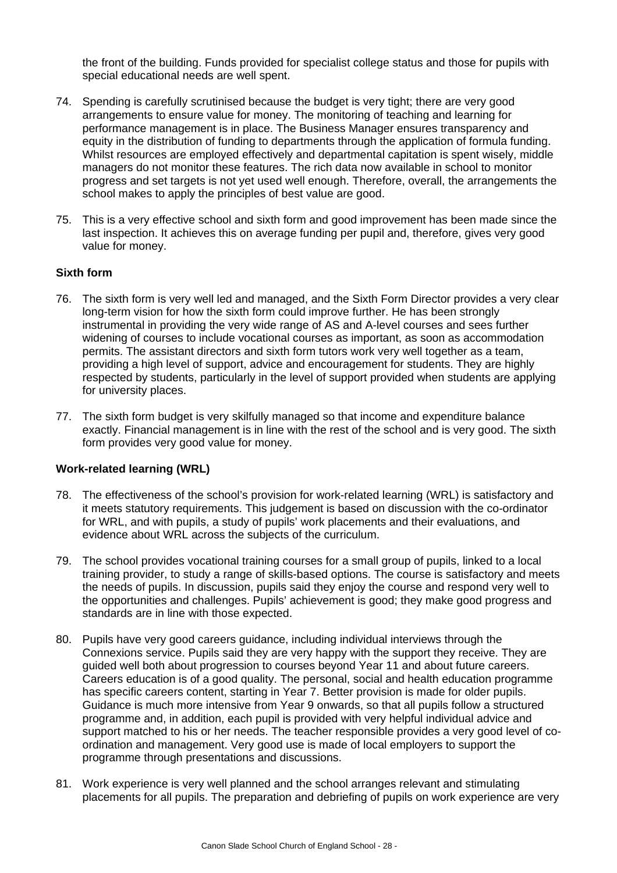the front of the building. Funds provided for specialist college status and those for pupils with special educational needs are well spent.

- 74. Spending is carefully scrutinised because the budget is very tight; there are very good arrangements to ensure value for money. The monitoring of teaching and learning for performance management is in place. The Business Manager ensures transparency and equity in the distribution of funding to departments through the application of formula funding. Whilst resources are employed effectively and departmental capitation is spent wisely, middle managers do not monitor these features. The rich data now available in school to monitor progress and set targets is not yet used well enough. Therefore, overall, the arrangements the school makes to apply the principles of best value are good.
- 75. This is a very effective school and sixth form and good improvement has been made since the last inspection. It achieves this on average funding per pupil and, therefore, gives very good value for money.

#### **Sixth form**

- 76. The sixth form is very well led and managed, and the Sixth Form Director provides a very clear long-term vision for how the sixth form could improve further. He has been strongly instrumental in providing the very wide range of AS and A-level courses and sees further widening of courses to include vocational courses as important, as soon as accommodation permits. The assistant directors and sixth form tutors work very well together as a team, providing a high level of support, advice and encouragement for students. They are highly respected by students, particularly in the level of support provided when students are applying for university places.
- 77. The sixth form budget is very skilfully managed so that income and expenditure balance exactly. Financial management is in line with the rest of the school and is very good. The sixth form provides very good value for money.

#### **Work-related learning (WRL)**

- 78. The effectiveness of the school's provision for work-related learning (WRL) is satisfactory and it meets statutory requirements. This judgement is based on discussion with the co-ordinator for WRL, and with pupils, a study of pupils' work placements and their evaluations, and evidence about WRL across the subjects of the curriculum.
- 79. The school provides vocational training courses for a small group of pupils, linked to a local training provider, to study a range of skills-based options. The course is satisfactory and meets the needs of pupils. In discussion, pupils said they enjoy the course and respond very well to the opportunities and challenges. Pupils' achievement is good; they make good progress and standards are in line with those expected.
- 80. Pupils have very good careers guidance, including individual interviews through the Connexions service. Pupils said they are very happy with the support they receive. They are guided well both about progression to courses beyond Year 11 and about future careers. Careers education is of a good quality. The personal, social and health education programme has specific careers content, starting in Year 7. Better provision is made for older pupils. Guidance is much more intensive from Year 9 onwards, so that all pupils follow a structured programme and, in addition, each pupil is provided with very helpful individual advice and support matched to his or her needs. The teacher responsible provides a very good level of coordination and management. Very good use is made of local employers to support the programme through presentations and discussions.
- 81. Work experience is very well planned and the school arranges relevant and stimulating placements for all pupils. The preparation and debriefing of pupils on work experience are very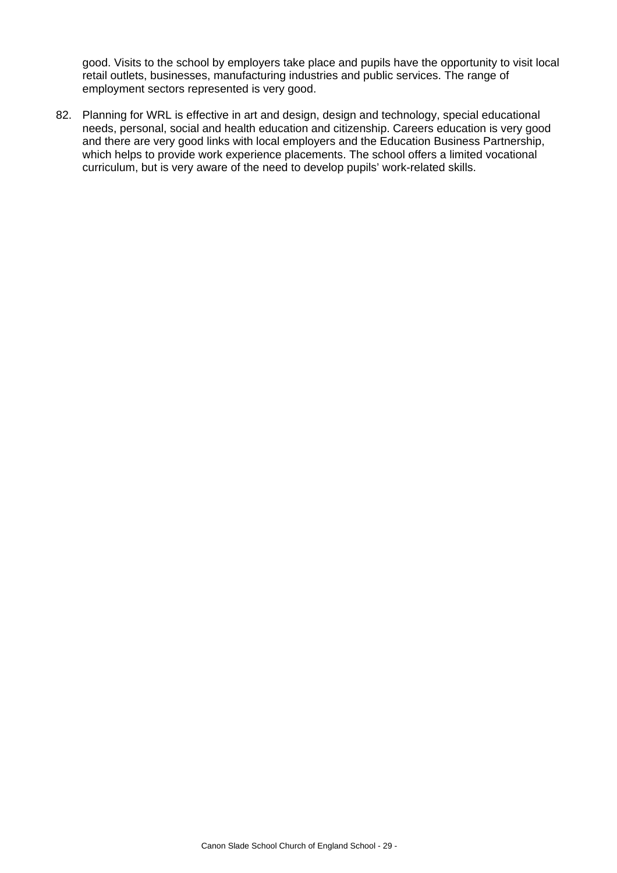good. Visits to the school by employers take place and pupils have the opportunity to visit local retail outlets, businesses, manufacturing industries and public services. The range of employment sectors represented is very good.

82. Planning for WRL is effective in art and design, design and technology, special educational needs, personal, social and health education and citizenship. Careers education is very good and there are very good links with local employers and the Education Business Partnership, which helps to provide work experience placements. The school offers a limited vocational curriculum, but is very aware of the need to develop pupils' work-related skills.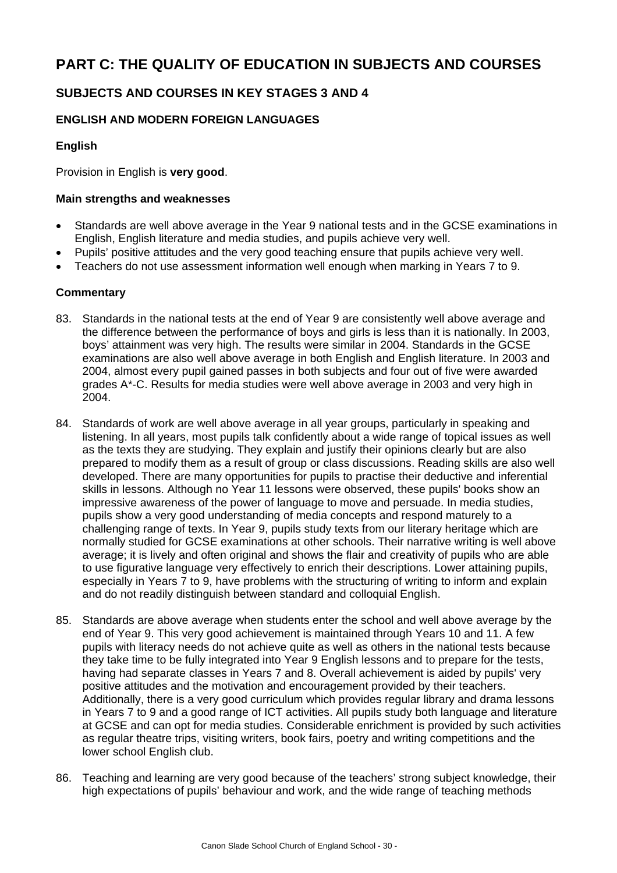# **PART C: THE QUALITY OF EDUCATION IN SUBJECTS AND COURSES**

# **SUBJECTS AND COURSES IN KEY STAGES 3 AND 4**

# **ENGLISH AND MODERN FOREIGN LANGUAGES**

# **English**

Provision in English is **very good**.

# **Main strengths and weaknesses**

- Standards are well above average in the Year 9 national tests and in the GCSE examinations in English, English literature and media studies, and pupils achieve very well.
- Pupils' positive attitudes and the very good teaching ensure that pupils achieve very well.
- Teachers do not use assessment information well enough when marking in Years 7 to 9.

- 83. Standards in the national tests at the end of Year 9 are consistently well above average and the difference between the performance of boys and girls is less than it is nationally. In 2003, boys' attainment was very high. The results were similar in 2004. Standards in the GCSE examinations are also well above average in both English and English literature. In 2003 and 2004, almost every pupil gained passes in both subjects and four out of five were awarded grades A\*-C. Results for media studies were well above average in 2003 and very high in 2004.
- 84. Standards of work are well above average in all year groups, particularly in speaking and listening. In all years, most pupils talk confidently about a wide range of topical issues as well as the texts they are studying. They explain and justify their opinions clearly but are also prepared to modify them as a result of group or class discussions. Reading skills are also well developed. There are many opportunities for pupils to practise their deductive and inferential skills in lessons. Although no Year 11 lessons were observed, these pupils' books show an impressive awareness of the power of language to move and persuade. In media studies, pupils show a very good understanding of media concepts and respond maturely to a challenging range of texts. In Year 9, pupils study texts from our literary heritage which are normally studied for GCSE examinations at other schools. Their narrative writing is well above average; it is lively and often original and shows the flair and creativity of pupils who are able to use figurative language very effectively to enrich their descriptions. Lower attaining pupils, especially in Years 7 to 9, have problems with the structuring of writing to inform and explain and do not readily distinguish between standard and colloquial English.
- 85. Standards are above average when students enter the school and well above average by the end of Year 9. This very good achievement is maintained through Years 10 and 11. A few pupils with literacy needs do not achieve quite as well as others in the national tests because they take time to be fully integrated into Year 9 English lessons and to prepare for the tests, having had separate classes in Years 7 and 8. Overall achievement is aided by pupils' very positive attitudes and the motivation and encouragement provided by their teachers. Additionally, there is a very good curriculum which provides regular library and drama lessons in Years 7 to 9 and a good range of ICT activities. All pupils study both language and literature at GCSE and can opt for media studies. Considerable enrichment is provided by such activities as regular theatre trips, visiting writers, book fairs, poetry and writing competitions and the lower school English club.
- 86. Teaching and learning are very good because of the teachers' strong subject knowledge, their high expectations of pupils' behaviour and work, and the wide range of teaching methods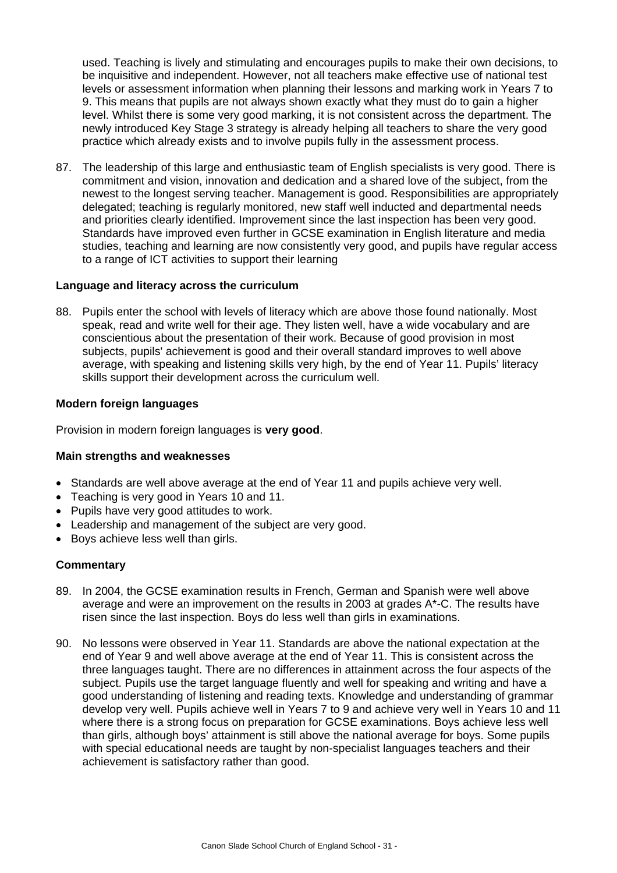used. Teaching is lively and stimulating and encourages pupils to make their own decisions, to be inquisitive and independent. However, not all teachers make effective use of national test levels or assessment information when planning their lessons and marking work in Years 7 to 9. This means that pupils are not always shown exactly what they must do to gain a higher level. Whilst there is some very good marking, it is not consistent across the department. The newly introduced Key Stage 3 strategy is already helping all teachers to share the very good practice which already exists and to involve pupils fully in the assessment process.

87. The leadership of this large and enthusiastic team of English specialists is very good. There is commitment and vision, innovation and dedication and a shared love of the subject, from the newest to the longest serving teacher. Management is good. Responsibilities are appropriately delegated; teaching is regularly monitored, new staff well inducted and departmental needs and priorities clearly identified. Improvement since the last inspection has been very good. Standards have improved even further in GCSE examination in English literature and media studies, teaching and learning are now consistently very good, and pupils have regular access to a range of ICT activities to support their learning

#### **Language and literacy across the curriculum**

88. Pupils enter the school with levels of literacy which are above those found nationally. Most speak, read and write well for their age. They listen well, have a wide vocabulary and are conscientious about the presentation of their work. Because of good provision in most subjects, pupils' achievement is good and their overall standard improves to well above average, with speaking and listening skills very high, by the end of Year 11. Pupils' literacy skills support their development across the curriculum well.

#### **Modern foreign languages**

Provision in modern foreign languages is **very good**.

#### **Main strengths and weaknesses**

- Standards are well above average at the end of Year 11 and pupils achieve very well.
- Teaching is very good in Years 10 and 11.
- Pupils have very good attitudes to work.
- Leadership and management of the subject are very good.
- Boys achieve less well than girls.

- 89. In 2004, the GCSE examination results in French, German and Spanish were well above average and were an improvement on the results in 2003 at grades A\*-C. The results have risen since the last inspection. Boys do less well than girls in examinations.
- 90. No lessons were observed in Year 11. Standards are above the national expectation at the end of Year 9 and well above average at the end of Year 11. This is consistent across the three languages taught. There are no differences in attainment across the four aspects of the subject. Pupils use the target language fluently and well for speaking and writing and have a good understanding of listening and reading texts. Knowledge and understanding of grammar develop very well. Pupils achieve well in Years 7 to 9 and achieve very well in Years 10 and 11 where there is a strong focus on preparation for GCSE examinations. Boys achieve less well than girls, although boys' attainment is still above the national average for boys. Some pupils with special educational needs are taught by non-specialist languages teachers and their achievement is satisfactory rather than good.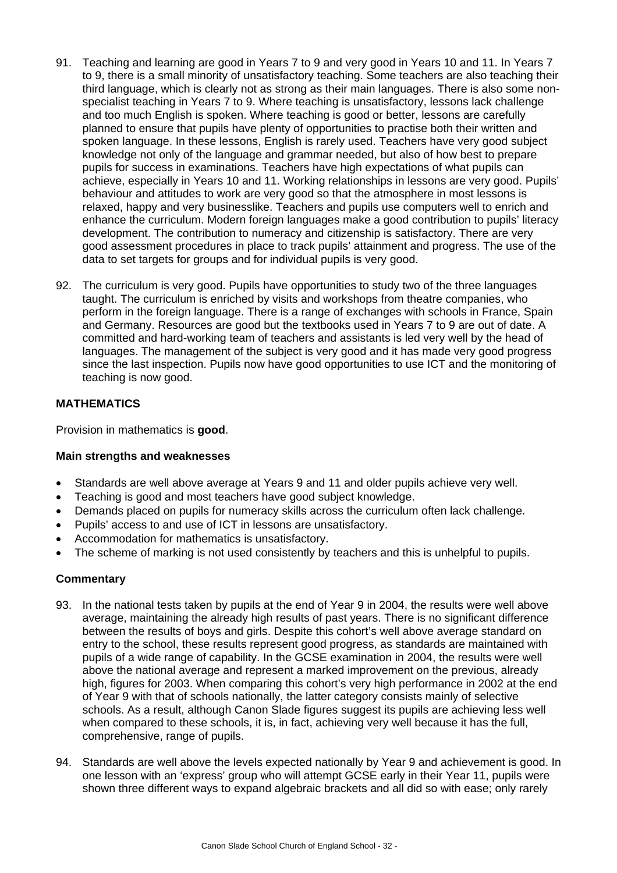- 91. Teaching and learning are good in Years 7 to 9 and very good in Years 10 and 11. In Years 7 to 9, there is a small minority of unsatisfactory teaching. Some teachers are also teaching their third language, which is clearly not as strong as their main languages. There is also some nonspecialist teaching in Years 7 to 9. Where teaching is unsatisfactory, lessons lack challenge and too much English is spoken. Where teaching is good or better, lessons are carefully planned to ensure that pupils have plenty of opportunities to practise both their written and spoken language. In these lessons, English is rarely used. Teachers have very good subject knowledge not only of the language and grammar needed, but also of how best to prepare pupils for success in examinations. Teachers have high expectations of what pupils can achieve, especially in Years 10 and 11. Working relationships in lessons are very good. Pupils' behaviour and attitudes to work are very good so that the atmosphere in most lessons is relaxed, happy and very businesslike. Teachers and pupils use computers well to enrich and enhance the curriculum. Modern foreign languages make a good contribution to pupils' literacy development. The contribution to numeracy and citizenship is satisfactory. There are very good assessment procedures in place to track pupils' attainment and progress. The use of the data to set targets for groups and for individual pupils is very good.
- 92. The curriculum is very good. Pupils have opportunities to study two of the three languages taught. The curriculum is enriched by visits and workshops from theatre companies, who perform in the foreign language. There is a range of exchanges with schools in France, Spain and Germany. Resources are good but the textbooks used in Years 7 to 9 are out of date. A committed and hard-working team of teachers and assistants is led very well by the head of languages. The management of the subject is very good and it has made very good progress since the last inspection. Pupils now have good opportunities to use ICT and the monitoring of teaching is now good.

# **MATHEMATICS**

Provision in mathematics is **good**.

#### **Main strengths and weaknesses**

- Standards are well above average at Years 9 and 11 and older pupils achieve very well.
- Teaching is good and most teachers have good subject knowledge.
- Demands placed on pupils for numeracy skills across the curriculum often lack challenge.
- Pupils' access to and use of ICT in lessons are unsatisfactory.
- Accommodation for mathematics is unsatisfactory.
- The scheme of marking is not used consistently by teachers and this is unhelpful to pupils.

- 93. In the national tests taken by pupils at the end of Year 9 in 2004, the results were well above average, maintaining the already high results of past years. There is no significant difference between the results of boys and girls. Despite this cohort's well above average standard on entry to the school, these results represent good progress, as standards are maintained with pupils of a wide range of capability. In the GCSE examination in 2004, the results were well above the national average and represent a marked improvement on the previous, already high, figures for 2003. When comparing this cohort's very high performance in 2002 at the end of Year 9 with that of schools nationally, the latter category consists mainly of selective schools. As a result, although Canon Slade figures suggest its pupils are achieving less well when compared to these schools, it is, in fact, achieving very well because it has the full, comprehensive, range of pupils.
- 94. Standards are well above the levels expected nationally by Year 9 and achievement is good. In one lesson with an 'express' group who will attempt GCSE early in their Year 11, pupils were shown three different ways to expand algebraic brackets and all did so with ease; only rarely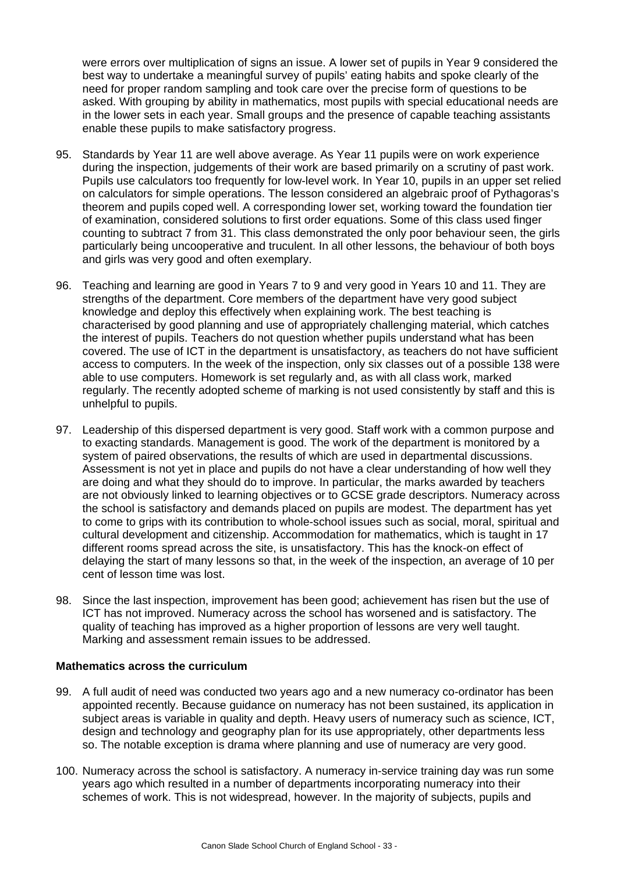were errors over multiplication of signs an issue. A lower set of pupils in Year 9 considered the best way to undertake a meaningful survey of pupils' eating habits and spoke clearly of the need for proper random sampling and took care over the precise form of questions to be asked. With grouping by ability in mathematics, most pupils with special educational needs are in the lower sets in each year. Small groups and the presence of capable teaching assistants enable these pupils to make satisfactory progress.

- 95. Standards by Year 11 are well above average. As Year 11 pupils were on work experience during the inspection, judgements of their work are based primarily on a scrutiny of past work. Pupils use calculators too frequently for low-level work. In Year 10, pupils in an upper set relied on calculators for simple operations. The lesson considered an algebraic proof of Pythagoras's theorem and pupils coped well. A corresponding lower set, working toward the foundation tier of examination, considered solutions to first order equations. Some of this class used finger counting to subtract 7 from 31. This class demonstrated the only poor behaviour seen, the girls particularly being uncooperative and truculent. In all other lessons, the behaviour of both boys and girls was very good and often exemplary.
- 96. Teaching and learning are good in Years 7 to 9 and very good in Years 10 and 11. They are strengths of the department. Core members of the department have very good subject knowledge and deploy this effectively when explaining work. The best teaching is characterised by good planning and use of appropriately challenging material, which catches the interest of pupils. Teachers do not question whether pupils understand what has been covered. The use of ICT in the department is unsatisfactory, as teachers do not have sufficient access to computers. In the week of the inspection, only six classes out of a possible 138 were able to use computers. Homework is set regularly and, as with all class work, marked regularly. The recently adopted scheme of marking is not used consistently by staff and this is unhelpful to pupils.
- 97. Leadership of this dispersed department is very good. Staff work with a common purpose and to exacting standards. Management is good. The work of the department is monitored by a system of paired observations, the results of which are used in departmental discussions. Assessment is not yet in place and pupils do not have a clear understanding of how well they are doing and what they should do to improve. In particular, the marks awarded by teachers are not obviously linked to learning objectives or to GCSE grade descriptors. Numeracy across the school is satisfactory and demands placed on pupils are modest. The department has yet to come to grips with its contribution to whole-school issues such as social, moral, spiritual and cultural development and citizenship. Accommodation for mathematics, which is taught in 17 different rooms spread across the site, is unsatisfactory. This has the knock-on effect of delaying the start of many lessons so that, in the week of the inspection, an average of 10 per cent of lesson time was lost.
- 98. Since the last inspection, improvement has been good; achievement has risen but the use of ICT has not improved. Numeracy across the school has worsened and is satisfactory. The quality of teaching has improved as a higher proportion of lessons are very well taught. Marking and assessment remain issues to be addressed.

#### **Mathematics across the curriculum**

- 99. A full audit of need was conducted two years ago and a new numeracy co-ordinator has been appointed recently. Because guidance on numeracy has not been sustained, its application in subject areas is variable in quality and depth. Heavy users of numeracy such as science, ICT, design and technology and geography plan for its use appropriately, other departments less so. The notable exception is drama where planning and use of numeracy are very good.
- 100. Numeracy across the school is satisfactory. A numeracy in-service training day was run some years ago which resulted in a number of departments incorporating numeracy into their schemes of work. This is not widespread, however. In the majority of subjects, pupils and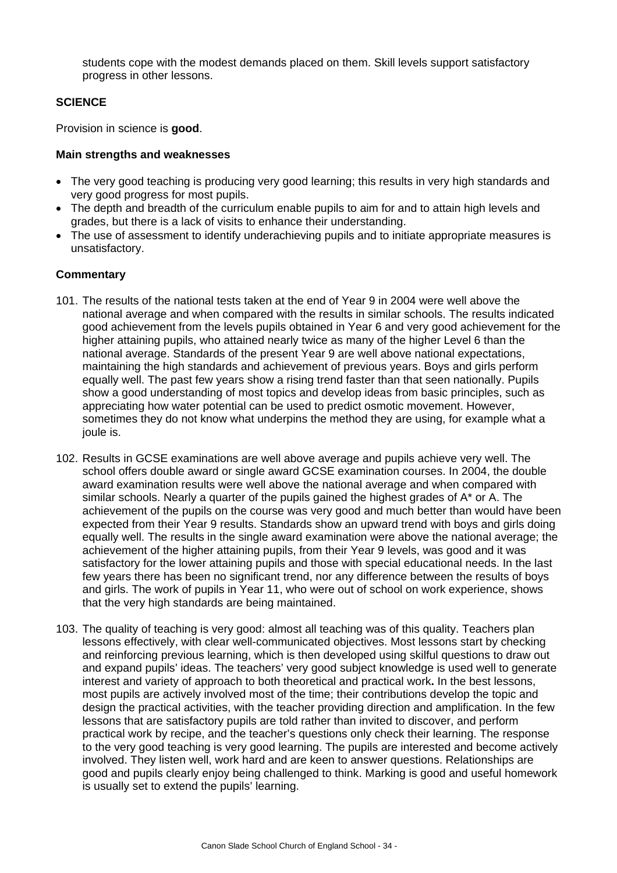students cope with the modest demands placed on them. Skill levels support satisfactory progress in other lessons.

# **SCIENCE**

Provision in science is **good**.

## **Main strengths and weaknesses**

- The very good teaching is producing very good learning; this results in very high standards and very good progress for most pupils.
- The depth and breadth of the curriculum enable pupils to aim for and to attain high levels and grades, but there is a lack of visits to enhance their understanding.
- The use of assessment to identify underachieving pupils and to initiate appropriate measures is unsatisfactory.

- 101. The results of the national tests taken at the end of Year 9 in 2004 were well above the national average and when compared with the results in similar schools. The results indicated good achievement from the levels pupils obtained in Year 6 and very good achievement for the higher attaining pupils, who attained nearly twice as many of the higher Level 6 than the national average. Standards of the present Year 9 are well above national expectations, maintaining the high standards and achievement of previous years. Boys and girls perform equally well. The past few years show a rising trend faster than that seen nationally. Pupils show a good understanding of most topics and develop ideas from basic principles, such as appreciating how water potential can be used to predict osmotic movement. However, sometimes they do not know what underpins the method they are using, for example what a joule is.
- 102. Results in GCSE examinations are well above average and pupils achieve very well. The school offers double award or single award GCSE examination courses. In 2004, the double award examination results were well above the national average and when compared with similar schools. Nearly a quarter of the pupils gained the highest grades of  $A^*$  or A. The achievement of the pupils on the course was very good and much better than would have been expected from their Year 9 results. Standards show an upward trend with boys and girls doing equally well. The results in the single award examination were above the national average; the achievement of the higher attaining pupils, from their Year 9 levels, was good and it was satisfactory for the lower attaining pupils and those with special educational needs. In the last few years there has been no significant trend, nor any difference between the results of boys and girls. The work of pupils in Year 11, who were out of school on work experience, shows that the very high standards are being maintained.
- 103. The quality of teaching is very good: almost all teaching was of this quality. Teachers plan lessons effectively, with clear well-communicated objectives. Most lessons start by checking and reinforcing previous learning, which is then developed using skilful questions to draw out and expand pupils' ideas. The teachers' very good subject knowledge is used well to generate interest and variety of approach to both theoretical and practical work**.** In the best lessons, most pupils are actively involved most of the time; their contributions develop the topic and design the practical activities, with the teacher providing direction and amplification. In the few lessons that are satisfactory pupils are told rather than invited to discover, and perform practical work by recipe, and the teacher's questions only check their learning. The response to the very good teaching is very good learning. The pupils are interested and become actively involved. They listen well, work hard and are keen to answer questions. Relationships are good and pupils clearly enjoy being challenged to think. Marking is good and useful homework is usually set to extend the pupils' learning.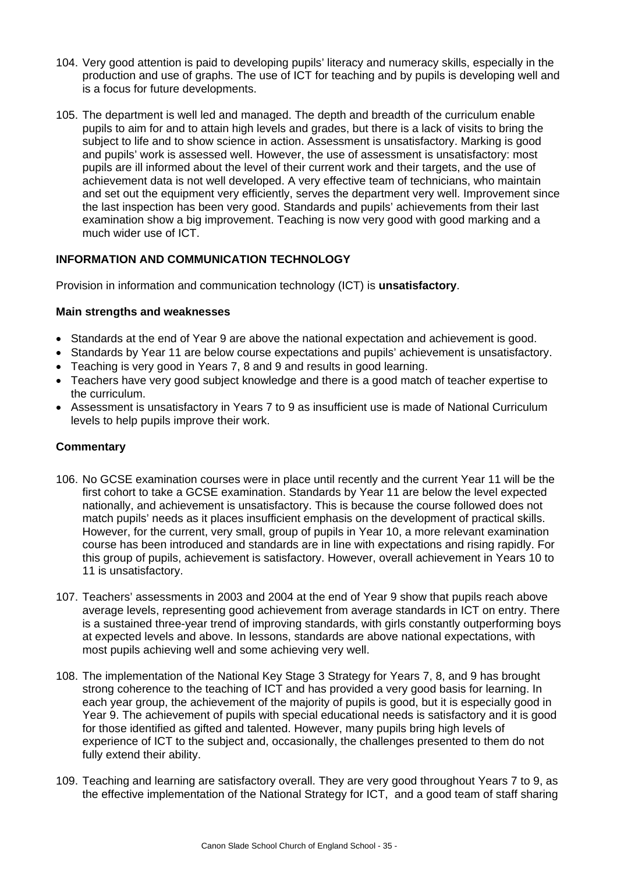- 104. Very good attention is paid to developing pupils' literacy and numeracy skills, especially in the production and use of graphs. The use of ICT for teaching and by pupils is developing well and is a focus for future developments.
- 105. The department is well led and managed. The depth and breadth of the curriculum enable pupils to aim for and to attain high levels and grades, but there is a lack of visits to bring the subject to life and to show science in action. Assessment is unsatisfactory. Marking is good and pupils' work is assessed well. However, the use of assessment is unsatisfactory: most pupils are ill informed about the level of their current work and their targets, and the use of achievement data is not well developed. A very effective team of technicians, who maintain and set out the equipment very efficiently, serves the department very well. Improvement since the last inspection has been very good. Standards and pupils' achievements from their last examination show a big improvement. Teaching is now very good with good marking and a much wider use of ICT.

# **INFORMATION AND COMMUNICATION TECHNOLOGY**

Provision in information and communication technology (ICT) is **unsatisfactory**.

# **Main strengths and weaknesses**

- Standards at the end of Year 9 are above the national expectation and achievement is good.
- Standards by Year 11 are below course expectations and pupils' achievement is unsatisfactory.
- Teaching is very good in Years 7, 8 and 9 and results in good learning.
- Teachers have very good subject knowledge and there is a good match of teacher expertise to the curriculum.
- Assessment is unsatisfactory in Years 7 to 9 as insufficient use is made of National Curriculum levels to help pupils improve their work.

- 106. No GCSE examination courses were in place until recently and the current Year 11 will be the first cohort to take a GCSE examination. Standards by Year 11 are below the level expected nationally, and achievement is unsatisfactory. This is because the course followed does not match pupils' needs as it places insufficient emphasis on the development of practical skills. However, for the current, very small, group of pupils in Year 10, a more relevant examination course has been introduced and standards are in line with expectations and rising rapidly. For this group of pupils, achievement is satisfactory. However, overall achievement in Years 10 to 11 is unsatisfactory.
- 107. Teachers' assessments in 2003 and 2004 at the end of Year 9 show that pupils reach above average levels, representing good achievement from average standards in ICT on entry. There is a sustained three-year trend of improving standards, with girls constantly outperforming boys at expected levels and above. In lessons, standards are above national expectations, with most pupils achieving well and some achieving very well.
- 108. The implementation of the National Key Stage 3 Strategy for Years 7, 8, and 9 has brought strong coherence to the teaching of ICT and has provided a very good basis for learning. In each year group, the achievement of the majority of pupils is good, but it is especially good in Year 9. The achievement of pupils with special educational needs is satisfactory and it is good for those identified as gifted and talented. However, many pupils bring high levels of experience of ICT to the subject and, occasionally, the challenges presented to them do not fully extend their ability.
- 109. Teaching and learning are satisfactory overall. They are very good throughout Years 7 to 9, as the effective implementation of the National Strategy for ICT, and a good team of staff sharing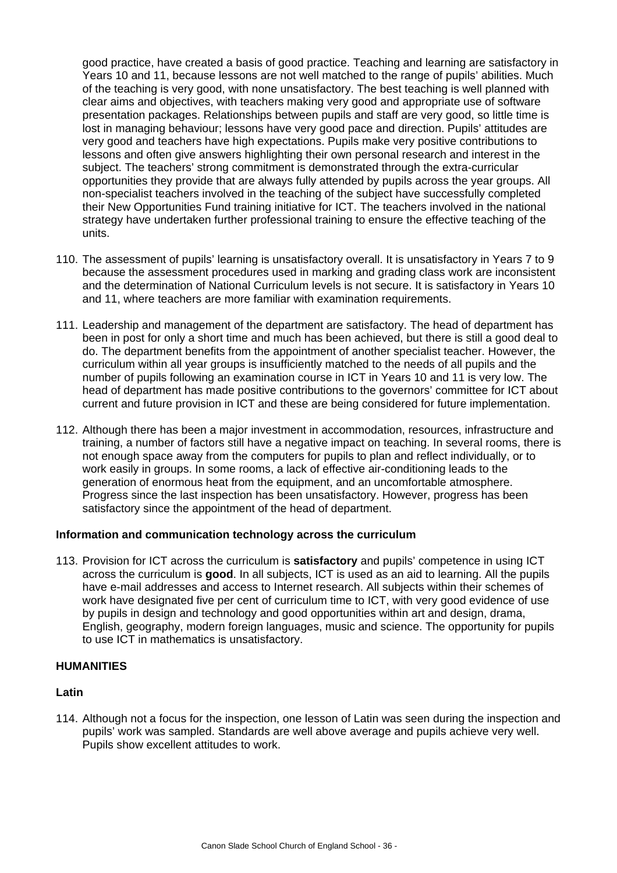good practice, have created a basis of good practice. Teaching and learning are satisfactory in Years 10 and 11, because lessons are not well matched to the range of pupils' abilities. Much of the teaching is very good, with none unsatisfactory. The best teaching is well planned with clear aims and objectives, with teachers making very good and appropriate use of software presentation packages. Relationships between pupils and staff are very good, so little time is lost in managing behaviour; lessons have very good pace and direction. Pupils' attitudes are very good and teachers have high expectations. Pupils make very positive contributions to lessons and often give answers highlighting their own personal research and interest in the subject. The teachers' strong commitment is demonstrated through the extra-curricular opportunities they provide that are always fully attended by pupils across the year groups. All non-specialist teachers involved in the teaching of the subject have successfully completed their New Opportunities Fund training initiative for ICT. The teachers involved in the national strategy have undertaken further professional training to ensure the effective teaching of the units.

- 110. The assessment of pupils' learning is unsatisfactory overall. It is unsatisfactory in Years 7 to 9 because the assessment procedures used in marking and grading class work are inconsistent and the determination of National Curriculum levels is not secure. It is satisfactory in Years 10 and 11, where teachers are more familiar with examination requirements.
- 111. Leadership and management of the department are satisfactory. The head of department has been in post for only a short time and much has been achieved, but there is still a good deal to do. The department benefits from the appointment of another specialist teacher. However, the curriculum within all year groups is insufficiently matched to the needs of all pupils and the number of pupils following an examination course in ICT in Years 10 and 11 is very low. The head of department has made positive contributions to the governors' committee for ICT about current and future provision in ICT and these are being considered for future implementation.
- 112. Although there has been a major investment in accommodation, resources, infrastructure and training, a number of factors still have a negative impact on teaching. In several rooms, there is not enough space away from the computers for pupils to plan and reflect individually, or to work easily in groups. In some rooms, a lack of effective air-conditioning leads to the generation of enormous heat from the equipment, and an uncomfortable atmosphere. Progress since the last inspection has been unsatisfactory. However, progress has been satisfactory since the appointment of the head of department.

# **Information and communication technology across the curriculum**

113. Provision for ICT across the curriculum is **satisfactory** and pupils' competence in using ICT across the curriculum is **good**. In all subjects, ICT is used as an aid to learning. All the pupils have e-mail addresses and access to Internet research. All subjects within their schemes of work have designated five per cent of curriculum time to ICT, with very good evidence of use by pupils in design and technology and good opportunities within art and design, drama, English, geography, modern foreign languages, music and science. The opportunity for pupils to use ICT in mathematics is unsatisfactory.

# **HUMANITIES**

# **Latin**

114. Although not a focus for the inspection, one lesson of Latin was seen during the inspection and pupils' work was sampled. Standards are well above average and pupils achieve very well. Pupils show excellent attitudes to work.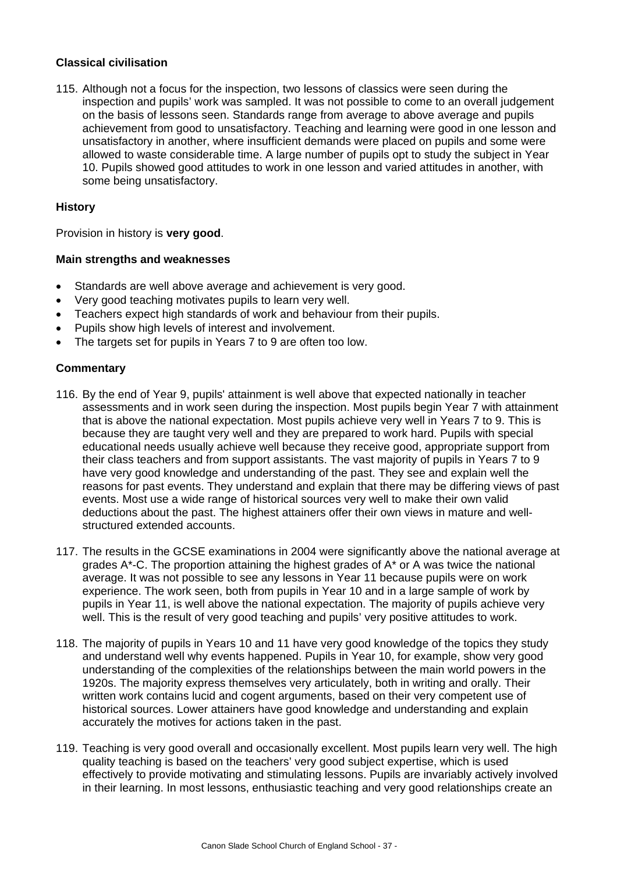# **Classical civilisation**

115. Although not a focus for the inspection, two lessons of classics were seen during the inspection and pupils' work was sampled. It was not possible to come to an overall judgement on the basis of lessons seen. Standards range from average to above average and pupils achievement from good to unsatisfactory. Teaching and learning were good in one lesson and unsatisfactory in another, where insufficient demands were placed on pupils and some were allowed to waste considerable time. A large number of pupils opt to study the subject in Year 10. Pupils showed good attitudes to work in one lesson and varied attitudes in another, with some being unsatisfactory.

## **History**

Provision in history is **very good**.

#### **Main strengths and weaknesses**

- Standards are well above average and achievement is very good.
- Very good teaching motivates pupils to learn very well.
- Teachers expect high standards of work and behaviour from their pupils.
- Pupils show high levels of interest and involvement.
- The targets set for pupils in Years 7 to 9 are often too low.

- 116. By the end of Year 9, pupils' attainment is well above that expected nationally in teacher assessments and in work seen during the inspection. Most pupils begin Year 7 with attainment that is above the national expectation. Most pupils achieve very well in Years 7 to 9. This is because they are taught very well and they are prepared to work hard. Pupils with special educational needs usually achieve well because they receive good, appropriate support from their class teachers and from support assistants. The vast majority of pupils in Years 7 to 9 have very good knowledge and understanding of the past. They see and explain well the reasons for past events. They understand and explain that there may be differing views of past events. Most use a wide range of historical sources very well to make their own valid deductions about the past. The highest attainers offer their own views in mature and wellstructured extended accounts.
- 117. The results in the GCSE examinations in 2004 were significantly above the national average at grades A\*-C. The proportion attaining the highest grades of A\* or A was twice the national average. It was not possible to see any lessons in Year 11 because pupils were on work experience. The work seen, both from pupils in Year 10 and in a large sample of work by pupils in Year 11, is well above the national expectation. The majority of pupils achieve very well. This is the result of very good teaching and pupils' very positive attitudes to work.
- 118. The majority of pupils in Years 10 and 11 have very good knowledge of the topics they study and understand well why events happened. Pupils in Year 10, for example, show very good understanding of the complexities of the relationships between the main world powers in the 1920s. The majority express themselves very articulately, both in writing and orally. Their written work contains lucid and cogent arguments, based on their very competent use of historical sources. Lower attainers have good knowledge and understanding and explain accurately the motives for actions taken in the past.
- 119. Teaching is very good overall and occasionally excellent. Most pupils learn very well. The high quality teaching is based on the teachers' very good subject expertise, which is used effectively to provide motivating and stimulating lessons. Pupils are invariably actively involved in their learning. In most lessons, enthusiastic teaching and very good relationships create an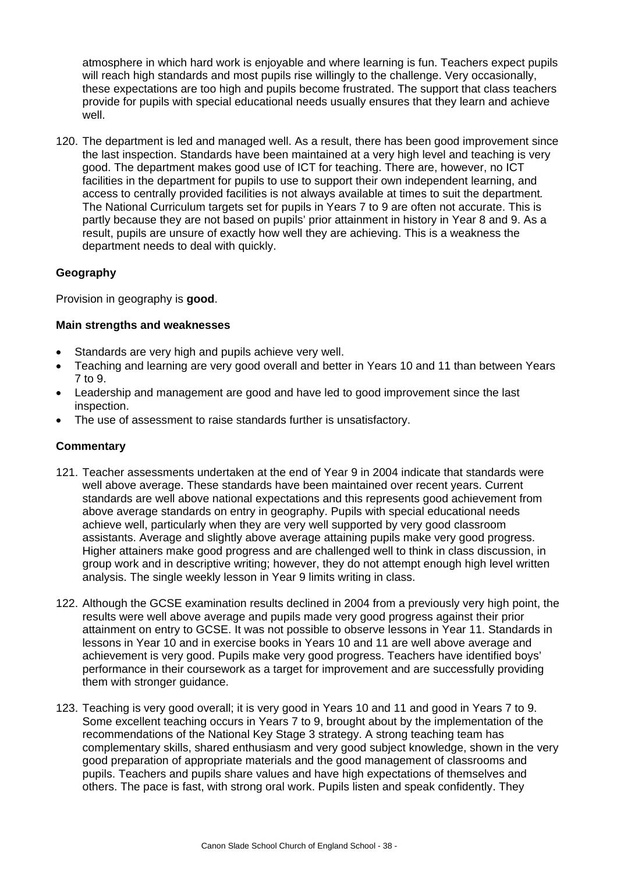atmosphere in which hard work is enjoyable and where learning is fun. Teachers expect pupils will reach high standards and most pupils rise willingly to the challenge. Very occasionally, these expectations are too high and pupils become frustrated. The support that class teachers provide for pupils with special educational needs usually ensures that they learn and achieve well.

120. The department is led and managed well. As a result, there has been good improvement since the last inspection. Standards have been maintained at a very high level and teaching is very good. The department makes good use of ICT for teaching. There are, however, no ICT facilities in the department for pupils to use to support their own independent learning, and access to centrally provided facilities is not always available at times to suit the department*.*  The National Curriculum targets set for pupils in Years 7 to 9 are often not accurate. This is partly because they are not based on pupils' prior attainment in history in Year 8 and 9. As a result, pupils are unsure of exactly how well they are achieving. This is a weakness the department needs to deal with quickly.

# **Geography**

Provision in geography is **good**.

#### **Main strengths and weaknesses**

- Standards are very high and pupils achieve very well.
- Teaching and learning are very good overall and better in Years 10 and 11 than between Years 7 to 9.
- Leadership and management are good and have led to good improvement since the last inspection.
- The use of assessment to raise standards further is unsatisfactory.

- 121. Teacher assessments undertaken at the end of Year 9 in 2004 indicate that standards were well above average. These standards have been maintained over recent years. Current standards are well above national expectations and this represents good achievement from above average standards on entry in geography. Pupils with special educational needs achieve well, particularly when they are very well supported by very good classroom assistants. Average and slightly above average attaining pupils make very good progress. Higher attainers make good progress and are challenged well to think in class discussion, in group work and in descriptive writing; however, they do not attempt enough high level written analysis. The single weekly lesson in Year 9 limits writing in class.
- 122. Although the GCSE examination results declined in 2004 from a previously very high point, the results were well above average and pupils made very good progress against their prior attainment on entry to GCSE. It was not possible to observe lessons in Year 11. Standards in lessons in Year 10 and in exercise books in Years 10 and 11 are well above average and achievement is very good. Pupils make very good progress. Teachers have identified boys' performance in their coursework as a target for improvement and are successfully providing them with stronger guidance.
- 123. Teaching is very good overall; it is very good in Years 10 and 11 and good in Years 7 to 9. Some excellent teaching occurs in Years 7 to 9, brought about by the implementation of the recommendations of the National Key Stage 3 strategy. A strong teaching team has complementary skills, shared enthusiasm and very good subject knowledge, shown in the very good preparation of appropriate materials and the good management of classrooms and pupils. Teachers and pupils share values and have high expectations of themselves and others. The pace is fast, with strong oral work. Pupils listen and speak confidently. They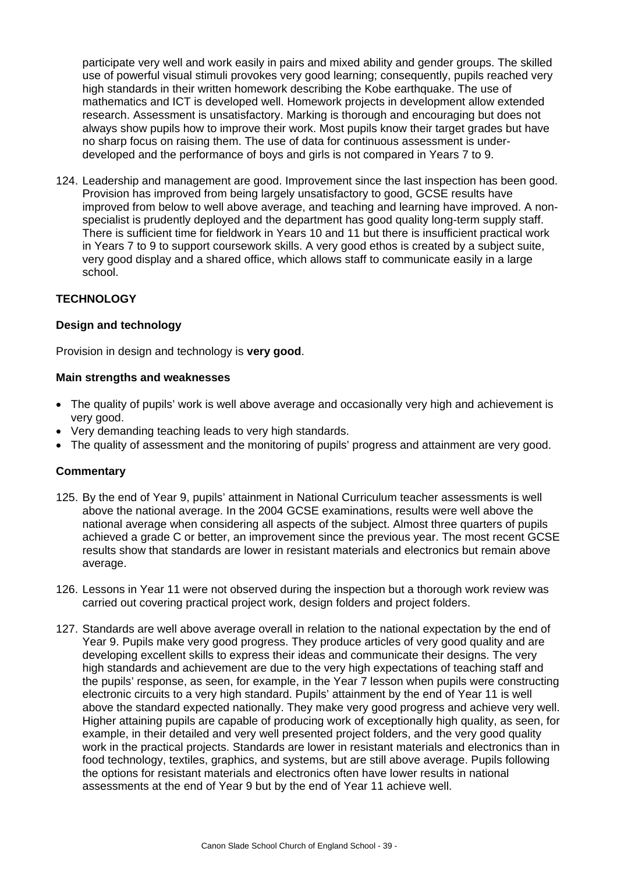participate very well and work easily in pairs and mixed ability and gender groups. The skilled use of powerful visual stimuli provokes very good learning; consequently, pupils reached very high standards in their written homework describing the Kobe earthquake. The use of mathematics and ICT is developed well. Homework projects in development allow extended research. Assessment is unsatisfactory. Marking is thorough and encouraging but does not always show pupils how to improve their work. Most pupils know their target grades but have no sharp focus on raising them. The use of data for continuous assessment is underdeveloped and the performance of boys and girls is not compared in Years 7 to 9.

124. Leadership and management are good. Improvement since the last inspection has been good. Provision has improved from being largely unsatisfactory to good, GCSE results have improved from below to well above average, and teaching and learning have improved. A nonspecialist is prudently deployed and the department has good quality long-term supply staff. There is sufficient time for fieldwork in Years 10 and 11 but there is insufficient practical work in Years 7 to 9 to support coursework skills. A very good ethos is created by a subject suite, very good display and a shared office, which allows staff to communicate easily in a large school.

# **TECHNOLOGY**

# **Design and technology**

Provision in design and technology is **very good**.

#### **Main strengths and weaknesses**

- The quality of pupils' work is well above average and occasionally very high and achievement is very good.
- Very demanding teaching leads to very high standards.
- The quality of assessment and the monitoring of pupils' progress and attainment are very good.

- 125. By the end of Year 9, pupils' attainment in National Curriculum teacher assessments is well above the national average. In the 2004 GCSE examinations, results were well above the national average when considering all aspects of the subject. Almost three quarters of pupils achieved a grade C or better, an improvement since the previous year. The most recent GCSE results show that standards are lower in resistant materials and electronics but remain above average.
- 126. Lessons in Year 11 were not observed during the inspection but a thorough work review was carried out covering practical project work, design folders and project folders.
- 127. Standards are well above average overall in relation to the national expectation by the end of Year 9. Pupils make very good progress. They produce articles of very good quality and are developing excellent skills to express their ideas and communicate their designs. The very high standards and achievement are due to the very high expectations of teaching staff and the pupils' response, as seen, for example, in the Year 7 lesson when pupils were constructing electronic circuits to a very high standard. Pupils' attainment by the end of Year 11 is well above the standard expected nationally. They make very good progress and achieve very well. Higher attaining pupils are capable of producing work of exceptionally high quality, as seen, for example, in their detailed and very well presented project folders, and the very good quality work in the practical projects. Standards are lower in resistant materials and electronics than in food technology, textiles, graphics, and systems, but are still above average. Pupils following the options for resistant materials and electronics often have lower results in national assessments at the end of Year 9 but by the end of Year 11 achieve well.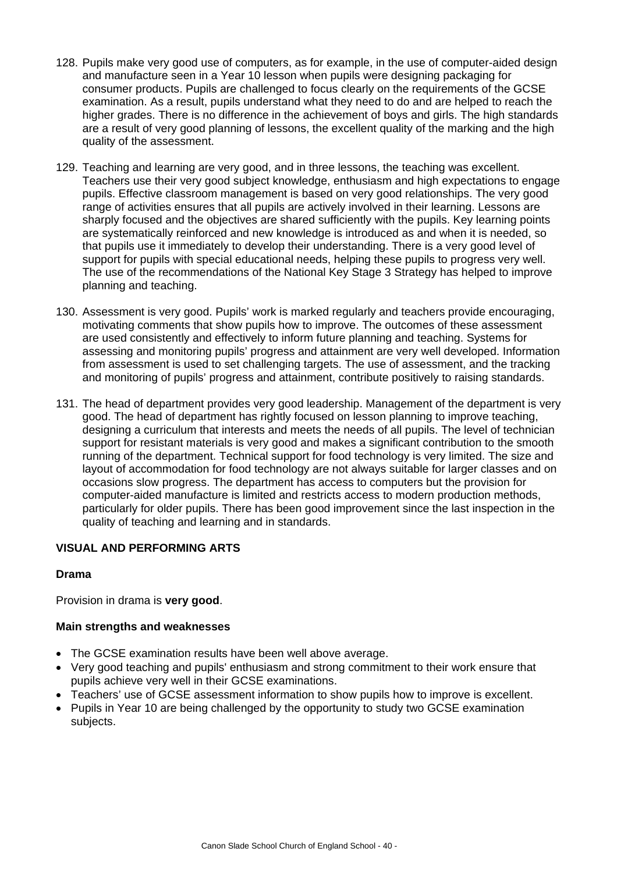- 128. Pupils make very good use of computers, as for example, in the use of computer-aided design and manufacture seen in a Year 10 lesson when pupils were designing packaging for consumer products. Pupils are challenged to focus clearly on the requirements of the GCSE examination. As a result, pupils understand what they need to do and are helped to reach the higher grades. There is no difference in the achievement of boys and girls. The high standards are a result of very good planning of lessons, the excellent quality of the marking and the high quality of the assessment.
- 129. Teaching and learning are very good, and in three lessons, the teaching was excellent. Teachers use their very good subject knowledge, enthusiasm and high expectations to engage pupils. Effective classroom management is based on very good relationships. The very good range of activities ensures that all pupils are actively involved in their learning. Lessons are sharply focused and the objectives are shared sufficiently with the pupils. Key learning points are systematically reinforced and new knowledge is introduced as and when it is needed, so that pupils use it immediately to develop their understanding. There is a very good level of support for pupils with special educational needs, helping these pupils to progress very well. The use of the recommendations of the National Key Stage 3 Strategy has helped to improve planning and teaching.
- 130. Assessment is very good. Pupils' work is marked regularly and teachers provide encouraging, motivating comments that show pupils how to improve. The outcomes of these assessment are used consistently and effectively to inform future planning and teaching. Systems for assessing and monitoring pupils' progress and attainment are very well developed. Information from assessment is used to set challenging targets. The use of assessment, and the tracking and monitoring of pupils' progress and attainment, contribute positively to raising standards.
- 131. The head of department provides very good leadership. Management of the department is very good. The head of department has rightly focused on lesson planning to improve teaching, designing a curriculum that interests and meets the needs of all pupils. The level of technician support for resistant materials is very good and makes a significant contribution to the smooth running of the department. Technical support for food technology is very limited. The size and layout of accommodation for food technology are not always suitable for larger classes and on occasions slow progress. The department has access to computers but the provision for computer-aided manufacture is limited and restricts access to modern production methods, particularly for older pupils. There has been good improvement since the last inspection in the quality of teaching and learning and in standards.

# **VISUAL AND PERFORMING ARTS**

# **Drama**

Provision in drama is **very good**.

# **Main strengths and weaknesses**

- The GCSE examination results have been well above average.
- Very good teaching and pupils' enthusiasm and strong commitment to their work ensure that pupils achieve very well in their GCSE examinations.
- Teachers' use of GCSE assessment information to show pupils how to improve is excellent.
- Pupils in Year 10 are being challenged by the opportunity to study two GCSE examination subjects.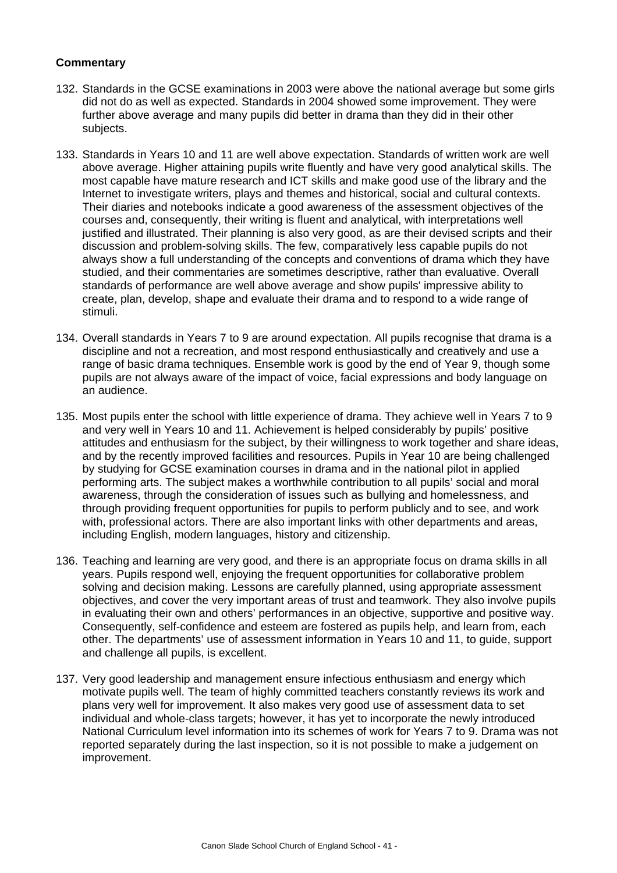- 132. Standards in the GCSE examinations in 2003 were above the national average but some girls did not do as well as expected. Standards in 2004 showed some improvement. They were further above average and many pupils did better in drama than they did in their other subjects.
- 133. Standards in Years 10 and 11 are well above expectation. Standards of written work are well above average. Higher attaining pupils write fluently and have very good analytical skills. The most capable have mature research and ICT skills and make good use of the library and the Internet to investigate writers, plays and themes and historical, social and cultural contexts. Their diaries and notebooks indicate a good awareness of the assessment objectives of the courses and, consequently, their writing is fluent and analytical, with interpretations well justified and illustrated. Their planning is also very good, as are their devised scripts and their discussion and problem-solving skills. The few, comparatively less capable pupils do not always show a full understanding of the concepts and conventions of drama which they have studied, and their commentaries are sometimes descriptive, rather than evaluative. Overall standards of performance are well above average and show pupils' impressive ability to create, plan, develop, shape and evaluate their drama and to respond to a wide range of stimuli.
- 134. Overall standards in Years 7 to 9 are around expectation. All pupils recognise that drama is a discipline and not a recreation, and most respond enthusiastically and creatively and use a range of basic drama techniques. Ensemble work is good by the end of Year 9, though some pupils are not always aware of the impact of voice, facial expressions and body language on an audience.
- 135. Most pupils enter the school with little experience of drama. They achieve well in Years 7 to 9 and very well in Years 10 and 11. Achievement is helped considerably by pupils' positive attitudes and enthusiasm for the subject, by their willingness to work together and share ideas, and by the recently improved facilities and resources. Pupils in Year 10 are being challenged by studying for GCSE examination courses in drama and in the national pilot in applied performing arts. The subject makes a worthwhile contribution to all pupils' social and moral awareness, through the consideration of issues such as bullying and homelessness, and through providing frequent opportunities for pupils to perform publicly and to see, and work with, professional actors. There are also important links with other departments and areas, including English, modern languages, history and citizenship.
- 136. Teaching and learning are very good, and there is an appropriate focus on drama skills in all years. Pupils respond well, enjoying the frequent opportunities for collaborative problem solving and decision making. Lessons are carefully planned, using appropriate assessment objectives, and cover the very important areas of trust and teamwork. They also involve pupils in evaluating their own and others' performances in an objective, supportive and positive way. Consequently, self-confidence and esteem are fostered as pupils help, and learn from, each other. The departments' use of assessment information in Years 10 and 11, to guide, support and challenge all pupils, is excellent.
- 137. Very good leadership and management ensure infectious enthusiasm and energy which motivate pupils well. The team of highly committed teachers constantly reviews its work and plans very well for improvement. It also makes very good use of assessment data to set individual and whole-class targets; however, it has yet to incorporate the newly introduced National Curriculum level information into its schemes of work for Years 7 to 9. Drama was not reported separately during the last inspection, so it is not possible to make a judgement on improvement.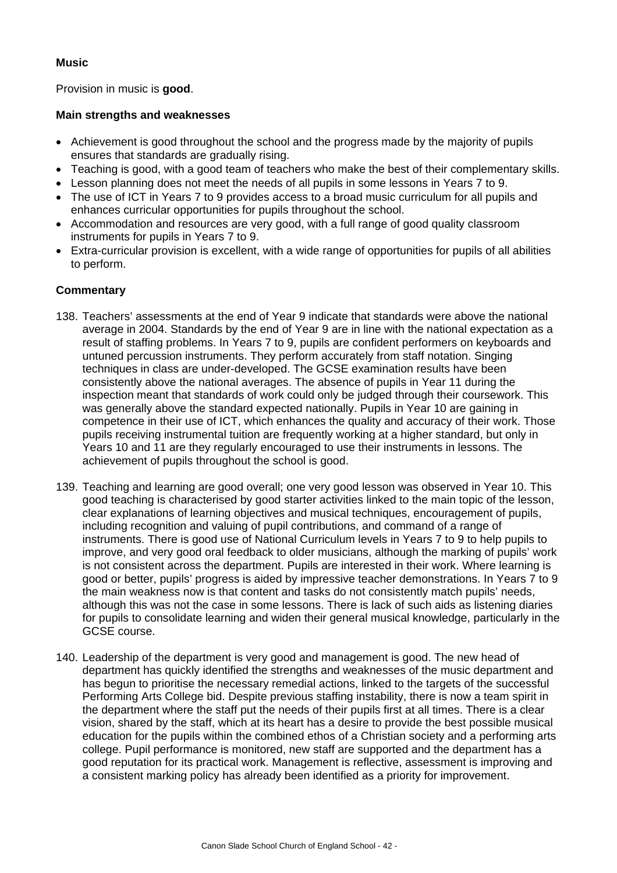# **Music**

Provision in music is **good**.

### **Main strengths and weaknesses**

- Achievement is good throughout the school and the progress made by the majority of pupils ensures that standards are gradually rising.
- Teaching is good, with a good team of teachers who make the best of their complementary skills.
- Lesson planning does not meet the needs of all pupils in some lessons in Years 7 to 9.
- The use of ICT in Years 7 to 9 provides access to a broad music curriculum for all pupils and enhances curricular opportunities for pupils throughout the school.
- Accommodation and resources are very good, with a full range of good quality classroom instruments for pupils in Years 7 to 9.
- Extra-curricular provision is excellent, with a wide range of opportunities for pupils of all abilities to perform.

- 138. Teachers' assessments at the end of Year 9 indicate that standards were above the national average in 2004. Standards by the end of Year 9 are in line with the national expectation as a result of staffing problems. In Years 7 to 9, pupils are confident performers on keyboards and untuned percussion instruments. They perform accurately from staff notation. Singing techniques in class are under-developed. The GCSE examination results have been consistently above the national averages. The absence of pupils in Year 11 during the inspection meant that standards of work could only be judged through their coursework. This was generally above the standard expected nationally. Pupils in Year 10 are gaining in competence in their use of ICT, which enhances the quality and accuracy of their work. Those pupils receiving instrumental tuition are frequently working at a higher standard, but only in Years 10 and 11 are they regularly encouraged to use their instruments in lessons. The achievement of pupils throughout the school is good.
- 139. Teaching and learning are good overall; one very good lesson was observed in Year 10. This good teaching is characterised by good starter activities linked to the main topic of the lesson, clear explanations of learning objectives and musical techniques, encouragement of pupils, including recognition and valuing of pupil contributions, and command of a range of instruments. There is good use of National Curriculum levels in Years 7 to 9 to help pupils to improve, and very good oral feedback to older musicians, although the marking of pupils' work is not consistent across the department. Pupils are interested in their work. Where learning is good or better, pupils' progress is aided by impressive teacher demonstrations. In Years 7 to 9 the main weakness now is that content and tasks do not consistently match pupils' needs, although this was not the case in some lessons. There is lack of such aids as listening diaries for pupils to consolidate learning and widen their general musical knowledge, particularly in the GCSE course.
- 140. Leadership of the department is very good and management is good. The new head of department has quickly identified the strengths and weaknesses of the music department and has begun to prioritise the necessary remedial actions, linked to the targets of the successful Performing Arts College bid. Despite previous staffing instability, there is now a team spirit in the department where the staff put the needs of their pupils first at all times. There is a clear vision, shared by the staff, which at its heart has a desire to provide the best possible musical education for the pupils within the combined ethos of a Christian society and a performing arts college. Pupil performance is monitored, new staff are supported and the department has a good reputation for its practical work. Management is reflective, assessment is improving and a consistent marking policy has already been identified as a priority for improvement.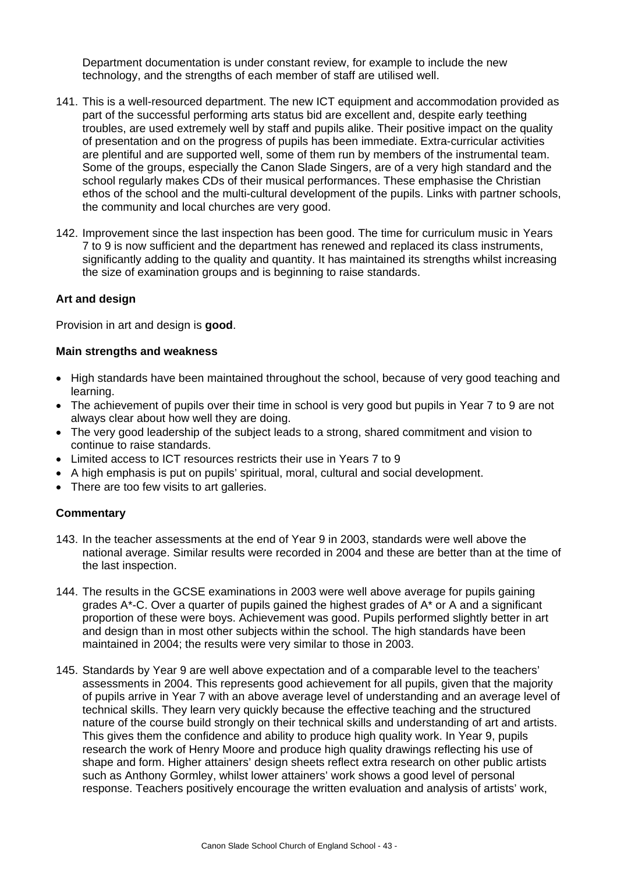Department documentation is under constant review, for example to include the new technology, and the strengths of each member of staff are utilised well.

- 141. This is a well-resourced department. The new ICT equipment and accommodation provided as part of the successful performing arts status bid are excellent and, despite early teething troubles, are used extremely well by staff and pupils alike. Their positive impact on the quality of presentation and on the progress of pupils has been immediate. Extra-curricular activities are plentiful and are supported well, some of them run by members of the instrumental team. Some of the groups, especially the Canon Slade Singers, are of a very high standard and the school regularly makes CDs of their musical performances. These emphasise the Christian ethos of the school and the multi-cultural development of the pupils. Links with partner schools, the community and local churches are very good.
- 142. Improvement since the last inspection has been good. The time for curriculum music in Years 7 to 9 is now sufficient and the department has renewed and replaced its class instruments, significantly adding to the quality and quantity. It has maintained its strengths whilst increasing the size of examination groups and is beginning to raise standards.

#### **Art and design**

Provision in art and design is **good**.

#### **Main strengths and weakness**

- High standards have been maintained throughout the school, because of very good teaching and learning.
- The achievement of pupils over their time in school is very good but pupils in Year 7 to 9 are not always clear about how well they are doing.
- The very good leadership of the subject leads to a strong, shared commitment and vision to continue to raise standards.
- Limited access to ICT resources restricts their use in Years 7 to 9
- A high emphasis is put on pupils' spiritual, moral, cultural and social development.
- There are too few visits to art galleries.

- 143. In the teacher assessments at the end of Year 9 in 2003, standards were well above the national average. Similar results were recorded in 2004 and these are better than at the time of the last inspection.
- 144. The results in the GCSE examinations in 2003 were well above average for pupils gaining grades A\*-C. Over a quarter of pupils gained the highest grades of A\* or A and a significant proportion of these were boys. Achievement was good. Pupils performed slightly better in art and design than in most other subjects within the school. The high standards have been maintained in 2004; the results were very similar to those in 2003.
- 145. Standards by Year 9 are well above expectation and of a comparable level to the teachers' assessments in 2004. This represents good achievement for all pupils, given that the majority of pupils arrive in Year 7 with an above average level of understanding and an average level of technical skills. They learn very quickly because the effective teaching and the structured nature of the course build strongly on their technical skills and understanding of art and artists. This gives them the confidence and ability to produce high quality work. In Year 9, pupils research the work of Henry Moore and produce high quality drawings reflecting his use of shape and form. Higher attainers' design sheets reflect extra research on other public artists such as Anthony Gormley, whilst lower attainers' work shows a good level of personal response. Teachers positively encourage the written evaluation and analysis of artists' work,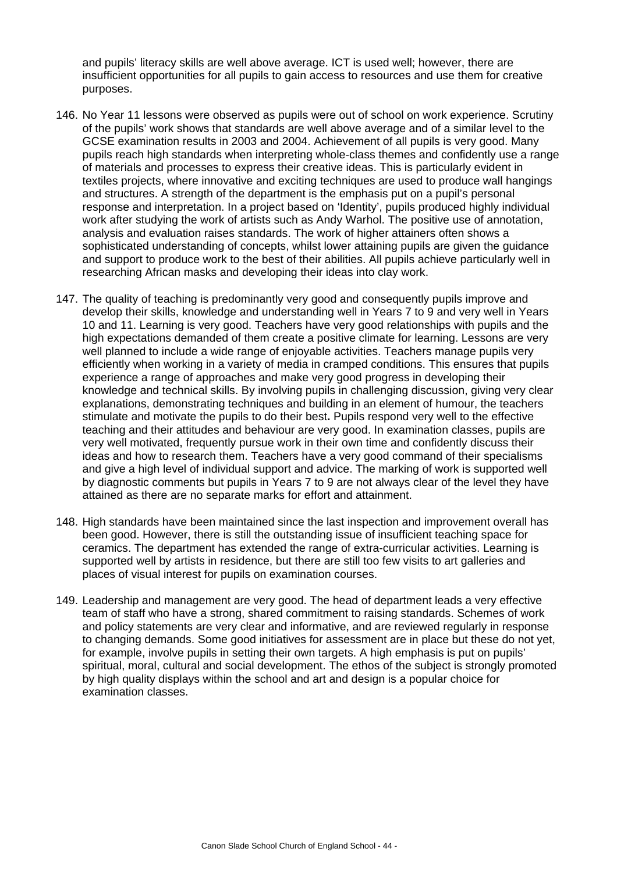and pupils' literacy skills are well above average. ICT is used well; however, there are insufficient opportunities for all pupils to gain access to resources and use them for creative purposes.

- 146. No Year 11 lessons were observed as pupils were out of school on work experience. Scrutiny of the pupils' work shows that standards are well above average and of a similar level to the GCSE examination results in 2003 and 2004. Achievement of all pupils is very good. Many pupils reach high standards when interpreting whole-class themes and confidently use a range of materials and processes to express their creative ideas. This is particularly evident in textiles projects, where innovative and exciting techniques are used to produce wall hangings and structures. A strength of the department is the emphasis put on a pupil's personal response and interpretation. In a project based on 'Identity', pupils produced highly individual work after studying the work of artists such as Andy Warhol. The positive use of annotation, analysis and evaluation raises standards. The work of higher attainers often shows a sophisticated understanding of concepts, whilst lower attaining pupils are given the guidance and support to produce work to the best of their abilities. All pupils achieve particularly well in researching African masks and developing their ideas into clay work.
- 147. The quality of teaching is predominantly very good and consequently pupils improve and develop their skills, knowledge and understanding well in Years 7 to 9 and very well in Years 10 and 11. Learning is very good. Teachers have very good relationships with pupils and the high expectations demanded of them create a positive climate for learning. Lessons are very well planned to include a wide range of enjoyable activities. Teachers manage pupils very efficiently when working in a variety of media in cramped conditions. This ensures that pupils experience a range of approaches and make very good progress in developing their knowledge and technical skills. By involving pupils in challenging discussion, giving very clear explanations, demonstrating techniques and building in an element of humour, the teachers stimulate and motivate the pupils to do their best**.** Pupils respond very well to the effective teaching and their attitudes and behaviour are very good. In examination classes, pupils are very well motivated, frequently pursue work in their own time and confidently discuss their ideas and how to research them. Teachers have a very good command of their specialisms and give a high level of individual support and advice. The marking of work is supported well by diagnostic comments but pupils in Years 7 to 9 are not always clear of the level they have attained as there are no separate marks for effort and attainment.
- 148. High standards have been maintained since the last inspection and improvement overall has been good. However, there is still the outstanding issue of insufficient teaching space for ceramics. The department has extended the range of extra-curricular activities. Learning is supported well by artists in residence, but there are still too few visits to art galleries and places of visual interest for pupils on examination courses.
- 149. Leadership and management are very good. The head of department leads a very effective team of staff who have a strong, shared commitment to raising standards. Schemes of work and policy statements are very clear and informative, and are reviewed regularly in response to changing demands. Some good initiatives for assessment are in place but these do not yet, for example, involve pupils in setting their own targets. A high emphasis is put on pupils' spiritual, moral, cultural and social development. The ethos of the subject is strongly promoted by high quality displays within the school and art and design is a popular choice for examination classes.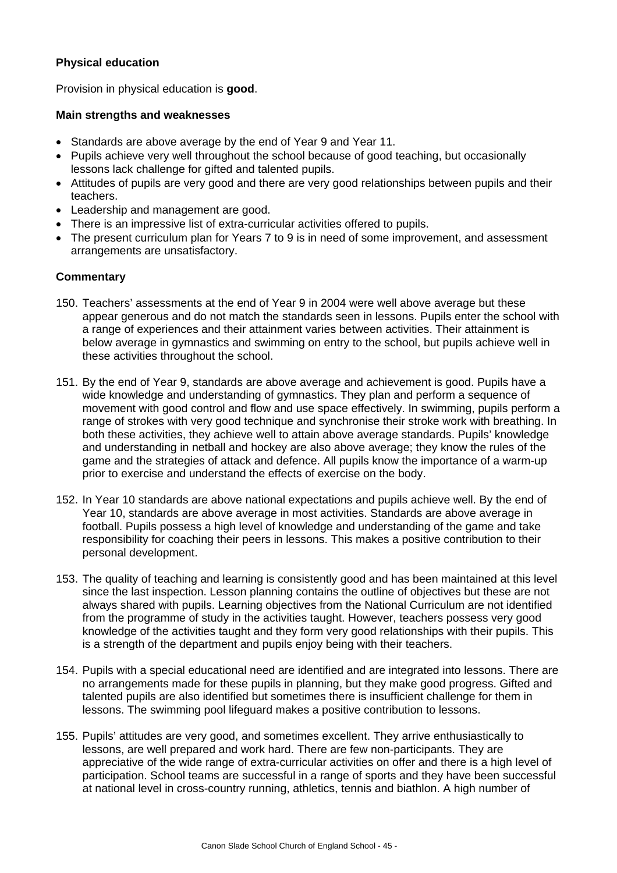# **Physical education**

Provision in physical education is **good**.

#### **Main strengths and weaknesses**

- Standards are above average by the end of Year 9 and Year 11.
- Pupils achieve very well throughout the school because of good teaching, but occasionally lessons lack challenge for gifted and talented pupils.
- Attitudes of pupils are very good and there are very good relationships between pupils and their teachers.
- Leadership and management are good.
- There is an impressive list of extra-curricular activities offered to pupils.
- The present curriculum plan for Years 7 to 9 is in need of some improvement, and assessment arrangements are unsatisfactory.

- 150. Teachers' assessments at the end of Year 9 in 2004 were well above average but these appear generous and do not match the standards seen in lessons. Pupils enter the school with a range of experiences and their attainment varies between activities. Their attainment is below average in gymnastics and swimming on entry to the school, but pupils achieve well in these activities throughout the school.
- 151. By the end of Year 9, standards are above average and achievement is good. Pupils have a wide knowledge and understanding of gymnastics. They plan and perform a sequence of movement with good control and flow and use space effectively. In swimming, pupils perform a range of strokes with very good technique and synchronise their stroke work with breathing. In both these activities, they achieve well to attain above average standards. Pupils' knowledge and understanding in netball and hockey are also above average; they know the rules of the game and the strategies of attack and defence. All pupils know the importance of a warm-up prior to exercise and understand the effects of exercise on the body.
- 152. In Year 10 standards are above national expectations and pupils achieve well. By the end of Year 10, standards are above average in most activities. Standards are above average in football. Pupils possess a high level of knowledge and understanding of the game and take responsibility for coaching their peers in lessons. This makes a positive contribution to their personal development.
- 153. The quality of teaching and learning is consistently good and has been maintained at this level since the last inspection. Lesson planning contains the outline of objectives but these are not always shared with pupils. Learning objectives from the National Curriculum are not identified from the programme of study in the activities taught. However, teachers possess very good knowledge of the activities taught and they form very good relationships with their pupils. This is a strength of the department and pupils enjoy being with their teachers.
- 154. Pupils with a special educational need are identified and are integrated into lessons. There are no arrangements made for these pupils in planning, but they make good progress. Gifted and talented pupils are also identified but sometimes there is insufficient challenge for them in lessons. The swimming pool lifeguard makes a positive contribution to lessons.
- 155. Pupils' attitudes are very good, and sometimes excellent. They arrive enthusiastically to lessons, are well prepared and work hard. There are few non-participants. They are appreciative of the wide range of extra-curricular activities on offer and there is a high level of participation. School teams are successful in a range of sports and they have been successful at national level in cross-country running, athletics, tennis and biathlon. A high number of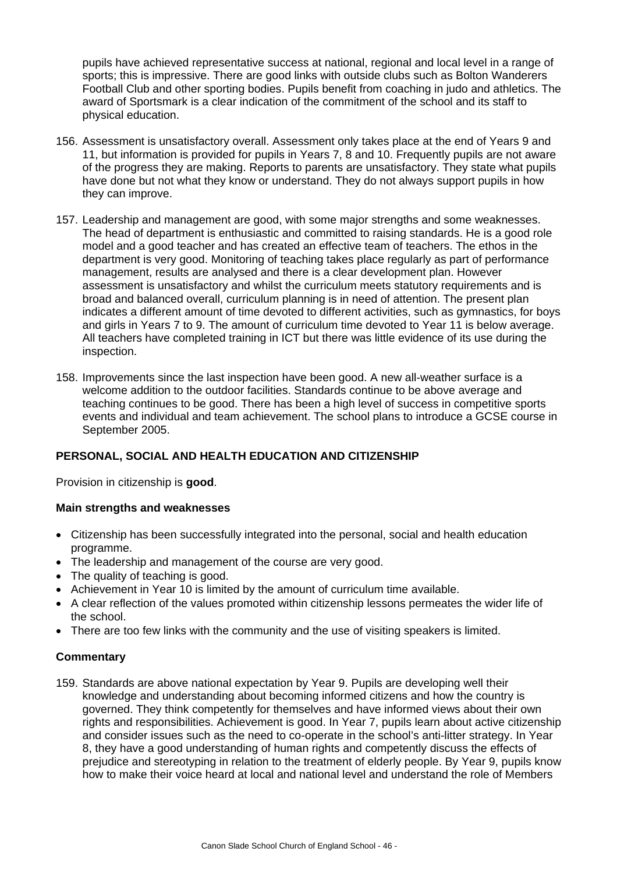pupils have achieved representative success at national, regional and local level in a range of sports; this is impressive. There are good links with outside clubs such as Bolton Wanderers Football Club and other sporting bodies. Pupils benefit from coaching in judo and athletics. The award of Sportsmark is a clear indication of the commitment of the school and its staff to physical education.

- 156. Assessment is unsatisfactory overall. Assessment only takes place at the end of Years 9 and 11, but information is provided for pupils in Years 7, 8 and 10. Frequently pupils are not aware of the progress they are making. Reports to parents are unsatisfactory. They state what pupils have done but not what they know or understand. They do not always support pupils in how they can improve.
- 157. Leadership and management are good, with some major strengths and some weaknesses. The head of department is enthusiastic and committed to raising standards. He is a good role model and a good teacher and has created an effective team of teachers. The ethos in the department is very good. Monitoring of teaching takes place regularly as part of performance management, results are analysed and there is a clear development plan. However assessment is unsatisfactory and whilst the curriculum meets statutory requirements and is broad and balanced overall, curriculum planning is in need of attention. The present plan indicates a different amount of time devoted to different activities, such as gymnastics, for boys and girls in Years 7 to 9. The amount of curriculum time devoted to Year 11 is below average. All teachers have completed training in ICT but there was little evidence of its use during the inspection.
- 158. Improvements since the last inspection have been good. A new all-weather surface is a welcome addition to the outdoor facilities. Standards continue to be above average and teaching continues to be good. There has been a high level of success in competitive sports events and individual and team achievement. The school plans to introduce a GCSE course in September 2005.

# **PERSONAL, SOCIAL AND HEALTH EDUCATION AND CITIZENSHIP**

Provision in citizenship is **good**.

# **Main strengths and weaknesses**

- Citizenship has been successfully integrated into the personal, social and health education programme.
- The leadership and management of the course are very good.
- The quality of teaching is good.
- Achievement in Year 10 is limited by the amount of curriculum time available.
- A clear reflection of the values promoted within citizenship lessons permeates the wider life of the school.
- There are too few links with the community and the use of visiting speakers is limited.

#### **Commentary**

159. Standards are above national expectation by Year 9. Pupils are developing well their knowledge and understanding about becoming informed citizens and how the country is governed. They think competently for themselves and have informed views about their own rights and responsibilities. Achievement is good. In Year 7, pupils learn about active citizenship and consider issues such as the need to co-operate in the school's anti-litter strategy. In Year 8, they have a good understanding of human rights and competently discuss the effects of prejudice and stereotyping in relation to the treatment of elderly people. By Year 9, pupils know how to make their voice heard at local and national level and understand the role of Members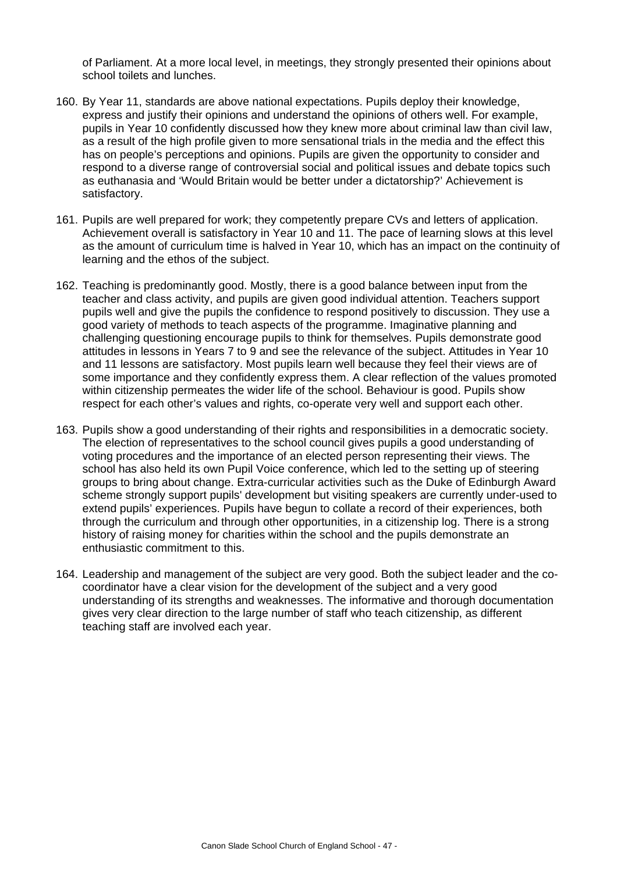of Parliament. At a more local level, in meetings, they strongly presented their opinions about school toilets and lunches.

- 160. By Year 11, standards are above national expectations. Pupils deploy their knowledge, express and justify their opinions and understand the opinions of others well. For example, pupils in Year 10 confidently discussed how they knew more about criminal law than civil law, as a result of the high profile given to more sensational trials in the media and the effect this has on people's perceptions and opinions. Pupils are given the opportunity to consider and respond to a diverse range of controversial social and political issues and debate topics such as euthanasia and 'Would Britain would be better under a dictatorship?' Achievement is satisfactory.
- 161. Pupils are well prepared for work; they competently prepare CVs and letters of application. Achievement overall is satisfactory in Year 10 and 11. The pace of learning slows at this level as the amount of curriculum time is halved in Year 10, which has an impact on the continuity of learning and the ethos of the subject.
- 162. Teaching is predominantly good. Mostly, there is a good balance between input from the teacher and class activity, and pupils are given good individual attention. Teachers support pupils well and give the pupils the confidence to respond positively to discussion. They use a good variety of methods to teach aspects of the programme. Imaginative planning and challenging questioning encourage pupils to think for themselves. Pupils demonstrate good attitudes in lessons in Years 7 to 9 and see the relevance of the subject. Attitudes in Year 10 and 11 lessons are satisfactory. Most pupils learn well because they feel their views are of some importance and they confidently express them. A clear reflection of the values promoted within citizenship permeates the wider life of the school. Behaviour is good. Pupils show respect for each other's values and rights, co-operate very well and support each other.
- 163. Pupils show a good understanding of their rights and responsibilities in a democratic society. The election of representatives to the school council gives pupils a good understanding of voting procedures and the importance of an elected person representing their views. The school has also held its own Pupil Voice conference, which led to the setting up of steering groups to bring about change. Extra-curricular activities such as the Duke of Edinburgh Award scheme strongly support pupils' development but visiting speakers are currently under-used to extend pupils' experiences. Pupils have begun to collate a record of their experiences, both through the curriculum and through other opportunities, in a citizenship log. There is a strong history of raising money for charities within the school and the pupils demonstrate an enthusiastic commitment to this.
- 164. Leadership and management of the subject are very good. Both the subject leader and the cocoordinator have a clear vision for the development of the subject and a very good understanding of its strengths and weaknesses. The informative and thorough documentation gives very clear direction to the large number of staff who teach citizenship, as different teaching staff are involved each year.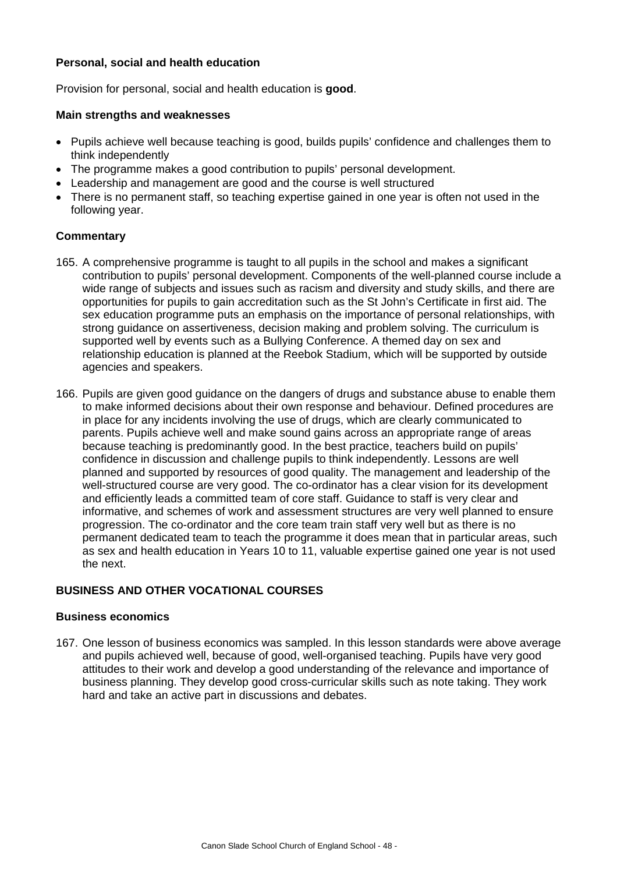## **Personal, social and health education**

Provision for personal, social and health education is **good**.

#### **Main strengths and weaknesses**

- Pupils achieve well because teaching is good, builds pupils' confidence and challenges them to think independently
- The programme makes a good contribution to pupils' personal development.
- Leadership and management are good and the course is well structured
- There is no permanent staff, so teaching expertise gained in one year is often not used in the following year.

#### **Commentary**

- 165. A comprehensive programme is taught to all pupils in the school and makes a significant contribution to pupils' personal development. Components of the well-planned course include a wide range of subjects and issues such as racism and diversity and study skills, and there are opportunities for pupils to gain accreditation such as the St John's Certificate in first aid. The sex education programme puts an emphasis on the importance of personal relationships, with strong guidance on assertiveness, decision making and problem solving. The curriculum is supported well by events such as a Bullying Conference. A themed day on sex and relationship education is planned at the Reebok Stadium, which will be supported by outside agencies and speakers.
- 166. Pupils are given good guidance on the dangers of drugs and substance abuse to enable them to make informed decisions about their own response and behaviour. Defined procedures are in place for any incidents involving the use of drugs, which are clearly communicated to parents. Pupils achieve well and make sound gains across an appropriate range of areas because teaching is predominantly good. In the best practice, teachers build on pupils' confidence in discussion and challenge pupils to think independently. Lessons are well planned and supported by resources of good quality. The management and leadership of the well-structured course are very good. The co-ordinator has a clear vision for its development and efficiently leads a committed team of core staff. Guidance to staff is very clear and informative, and schemes of work and assessment structures are very well planned to ensure progression. The co-ordinator and the core team train staff very well but as there is no permanent dedicated team to teach the programme it does mean that in particular areas, such as sex and health education in Years 10 to 11, valuable expertise gained one year is not used the next.

# **BUSINESS AND OTHER VOCATIONAL COURSES**

#### **Business economics**

167. One lesson of business economics was sampled. In this lesson standards were above average and pupils achieved well, because of good, well-organised teaching. Pupils have very good attitudes to their work and develop a good understanding of the relevance and importance of business planning. They develop good cross-curricular skills such as note taking. They work hard and take an active part in discussions and debates.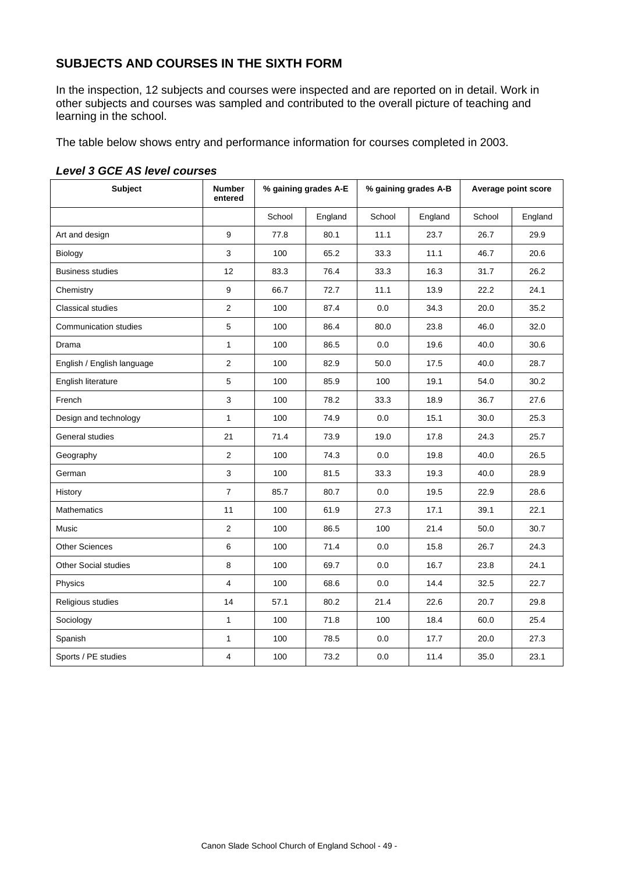# **SUBJECTS AND COURSES IN THE SIXTH FORM**

In the inspection, 12 subjects and courses were inspected and are reported on in detail. Work in other subjects and courses was sampled and contributed to the overall picture of teaching and learning in the school.

The table below shows entry and performance information for courses completed in 2003.

| Subject                     | <b>Number</b><br>entered | % gaining grades A-E |         | % gaining grades A-B |         | Average point score |         |
|-----------------------------|--------------------------|----------------------|---------|----------------------|---------|---------------------|---------|
|                             |                          | School               | England | School               | England | School              | England |
| Art and design              | 9                        | 77.8                 | 80.1    | 11.1                 | 23.7    | 26.7                | 29.9    |
| Biology                     | $\mathbf{3}$             | 100                  | 65.2    | 33.3                 | 11.1    | 46.7                | 20.6    |
| <b>Business studies</b>     | 12                       | 83.3                 | 76.4    | 33.3                 | 16.3    | 31.7                | 26.2    |
| Chemistry                   | 9                        | 66.7                 | 72.7    | 11.1                 | 13.9    | 22.2                | 24.1    |
| <b>Classical studies</b>    | $\overline{2}$           | 100                  | 87.4    | 0.0                  | 34.3    | 20.0                | 35.2    |
| Communication studies       | 5                        | 100                  | 86.4    | 80.0                 | 23.8    | 46.0                | 32.0    |
| Drama                       | $\mathbf{1}$             | 100                  | 86.5    | 0.0                  | 19.6    | 40.0                | 30.6    |
| English / English language  | $\overline{2}$           | 100                  | 82.9    | 50.0                 | 17.5    | 40.0                | 28.7    |
| English literature          | 5                        | 100                  | 85.9    | 100                  | 19.1    | 54.0                | 30.2    |
| French                      | 3                        | 100                  | 78.2    | 33.3                 | 18.9    | 36.7                | 27.6    |
| Design and technology       | $\mathbf{1}$             | 100                  | 74.9    | 0.0                  | 15.1    | 30.0                | 25.3    |
| General studies             | 21                       | 71.4                 | 73.9    | 19.0                 | 17.8    | 24.3                | 25.7    |
| Geography                   | 2                        | 100                  | 74.3    | 0.0                  | 19.8    | 40.0                | 26.5    |
| German                      | 3                        | 100                  | 81.5    | 33.3                 | 19.3    | 40.0                | 28.9    |
| History                     | $\overline{7}$           | 85.7                 | 80.7    | 0.0                  | 19.5    | 22.9                | 28.6    |
| <b>Mathematics</b>          | 11                       | 100                  | 61.9    | 27.3                 | 17.1    | 39.1                | 22.1    |
| Music                       | $\overline{2}$           | 100                  | 86.5    | 100                  | 21.4    | 50.0                | 30.7    |
| <b>Other Sciences</b>       | 6                        | 100                  | 71.4    | 0.0                  | 15.8    | 26.7                | 24.3    |
| <b>Other Social studies</b> | 8                        | 100                  | 69.7    | 0.0                  | 16.7    | 23.8                | 24.1    |
| Physics                     | $\overline{4}$           | 100                  | 68.6    | 0.0                  | 14.4    | 32.5                | 22.7    |
| Religious studies           | 14                       | 57.1                 | 80.2    | 21.4                 | 22.6    | 20.7                | 29.8    |
| Sociology                   | $\mathbf{1}$             | 100                  | 71.8    | 100                  | 18.4    | 60.0                | 25.4    |
| Spanish                     | $\mathbf{1}$             | 100                  | 78.5    | 0.0                  | 17.7    | 20.0                | 27.3    |
| Sports / PE studies         | 4                        | 100                  | 73.2    | 0.0                  | 11.4    | 35.0                | 23.1    |

#### *Level 3 GCE AS level courses*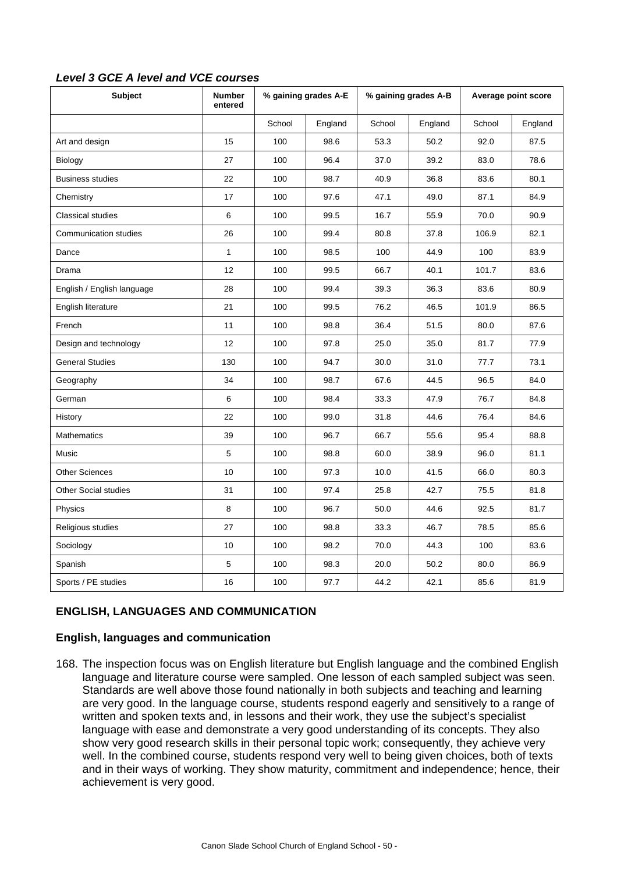| <b>Subject</b>              | <b>Number</b><br>entered | % gaining grades A-E |         | % gaining grades A-B |         | Average point score |         |
|-----------------------------|--------------------------|----------------------|---------|----------------------|---------|---------------------|---------|
|                             |                          | School               | England | School               | England | School              | England |
| Art and design              | 15                       | 100                  | 98.6    | 53.3                 | 50.2    | 92.0                | 87.5    |
| Biology                     | 27                       | 100                  | 96.4    | 37.0                 | 39.2    | 83.0                | 78.6    |
| <b>Business studies</b>     | 22                       | 100                  | 98.7    | 40.9                 | 36.8    | 83.6                | 80.1    |
| Chemistry                   | 17                       | 100                  | 97.6    | 47.1                 | 49.0    | 87.1                | 84.9    |
| <b>Classical studies</b>    | 6                        | 100                  | 99.5    | 16.7                 | 55.9    | 70.0                | 90.9    |
| Communication studies       | 26                       | 100                  | 99.4    | 80.8                 | 37.8    | 106.9               | 82.1    |
| Dance                       | $\mathbf{1}$             | 100                  | 98.5    | 100                  | 44.9    | 100                 | 83.9    |
| Drama                       | 12                       | 100                  | 99.5    | 66.7                 | 40.1    | 101.7               | 83.6    |
| English / English language  | 28                       | 100                  | 99.4    | 39.3                 | 36.3    | 83.6                | 80.9    |
| English literature          | 21                       | 100                  | 99.5    | 76.2                 | 46.5    | 101.9               | 86.5    |
| French                      | 11                       | 100                  | 98.8    | 36.4                 | 51.5    | 80.0                | 87.6    |
| Design and technology       | 12 <sub>2</sub>          | 100                  | 97.8    | 25.0                 | 35.0    | 81.7                | 77.9    |
| <b>General Studies</b>      | 130                      | 100                  | 94.7    | 30.0                 | 31.0    | 77.7                | 73.1    |
| Geography                   | 34                       | 100                  | 98.7    | 67.6                 | 44.5    | 96.5                | 84.0    |
| German                      | 6                        | 100                  | 98.4    | 33.3                 | 47.9    | 76.7                | 84.8    |
| History                     | 22                       | 100                  | 99.0    | 31.8                 | 44.6    | 76.4                | 84.6    |
| <b>Mathematics</b>          | 39                       | 100                  | 96.7    | 66.7                 | 55.6    | 95.4                | 88.8    |
| Music                       | 5                        | 100                  | 98.8    | 60.0                 | 38.9    | 96.0                | 81.1    |
| <b>Other Sciences</b>       | 10                       | 100                  | 97.3    | 10.0                 | 41.5    | 66.0                | 80.3    |
| <b>Other Social studies</b> | 31                       | 100                  | 97.4    | 25.8                 | 42.7    | 75.5                | 81.8    |
| Physics                     | 8                        | 100                  | 96.7    | 50.0                 | 44.6    | 92.5                | 81.7    |
| Religious studies           | 27                       | 100                  | 98.8    | 33.3                 | 46.7    | 78.5                | 85.6    |
| Sociology                   | 10                       | 100                  | 98.2    | 70.0                 | 44.3    | 100                 | 83.6    |
| Spanish                     | 5                        | 100                  | 98.3    | 20.0                 | 50.2    | 80.0                | 86.9    |
| Sports / PE studies         | 16                       | 100                  | 97.7    | 44.2                 | 42.1    | 85.6                | 81.9    |

# *Level 3 GCE A level and VCE courses*

# **ENGLISH, LANGUAGES AND COMMUNICATION**

# **English, languages and communication**

168. The inspection focus was on English literature but English language and the combined English language and literature course were sampled. One lesson of each sampled subject was seen. Standards are well above those found nationally in both subjects and teaching and learning are very good. In the language course, students respond eagerly and sensitively to a range of written and spoken texts and, in lessons and their work, they use the subject's specialist language with ease and demonstrate a very good understanding of its concepts. They also show very good research skills in their personal topic work; consequently, they achieve very well. In the combined course, students respond very well to being given choices, both of texts and in their ways of working. They show maturity, commitment and independence; hence, their achievement is very good.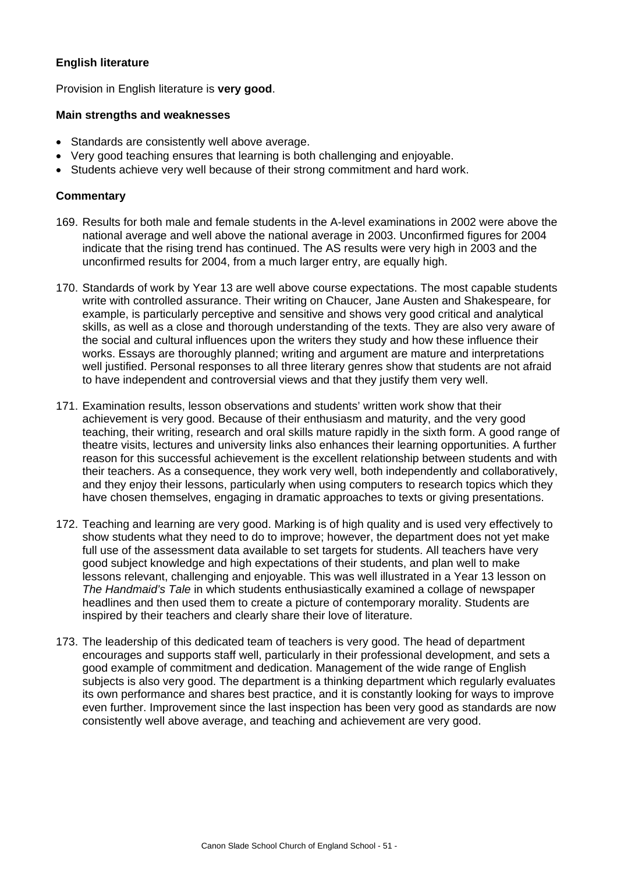# **English literature**

Provision in English literature is **very good**.

#### **Main strengths and weaknesses**

- Standards are consistently well above average.
- Very good teaching ensures that learning is both challenging and enjoyable.
- Students achieve very well because of their strong commitment and hard work.

- 169. Results for both male and female students in the A-level examinations in 2002 were above the national average and well above the national average in 2003. Unconfirmed figures for 2004 indicate that the rising trend has continued. The AS results were very high in 2003 and the unconfirmed results for 2004, from a much larger entry, are equally high.
- 170. Standards of work by Year 13 are well above course expectations. The most capable students write with controlled assurance. Their writing on Chaucer*,* Jane Austen and Shakespeare, for example, is particularly perceptive and sensitive and shows very good critical and analytical skills, as well as a close and thorough understanding of the texts. They are also very aware of the social and cultural influences upon the writers they study and how these influence their works. Essays are thoroughly planned; writing and argument are mature and interpretations well justified. Personal responses to all three literary genres show that students are not afraid to have independent and controversial views and that they justify them very well.
- 171. Examination results, lesson observations and students' written work show that their achievement is very good. Because of their enthusiasm and maturity, and the very good teaching, their writing, research and oral skills mature rapidly in the sixth form. A good range of theatre visits, lectures and university links also enhances their learning opportunities. A further reason for this successful achievement is the excellent relationship between students and with their teachers. As a consequence, they work very well, both independently and collaboratively, and they enjoy their lessons, particularly when using computers to research topics which they have chosen themselves, engaging in dramatic approaches to texts or giving presentations.
- 172. Teaching and learning are very good. Marking is of high quality and is used very effectively to show students what they need to do to improve; however, the department does not yet make full use of the assessment data available to set targets for students. All teachers have very good subject knowledge and high expectations of their students, and plan well to make lessons relevant, challenging and enjoyable. This was well illustrated in a Year 13 lesson on *The Handmaid's Tale* in which students enthusiastically examined a collage of newspaper headlines and then used them to create a picture of contemporary morality. Students are inspired by their teachers and clearly share their love of literature.
- 173. The leadership of this dedicated team of teachers is very good. The head of department encourages and supports staff well, particularly in their professional development, and sets a good example of commitment and dedication. Management of the wide range of English subiects is also very good. The department is a thinking department which regularly evaluates its own performance and shares best practice, and it is constantly looking for ways to improve even further. Improvement since the last inspection has been very good as standards are now consistently well above average, and teaching and achievement are very good.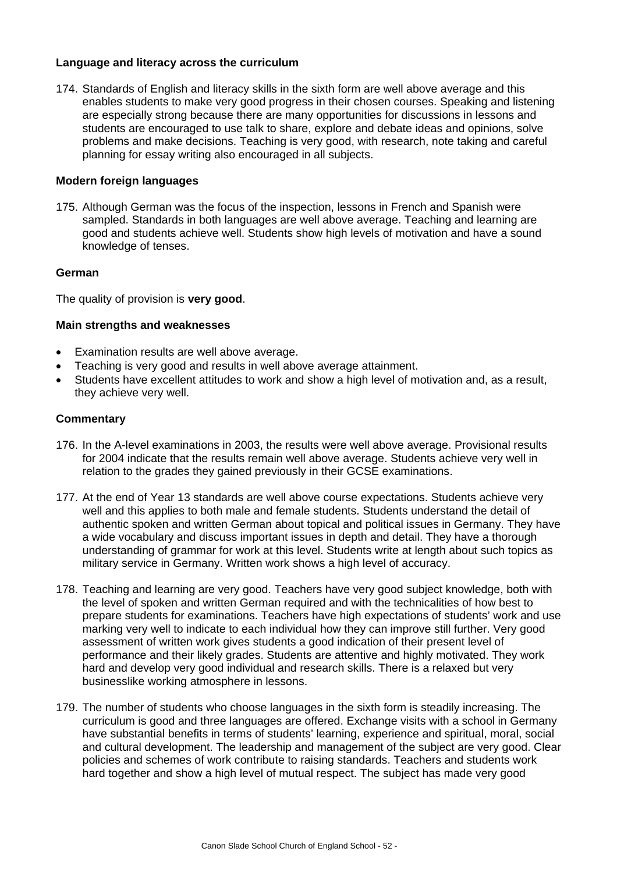## **Language and literacy across the curriculum**

174. Standards of English and literacy skills in the sixth form are well above average and this enables students to make very good progress in their chosen courses. Speaking and listening are especially strong because there are many opportunities for discussions in lessons and students are encouraged to use talk to share, explore and debate ideas and opinions, solve problems and make decisions. Teaching is very good, with research, note taking and careful planning for essay writing also encouraged in all subjects.

#### **Modern foreign languages**

175. Although German was the focus of the inspection, lessons in French and Spanish were sampled. Standards in both languages are well above average. Teaching and learning are good and students achieve well. Students show high levels of motivation and have a sound knowledge of tenses.

#### **German**

The quality of provision is **very good**.

#### **Main strengths and weaknesses**

- Examination results are well above average.
- Teaching is very good and results in well above average attainment.
- Students have excellent attitudes to work and show a high level of motivation and, as a result, they achieve very well.

- 176. In the A-level examinations in 2003, the results were well above average. Provisional results for 2004 indicate that the results remain well above average. Students achieve very well in relation to the grades they gained previously in their GCSE examinations.
- 177. At the end of Year 13 standards are well above course expectations. Students achieve very well and this applies to both male and female students. Students understand the detail of authentic spoken and written German about topical and political issues in Germany. They have a wide vocabulary and discuss important issues in depth and detail. They have a thorough understanding of grammar for work at this level. Students write at length about such topics as military service in Germany. Written work shows a high level of accuracy.
- 178. Teaching and learning are very good. Teachers have very good subject knowledge, both with the level of spoken and written German required and with the technicalities of how best to prepare students for examinations. Teachers have high expectations of students' work and use marking very well to indicate to each individual how they can improve still further. Very good assessment of written work gives students a good indication of their present level of performance and their likely grades. Students are attentive and highly motivated. They work hard and develop very good individual and research skills. There is a relaxed but very businesslike working atmosphere in lessons.
- 179. The number of students who choose languages in the sixth form is steadily increasing. The curriculum is good and three languages are offered. Exchange visits with a school in Germany have substantial benefits in terms of students' learning, experience and spiritual, moral, social and cultural development. The leadership and management of the subject are very good. Clear policies and schemes of work contribute to raising standards. Teachers and students work hard together and show a high level of mutual respect. The subject has made very good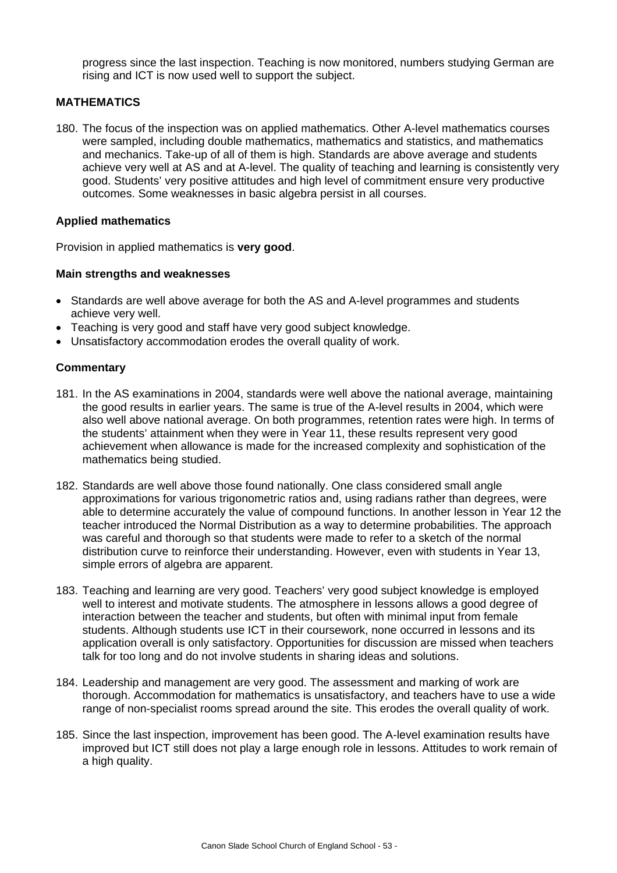progress since the last inspection. Teaching is now monitored, numbers studying German are rising and ICT is now used well to support the subject.

# **MATHEMATICS**

180. The focus of the inspection was on applied mathematics. Other A-level mathematics courses were sampled, including double mathematics, mathematics and statistics, and mathematics and mechanics. Take-up of all of them is high. Standards are above average and students achieve very well at AS and at A-level. The quality of teaching and learning is consistently very good. Students' very positive attitudes and high level of commitment ensure very productive outcomes. Some weaknesses in basic algebra persist in all courses.

#### **Applied mathematics**

Provision in applied mathematics is **very good**.

#### **Main strengths and weaknesses**

- Standards are well above average for both the AS and A-level programmes and students achieve very well.
- Teaching is very good and staff have very good subject knowledge.
- Unsatisfactory accommodation erodes the overall quality of work.

- 181. In the AS examinations in 2004, standards were well above the national average, maintaining the good results in earlier years. The same is true of the A-level results in 2004, which were also well above national average. On both programmes, retention rates were high. In terms of the students' attainment when they were in Year 11, these results represent very good achievement when allowance is made for the increased complexity and sophistication of the mathematics being studied.
- 182. Standards are well above those found nationally. One class considered small angle approximations for various trigonometric ratios and, using radians rather than degrees, were able to determine accurately the value of compound functions. In another lesson in Year 12 the teacher introduced the Normal Distribution as a way to determine probabilities. The approach was careful and thorough so that students were made to refer to a sketch of the normal distribution curve to reinforce their understanding. However, even with students in Year 13, simple errors of algebra are apparent.
- 183. Teaching and learning are very good. Teachers' very good subject knowledge is employed well to interest and motivate students. The atmosphere in lessons allows a good degree of interaction between the teacher and students, but often with minimal input from female students. Although students use ICT in their coursework, none occurred in lessons and its application overall is only satisfactory. Opportunities for discussion are missed when teachers talk for too long and do not involve students in sharing ideas and solutions.
- 184. Leadership and management are very good. The assessment and marking of work are thorough. Accommodation for mathematics is unsatisfactory, and teachers have to use a wide range of non-specialist rooms spread around the site. This erodes the overall quality of work.
- 185. Since the last inspection, improvement has been good. The A-level examination results have improved but ICT still does not play a large enough role in lessons. Attitudes to work remain of a high quality.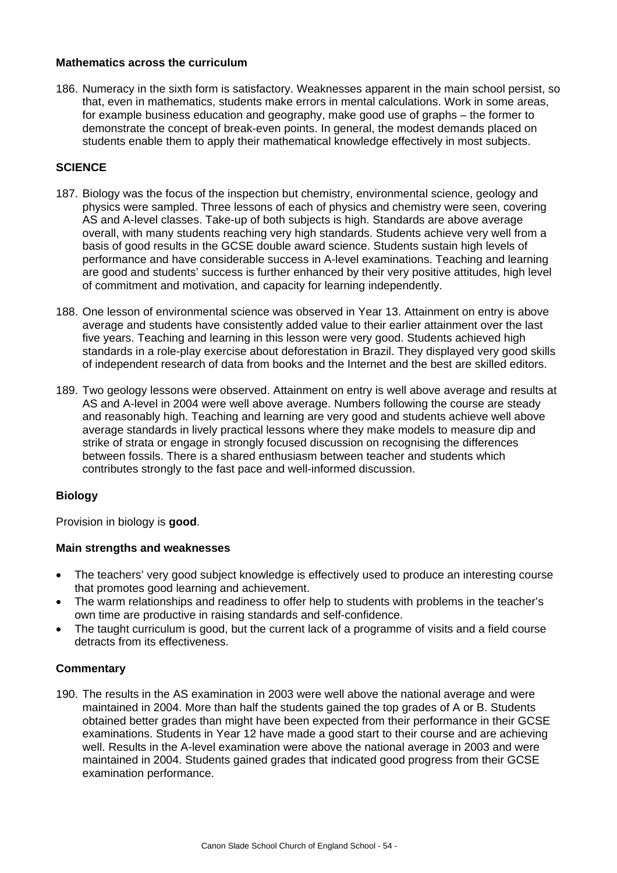# **Mathematics across the curriculum**

186. Numeracy in the sixth form is satisfactory. Weaknesses apparent in the main school persist, so that, even in mathematics, students make errors in mental calculations. Work in some areas, for example business education and geography, make good use of graphs – the former to demonstrate the concept of break-even points. In general, the modest demands placed on students enable them to apply their mathematical knowledge effectively in most subjects.

## **SCIENCE**

- 187. Biology was the focus of the inspection but chemistry, environmental science, geology and physics were sampled. Three lessons of each of physics and chemistry were seen, covering AS and A-level classes. Take-up of both subjects is high. Standards are above average overall, with many students reaching very high standards. Students achieve very well from a basis of good results in the GCSE double award science. Students sustain high levels of performance and have considerable success in A-level examinations. Teaching and learning are good and students' success is further enhanced by their very positive attitudes, high level of commitment and motivation, and capacity for learning independently.
- 188. One lesson of environmental science was observed in Year 13. Attainment on entry is above average and students have consistently added value to their earlier attainment over the last five years. Teaching and learning in this lesson were very good. Students achieved high standards in a role-play exercise about deforestation in Brazil. They displayed very good skills of independent research of data from books and the Internet and the best are skilled editors.
- 189. Two geology lessons were observed. Attainment on entry is well above average and results at AS and A-level in 2004 were well above average. Numbers following the course are steady and reasonably high. Teaching and learning are very good and students achieve well above average standards in lively practical lessons where they make models to measure dip and strike of strata or engage in strongly focused discussion on recognising the differences between fossils. There is a shared enthusiasm between teacher and students which contributes strongly to the fast pace and well-informed discussion.

# **Biology**

Provision in biology is **good**.

#### **Main strengths and weaknesses**

- The teachers' very good subject knowledge is effectively used to produce an interesting course that promotes good learning and achievement.
- The warm relationships and readiness to offer help to students with problems in the teacher's own time are productive in raising standards and self-confidence.
- The taught curriculum is good, but the current lack of a programme of visits and a field course detracts from its effectiveness.

#### **Commentary**

190. The results in the AS examination in 2003 were well above the national average and were maintained in 2004. More than half the students gained the top grades of A or B. Students obtained better grades than might have been expected from their performance in their GCSE examinations. Students in Year 12 have made a good start to their course and are achieving well. Results in the A-level examination were above the national average in 2003 and were maintained in 2004. Students gained grades that indicated good progress from their GCSE examination performance.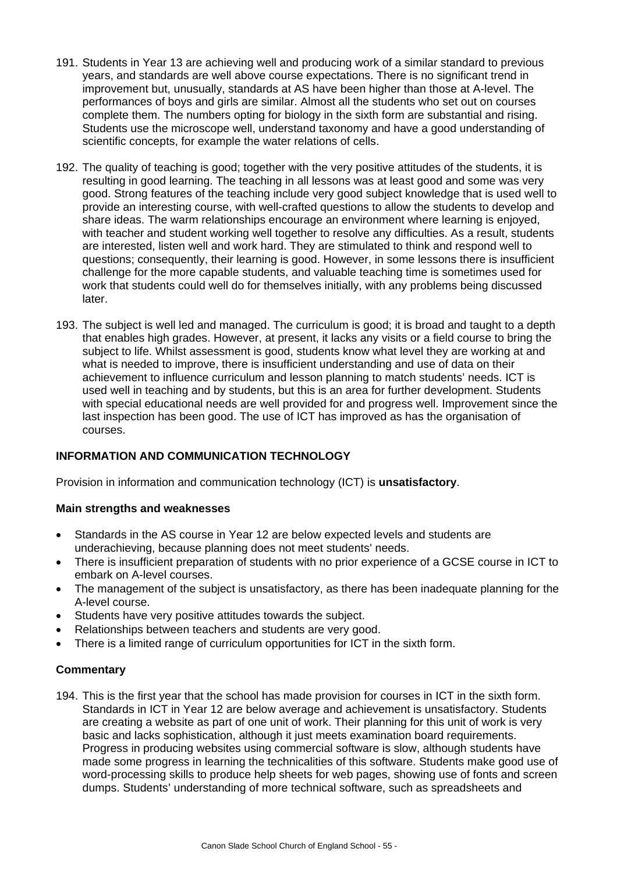- 191. Students in Year 13 are achieving well and producing work of a similar standard to previous years, and standards are well above course expectations. There is no significant trend in improvement but, unusually, standards at AS have been higher than those at A-level. The performances of boys and girls are similar. Almost all the students who set out on courses complete them. The numbers opting for biology in the sixth form are substantial and rising. Students use the microscope well, understand taxonomy and have a good understanding of scientific concepts, for example the water relations of cells.
- 192. The quality of teaching is good; together with the very positive attitudes of the students, it is resulting in good learning. The teaching in all lessons was at least good and some was very good. Strong features of the teaching include very good subject knowledge that is used well to provide an interesting course, with well-crafted questions to allow the students to develop and share ideas. The warm relationships encourage an environment where learning is enjoyed, with teacher and student working well together to resolve any difficulties. As a result, students are interested, listen well and work hard. They are stimulated to think and respond well to questions; consequently, their learning is good. However, in some lessons there is insufficient challenge for the more capable students, and valuable teaching time is sometimes used for work that students could well do for themselves initially, with any problems being discussed later.
- 193. The subject is well led and managed. The curriculum is good; it is broad and taught to a depth that enables high grades. However, at present, it lacks any visits or a field course to bring the subject to life. Whilst assessment is good, students know what level they are working at and what is needed to improve, there is insufficient understanding and use of data on their achievement to influence curriculum and lesson planning to match students' needs. ICT is used well in teaching and by students, but this is an area for further development. Students with special educational needs are well provided for and progress well. Improvement since the last inspection has been good. The use of ICT has improved as has the organisation of courses.

# **INFORMATION AND COMMUNICATION TECHNOLOGY**

Provision in information and communication technology (ICT) is **unsatisfactory**.

# **Main strengths and weaknesses**

- Standards in the AS course in Year 12 are below expected levels and students are underachieving, because planning does not meet students' needs.
- There is insufficient preparation of students with no prior experience of a GCSE course in ICT to embark on A-level courses.
- The management of the subject is unsatisfactory, as there has been inadequate planning for the A-level course.
- Students have very positive attitudes towards the subject.
- Relationships between teachers and students are very good.
- There is a limited range of curriculum opportunities for ICT in the sixth form.

# **Commentary**

194. This is the first year that the school has made provision for courses in ICT in the sixth form. Standards in ICT in Year 12 are below average and achievement is unsatisfactory. Students are creating a website as part of one unit of work. Their planning for this unit of work is very basic and lacks sophistication, although it just meets examination board requirements. Progress in producing websites using commercial software is slow, although students have made some progress in learning the technicalities of this software. Students make good use of word-processing skills to produce help sheets for web pages, showing use of fonts and screen dumps. Students' understanding of more technical software, such as spreadsheets and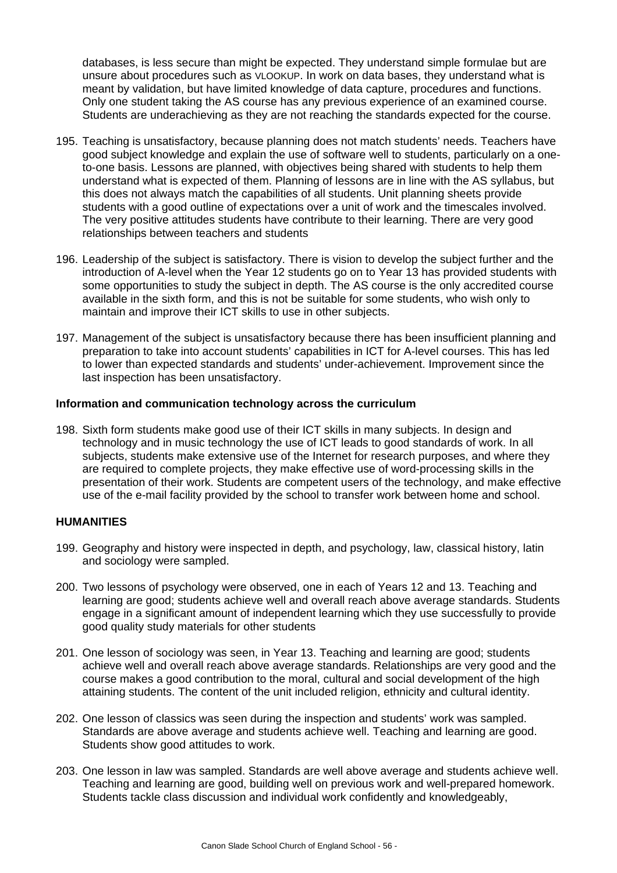databases, is less secure than might be expected. They understand simple formulae but are unsure about procedures such as VLOOKUP. In work on data bases, they understand what is meant by validation, but have limited knowledge of data capture, procedures and functions. Only one student taking the AS course has any previous experience of an examined course. Students are underachieving as they are not reaching the standards expected for the course.

- 195. Teaching is unsatisfactory, because planning does not match students' needs. Teachers have good subject knowledge and explain the use of software well to students, particularly on a oneto-one basis. Lessons are planned, with objectives being shared with students to help them understand what is expected of them. Planning of lessons are in line with the AS syllabus, but this does not always match the capabilities of all students. Unit planning sheets provide students with a good outline of expectations over a unit of work and the timescales involved. The very positive attitudes students have contribute to their learning. There are very good relationships between teachers and students
- 196. Leadership of the subject is satisfactory. There is vision to develop the subject further and the introduction of A-level when the Year 12 students go on to Year 13 has provided students with some opportunities to study the subject in depth. The AS course is the only accredited course available in the sixth form, and this is not be suitable for some students, who wish only to maintain and improve their ICT skills to use in other subjects.
- 197. Management of the subject is unsatisfactory because there has been insufficient planning and preparation to take into account students' capabilities in ICT for A-level courses. This has led to lower than expected standards and students' under-achievement. Improvement since the last inspection has been unsatisfactory.

#### **Information and communication technology across the curriculum**

198. Sixth form students make good use of their ICT skills in many subjects. In design and technology and in music technology the use of ICT leads to good standards of work. In all subjects, students make extensive use of the Internet for research purposes, and where they are required to complete projects, they make effective use of word-processing skills in the presentation of their work. Students are competent users of the technology, and make effective use of the e-mail facility provided by the school to transfer work between home and school.

#### **HUMANITIES**

- 199. Geography and history were inspected in depth, and psychology, law, classical history, latin and sociology were sampled.
- 200. Two lessons of psychology were observed, one in each of Years 12 and 13. Teaching and learning are good; students achieve well and overall reach above average standards. Students engage in a significant amount of independent learning which they use successfully to provide good quality study materials for other students
- 201. One lesson of sociology was seen, in Year 13. Teaching and learning are good; students achieve well and overall reach above average standards. Relationships are very good and the course makes a good contribution to the moral, cultural and social development of the high attaining students. The content of the unit included religion, ethnicity and cultural identity.
- 202. One lesson of classics was seen during the inspection and students' work was sampled. Standards are above average and students achieve well. Teaching and learning are good. Students show good attitudes to work.
- 203. One lesson in law was sampled. Standards are well above average and students achieve well. Teaching and learning are good, building well on previous work and well-prepared homework. Students tackle class discussion and individual work confidently and knowledgeably,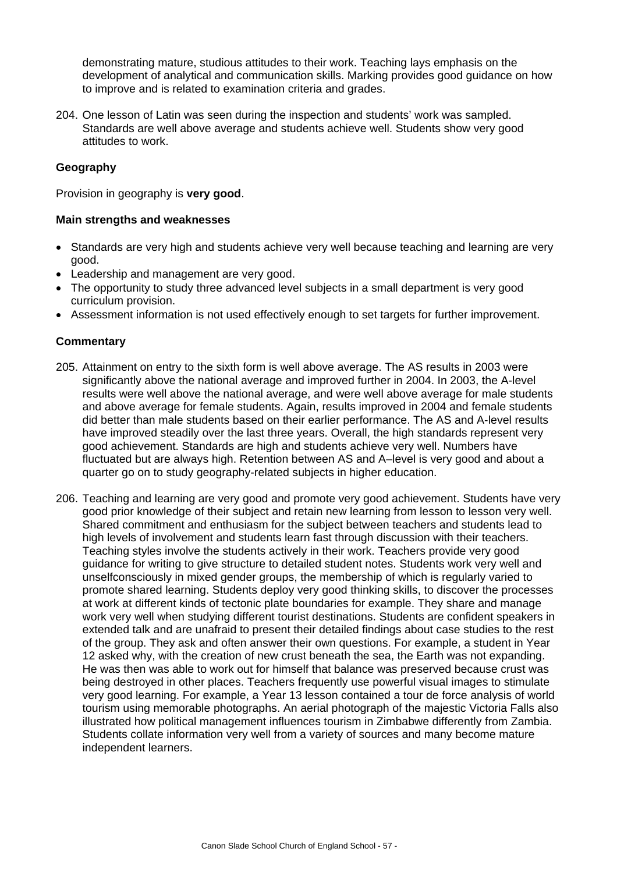demonstrating mature, studious attitudes to their work. Teaching lays emphasis on the development of analytical and communication skills. Marking provides good guidance on how to improve and is related to examination criteria and grades.

204. One lesson of Latin was seen during the inspection and students' work was sampled. Standards are well above average and students achieve well. Students show very good attitudes to work.

## **Geography**

Provision in geography is **very good**.

#### **Main strengths and weaknesses**

- Standards are very high and students achieve very well because teaching and learning are very good.
- Leadership and management are very good.
- The opportunity to study three advanced level subjects in a small department is very good curriculum provision.
- Assessment information is not used effectively enough to set targets for further improvement.

- 205. Attainment on entry to the sixth form is well above average. The AS results in 2003 were significantly above the national average and improved further in 2004. In 2003, the A-level results were well above the national average, and were well above average for male students and above average for female students. Again, results improved in 2004 and female students did better than male students based on their earlier performance. The AS and A-level results have improved steadily over the last three years. Overall, the high standards represent very good achievement. Standards are high and students achieve very well. Numbers have fluctuated but are always high. Retention between AS and A–level is very good and about a quarter go on to study geography-related subjects in higher education.
- 206. Teaching and learning are very good and promote very good achievement. Students have very good prior knowledge of their subject and retain new learning from lesson to lesson very well. Shared commitment and enthusiasm for the subject between teachers and students lead to high levels of involvement and students learn fast through discussion with their teachers. Teaching styles involve the students actively in their work. Teachers provide very good guidance for writing to give structure to detailed student notes. Students work very well and unselfconsciously in mixed gender groups, the membership of which is regularly varied to promote shared learning. Students deploy very good thinking skills, to discover the processes at work at different kinds of tectonic plate boundaries for example. They share and manage work very well when studying different tourist destinations. Students are confident speakers in extended talk and are unafraid to present their detailed findings about case studies to the rest of the group. They ask and often answer their own questions. For example, a student in Year 12 asked why, with the creation of new crust beneath the sea, the Earth was not expanding. He was then was able to work out for himself that balance was preserved because crust was being destroyed in other places. Teachers frequently use powerful visual images to stimulate very good learning. For example, a Year 13 lesson contained a tour de force analysis of world tourism using memorable photographs. An aerial photograph of the majestic Victoria Falls also illustrated how political management influences tourism in Zimbabwe differently from Zambia. Students collate information very well from a variety of sources and many become mature independent learners.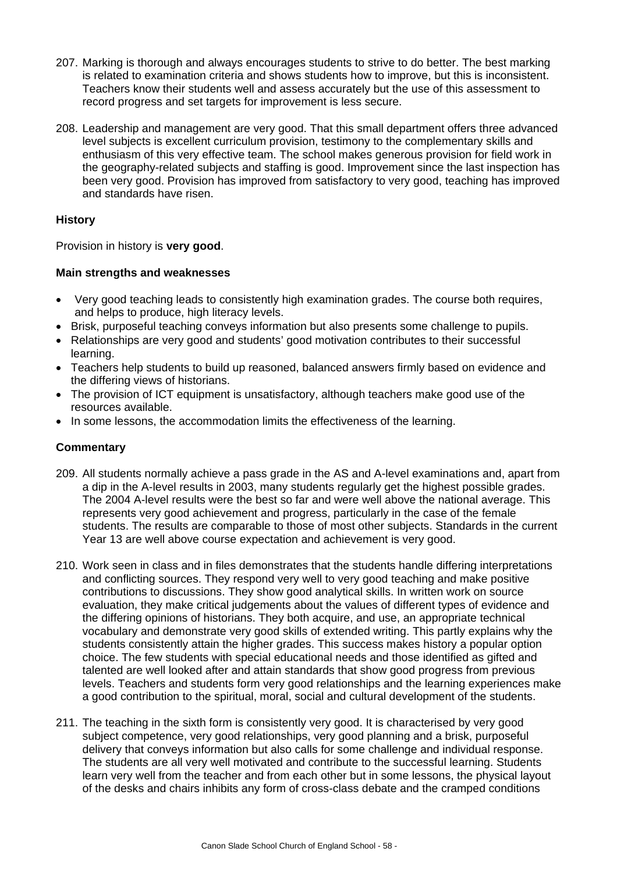- 207. Marking is thorough and always encourages students to strive to do better. The best marking is related to examination criteria and shows students how to improve, but this is inconsistent. Teachers know their students well and assess accurately but the use of this assessment to record progress and set targets for improvement is less secure.
- 208. Leadership and management are very good. That this small department offers three advanced level subjects is excellent curriculum provision, testimony to the complementary skills and enthusiasm of this very effective team. The school makes generous provision for field work in the geography-related subjects and staffing is good. Improvement since the last inspection has been very good. Provision has improved from satisfactory to very good, teaching has improved and standards have risen.

# **History**

Provision in history is **very good**.

# **Main strengths and weaknesses**

- Very good teaching leads to consistently high examination grades. The course both requires, and helps to produce, high literacy levels.
- Brisk, purposeful teaching conveys information but also presents some challenge to pupils.
- Relationships are very good and students' good motivation contributes to their successful learning.
- Teachers help students to build up reasoned, balanced answers firmly based on evidence and the differing views of historians.
- The provision of ICT equipment is unsatisfactory, although teachers make good use of the resources available.
- In some lessons, the accommodation limits the effectiveness of the learning.

- 209. All students normally achieve a pass grade in the AS and A-level examinations and, apart from a dip in the A-level results in 2003, many students regularly get the highest possible grades. The 2004 A-level results were the best so far and were well above the national average. This represents very good achievement and progress, particularly in the case of the female students. The results are comparable to those of most other subjects. Standards in the current Year 13 are well above course expectation and achievement is very good.
- 210. Work seen in class and in files demonstrates that the students handle differing interpretations and conflicting sources. They respond very well to very good teaching and make positive contributions to discussions. They show good analytical skills. In written work on source evaluation, they make critical judgements about the values of different types of evidence and the differing opinions of historians. They both acquire, and use, an appropriate technical vocabulary and demonstrate very good skills of extended writing. This partly explains why the students consistently attain the higher grades. This success makes history a popular option choice. The few students with special educational needs and those identified as gifted and talented are well looked after and attain standards that show good progress from previous levels. Teachers and students form very good relationships and the learning experiences make a good contribution to the spiritual, moral, social and cultural development of the students.
- 211. The teaching in the sixth form is consistently very good. It is characterised by very good subject competence, very good relationships, very good planning and a brisk, purposeful delivery that conveys information but also calls for some challenge and individual response. The students are all very well motivated and contribute to the successful learning. Students learn very well from the teacher and from each other but in some lessons, the physical layout of the desks and chairs inhibits any form of cross-class debate and the cramped conditions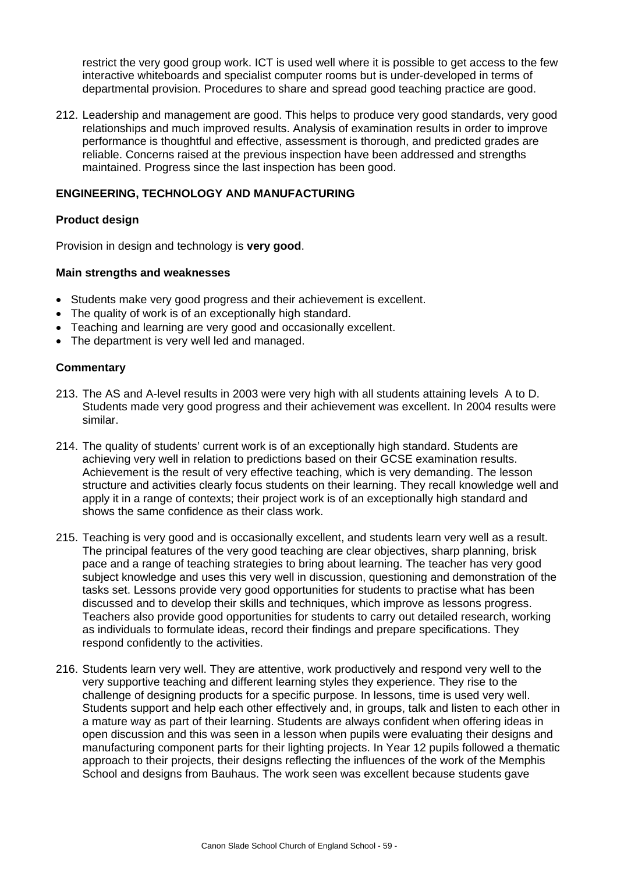restrict the very good group work. ICT is used well where it is possible to get access to the few interactive whiteboards and specialist computer rooms but is under-developed in terms of departmental provision. Procedures to share and spread good teaching practice are good.

212. Leadership and management are good. This helps to produce very good standards, very good relationships and much improved results. Analysis of examination results in order to improve performance is thoughtful and effective, assessment is thorough, and predicted grades are reliable. Concerns raised at the previous inspection have been addressed and strengths maintained. Progress since the last inspection has been good.

# **ENGINEERING, TECHNOLOGY AND MANUFACTURING**

#### **Product design**

Provision in design and technology is **very good**.

#### **Main strengths and weaknesses**

- Students make very good progress and their achievement is excellent.
- The quality of work is of an exceptionally high standard.
- Teaching and learning are very good and occasionally excellent.
- The department is very well led and managed.

- 213. The AS and A-level results in 2003 were very high with all students attaining levels A to D. Students made very good progress and their achievement was excellent. In 2004 results were similar.
- 214. The quality of students' current work is of an exceptionally high standard. Students are achieving very well in relation to predictions based on their GCSE examination results. Achievement is the result of very effective teaching, which is very demanding. The lesson structure and activities clearly focus students on their learning. They recall knowledge well and apply it in a range of contexts; their project work is of an exceptionally high standard and shows the same confidence as their class work.
- 215. Teaching is very good and is occasionally excellent, and students learn very well as a result. The principal features of the very good teaching are clear objectives, sharp planning, brisk pace and a range of teaching strategies to bring about learning. The teacher has very good subject knowledge and uses this very well in discussion, questioning and demonstration of the tasks set. Lessons provide very good opportunities for students to practise what has been discussed and to develop their skills and techniques, which improve as lessons progress. Teachers also provide good opportunities for students to carry out detailed research, working as individuals to formulate ideas, record their findings and prepare specifications. They respond confidently to the activities.
- 216. Students learn very well. They are attentive, work productively and respond very well to the very supportive teaching and different learning styles they experience. They rise to the challenge of designing products for a specific purpose. In lessons, time is used very well. Students support and help each other effectively and, in groups, talk and listen to each other in a mature way as part of their learning. Students are always confident when offering ideas in open discussion and this was seen in a lesson when pupils were evaluating their designs and manufacturing component parts for their lighting projects. In Year 12 pupils followed a thematic approach to their projects, their designs reflecting the influences of the work of the Memphis School and designs from Bauhaus. The work seen was excellent because students gave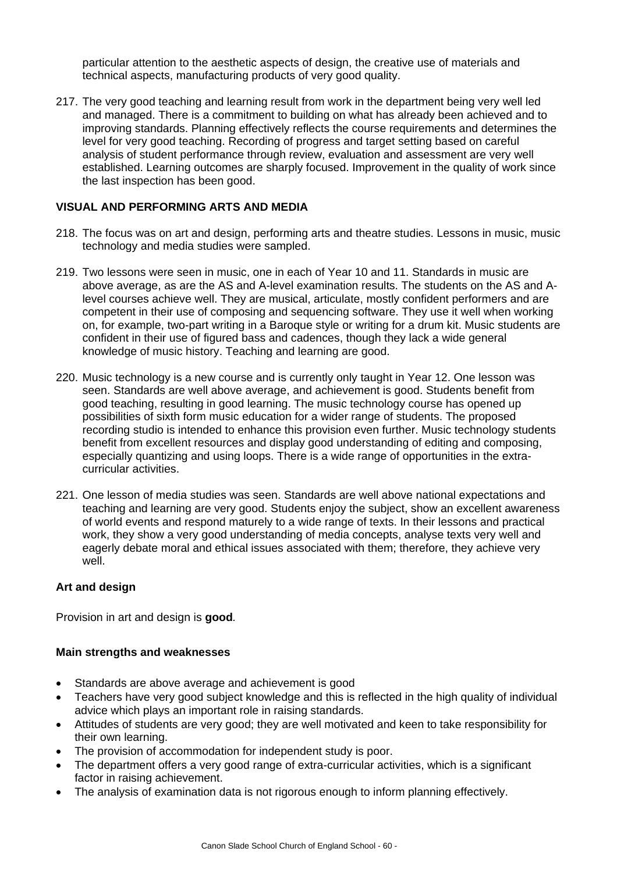particular attention to the aesthetic aspects of design, the creative use of materials and technical aspects, manufacturing products of very good quality.

217. The very good teaching and learning result from work in the department being very well led and managed. There is a commitment to building on what has already been achieved and to improving standards. Planning effectively reflects the course requirements and determines the level for very good teaching. Recording of progress and target setting based on careful analysis of student performance through review, evaluation and assessment are very well established. Learning outcomes are sharply focused. Improvement in the quality of work since the last inspection has been good.

#### **VISUAL AND PERFORMING ARTS AND MEDIA**

- 218. The focus was on art and design, performing arts and theatre studies. Lessons in music, music technology and media studies were sampled.
- 219. Two lessons were seen in music, one in each of Year 10 and 11. Standards in music are above average, as are the AS and A-level examination results. The students on the AS and Alevel courses achieve well. They are musical, articulate, mostly confident performers and are competent in their use of composing and sequencing software. They use it well when working on, for example, two-part writing in a Baroque style or writing for a drum kit. Music students are confident in their use of figured bass and cadences, though they lack a wide general knowledge of music history. Teaching and learning are good.
- 220. Music technology is a new course and is currently only taught in Year 12. One lesson was seen. Standards are well above average, and achievement is good. Students benefit from good teaching, resulting in good learning. The music technology course has opened up possibilities of sixth form music education for a wider range of students. The proposed recording studio is intended to enhance this provision even further. Music technology students benefit from excellent resources and display good understanding of editing and composing, especially quantizing and using loops. There is a wide range of opportunities in the extracurricular activities.
- 221. One lesson of media studies was seen. Standards are well above national expectations and teaching and learning are very good. Students enjoy the subject, show an excellent awareness of world events and respond maturely to a wide range of texts. In their lessons and practical work, they show a very good understanding of media concepts, analyse texts very well and eagerly debate moral and ethical issues associated with them; therefore, they achieve very well.

#### **Art and design**

Provision in art and design is **good***.* 

#### **Main strengths and weaknesses**

- Standards are above average and achievement is good
- Teachers have very good subject knowledge and this is reflected in the high quality of individual advice which plays an important role in raising standards.
- Attitudes of students are very good; they are well motivated and keen to take responsibility for their own learning.
- The provision of accommodation for independent study is poor.
- The department offers a very good range of extra-curricular activities, which is a significant factor in raising achievement.
- The analysis of examination data is not rigorous enough to inform planning effectively.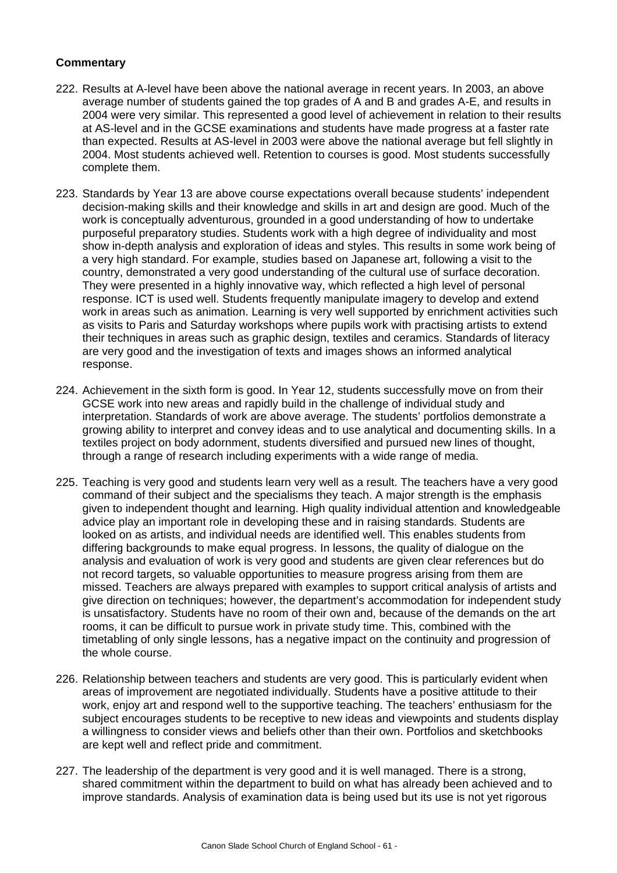- 222. Results at A-level have been above the national average in recent years. In 2003, an above average number of students gained the top grades of A and B and grades A-E, and results in 2004 were very similar. This represented a good level of achievement in relation to their results at AS-level and in the GCSE examinations and students have made progress at a faster rate than expected. Results at AS-level in 2003 were above the national average but fell slightly in 2004. Most students achieved well. Retention to courses is good. Most students successfully complete them.
- 223. Standards by Year 13 are above course expectations overall because students' independent decision-making skills and their knowledge and skills in art and design are good. Much of the work is conceptually adventurous, grounded in a good understanding of how to undertake purposeful preparatory studies. Students work with a high degree of individuality and most show in-depth analysis and exploration of ideas and styles. This results in some work being of a very high standard. For example, studies based on Japanese art, following a visit to the country, demonstrated a very good understanding of the cultural use of surface decoration. They were presented in a highly innovative way, which reflected a high level of personal response. ICT is used well. Students frequently manipulate imagery to develop and extend work in areas such as animation. Learning is very well supported by enrichment activities such as visits to Paris and Saturday workshops where pupils work with practising artists to extend their techniques in areas such as graphic design, textiles and ceramics. Standards of literacy are very good and the investigation of texts and images shows an informed analytical response.
- 224. Achievement in the sixth form is good. In Year 12, students successfully move on from their GCSE work into new areas and rapidly build in the challenge of individual study and interpretation. Standards of work are above average. The students' portfolios demonstrate a growing ability to interpret and convey ideas and to use analytical and documenting skills. In a textiles project on body adornment, students diversified and pursued new lines of thought, through a range of research including experiments with a wide range of media.
- 225. Teaching is very good and students learn very well as a result. The teachers have a very good command of their subject and the specialisms they teach. A major strength is the emphasis given to independent thought and learning. High quality individual attention and knowledgeable advice play an important role in developing these and in raising standards. Students are looked on as artists, and individual needs are identified well. This enables students from differing backgrounds to make equal progress. In lessons, the quality of dialogue on the analysis and evaluation of work is very good and students are given clear references but do not record targets, so valuable opportunities to measure progress arising from them are missed. Teachers are always prepared with examples to support critical analysis of artists and give direction on techniques; however, the department's accommodation for independent study is unsatisfactory. Students have no room of their own and, because of the demands on the art rooms, it can be difficult to pursue work in private study time. This, combined with the timetabling of only single lessons, has a negative impact on the continuity and progression of the whole course.
- 226. Relationship between teachers and students are very good. This is particularly evident when areas of improvement are negotiated individually. Students have a positive attitude to their work, enjoy art and respond well to the supportive teaching. The teachers' enthusiasm for the subject encourages students to be receptive to new ideas and viewpoints and students display a willingness to consider views and beliefs other than their own. Portfolios and sketchbooks are kept well and reflect pride and commitment.
- 227. The leadership of the department is very good and it is well managed. There is a strong, shared commitment within the department to build on what has already been achieved and to improve standards. Analysis of examination data is being used but its use is not yet rigorous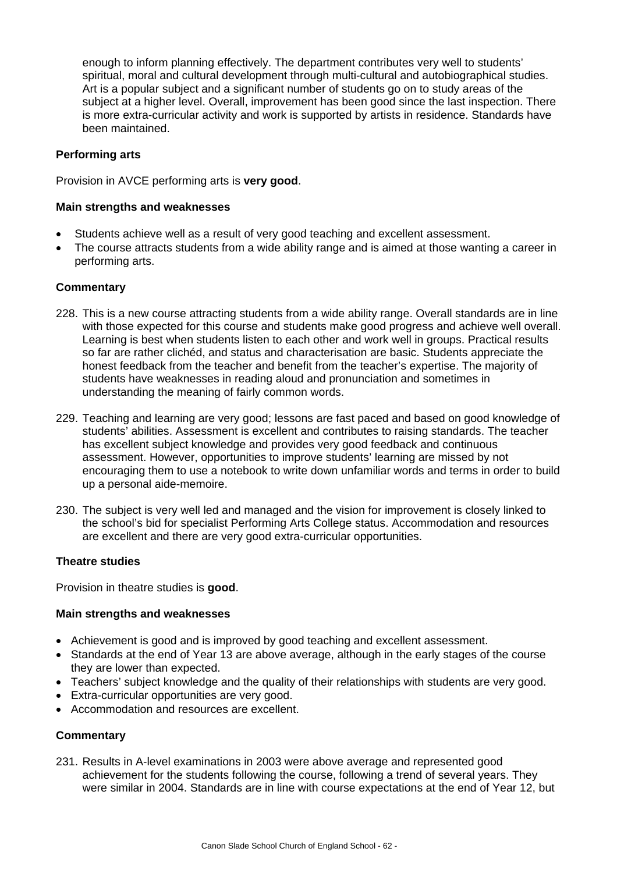enough to inform planning effectively. The department contributes very well to students' spiritual, moral and cultural development through multi-cultural and autobiographical studies. Art is a popular subject and a significant number of students go on to study areas of the subject at a higher level. Overall, improvement has been good since the last inspection. There is more extra-curricular activity and work is supported by artists in residence. Standards have been maintained.

## **Performing arts**

Provision in AVCE performing arts is **very good**.

#### **Main strengths and weaknesses**

- Students achieve well as a result of very good teaching and excellent assessment.
- The course attracts students from a wide ability range and is aimed at those wanting a career in performing arts.

#### **Commentary**

- 228. This is a new course attracting students from a wide ability range. Overall standards are in line with those expected for this course and students make good progress and achieve well overall. Learning is best when students listen to each other and work well in groups. Practical results so far are rather clichéd, and status and characterisation are basic. Students appreciate the honest feedback from the teacher and benefit from the teacher's expertise. The majority of students have weaknesses in reading aloud and pronunciation and sometimes in understanding the meaning of fairly common words.
- 229. Teaching and learning are very good; lessons are fast paced and based on good knowledge of students' abilities. Assessment is excellent and contributes to raising standards. The teacher has excellent subject knowledge and provides very good feedback and continuous assessment. However, opportunities to improve students' learning are missed by not encouraging them to use a notebook to write down unfamiliar words and terms in order to build up a personal aide-memoire.
- 230. The subject is very well led and managed and the vision for improvement is closely linked to the school's bid for specialist Performing Arts College status. Accommodation and resources are excellent and there are very good extra-curricular opportunities.

#### **Theatre studies**

Provision in theatre studies is **good**.

#### **Main strengths and weaknesses**

- Achievement is good and is improved by good teaching and excellent assessment.
- Standards at the end of Year 13 are above average, although in the early stages of the course they are lower than expected.
- Teachers' subject knowledge and the quality of their relationships with students are very good.
- Extra-curricular opportunities are very good.
- Accommodation and resources are excellent.

# **Commentary**

231. Results in A-level examinations in 2003 were above average and represented good achievement for the students following the course, following a trend of several years. They were similar in 2004. Standards are in line with course expectations at the end of Year 12, but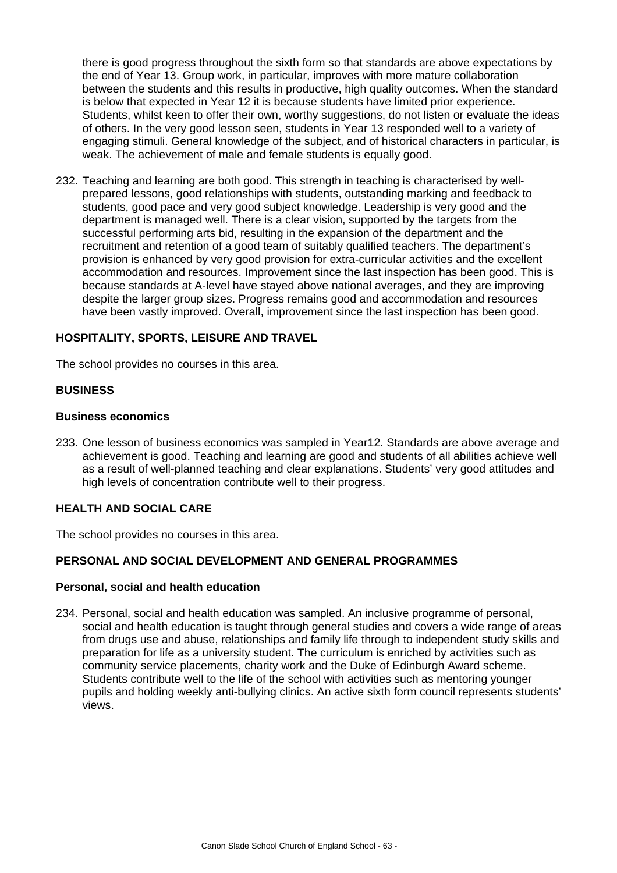there is good progress throughout the sixth form so that standards are above expectations by the end of Year 13. Group work, in particular, improves with more mature collaboration between the students and this results in productive, high quality outcomes. When the standard is below that expected in Year 12 it is because students have limited prior experience. Students, whilst keen to offer their own, worthy suggestions, do not listen or evaluate the ideas of others. In the very good lesson seen, students in Year 13 responded well to a variety of engaging stimuli. General knowledge of the subject, and of historical characters in particular, is weak. The achievement of male and female students is equally good.

232. Teaching and learning are both good. This strength in teaching is characterised by wellprepared lessons, good relationships with students, outstanding marking and feedback to students, good pace and very good subject knowledge. Leadership is very good and the department is managed well. There is a clear vision, supported by the targets from the successful performing arts bid, resulting in the expansion of the department and the recruitment and retention of a good team of suitably qualified teachers. The department's provision is enhanced by very good provision for extra-curricular activities and the excellent accommodation and resources. Improvement since the last inspection has been good. This is because standards at A-level have stayed above national averages, and they are improving despite the larger group sizes. Progress remains good and accommodation and resources have been vastly improved. Overall, improvement since the last inspection has been good.

# **HOSPITALITY, SPORTS, LEISURE AND TRAVEL**

The school provides no courses in this area.

#### **BUSINESS**

#### **Business economics**

233. One lesson of business economics was sampled in Year12. Standards are above average and achievement is good. Teaching and learning are good and students of all abilities achieve well as a result of well-planned teaching and clear explanations. Students' very good attitudes and high levels of concentration contribute well to their progress.

# **HEALTH AND SOCIAL CARE**

The school provides no courses in this area.

# **PERSONAL AND SOCIAL DEVELOPMENT AND GENERAL PROGRAMMES**

#### **Personal, social and health education**

234. Personal, social and health education was sampled. An inclusive programme of personal, social and health education is taught through general studies and covers a wide range of areas from drugs use and abuse, relationships and family life through to independent study skills and preparation for life as a university student. The curriculum is enriched by activities such as community service placements, charity work and the Duke of Edinburgh Award scheme. Students contribute well to the life of the school with activities such as mentoring younger pupils and holding weekly anti-bullying clinics. An active sixth form council represents students' views.